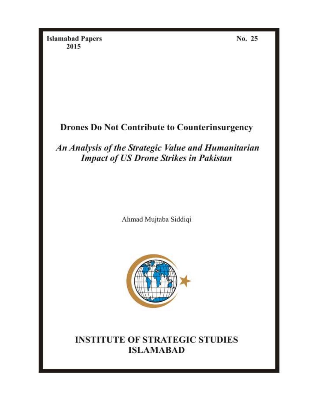**Islamabad Papers** 2015

No. 25

# **Drones Do Not Contribute to Counterinsurgency**

An Analysis of the Strategic Value and Humanitarian **Impact of US Drone Strikes in Pakistan** 

Ahmad Mujtaba Siddiqi



# **INSTITUTE OF STRATEGIC STUDIES ISLAMABAD**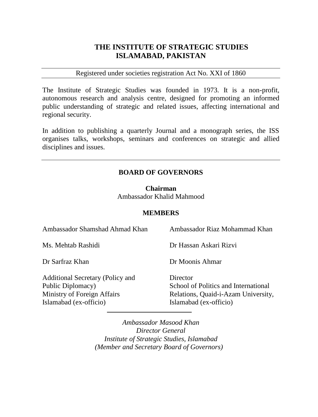## **THE INSTITUTE OF STRATEGIC STUDIES ISLAMABAD, PAKISTAN**

#### Registered under societies registration Act No. XXI of 1860

The Institute of Strategic Studies was founded in 1973. It is a non-profit, autonomous research and analysis centre, designed for promoting an informed public understanding of strategic and related issues, affecting international and regional security.

In addition to publishing a quarterly Journal and a monograph series, the ISS organises talks, workshops, seminars and conferences on strategic and allied disciplines and issues.

#### **BOARD OF GOVERNORS**

**Chairman**  Ambassador Khalid Mahmood

#### **MEMBERS**

| Ambassador Shamshad Ahmad Khan                                                                                        | Ambassador Riaz Mohammad Khan                                                                                     |
|-----------------------------------------------------------------------------------------------------------------------|-------------------------------------------------------------------------------------------------------------------|
| Ms. Mehtab Rashidi                                                                                                    | Dr Hassan Askari Rizvi                                                                                            |
| Dr Sarfraz Khan                                                                                                       | Dr Moonis Ahmar                                                                                                   |
| <b>Additional Secretary (Policy and</b><br>Public Diplomacy)<br>Ministry of Foreign Affairs<br>Islamabad (ex-officio) | Director<br>School of Politics and International<br>Relations, Quaid-i-Azam University,<br>Islamabad (ex-officio) |

*Ambassador Masood Khan Director General Institute of Strategic Studies, Islamabad (Member and Secretary Board of Governors)*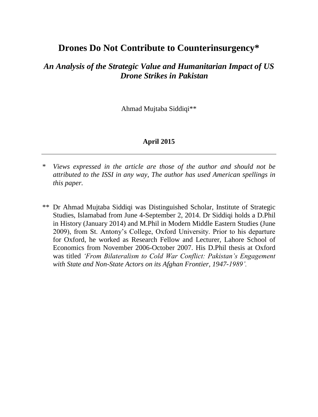# **Drones Do Not Contribute to Counterinsurgency\***

## *An Analysis of the Strategic Value and Humanitarian Impact of US Drone Strikes in Pakistan*

Ahmad Mujtaba Siddiqi\*\*

#### **April 2015**

\*\* Dr Ahmad Mujtaba Siddiqi was Distinguished Scholar, Institute of Strategic Studies, Islamabad from June 4-September 2, 2014. Dr Siddiqi holds a D.Phil in History (January 2014) and M.Phil in Modern Middle Eastern Studies (June 2009), from St. Antony's College, Oxford University. Prior to his departure for Oxford, he worked as Research Fellow and Lecturer, Lahore School of Economics from November 2006-October 2007. His D.Phil thesis at Oxford was titled *'From Bilateralism to Cold War Conflict: Pakistan's Engagement with State and Non-State Actors on its Afghan Frontier, 1947-1989'.*

<sup>\*</sup> *Views expressed in the article are those of the author and should not be attributed to the ISSI in any way, The author has used American spellings in this paper.*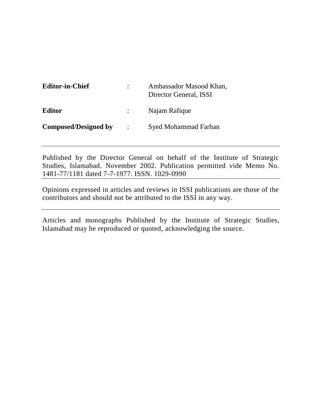| <b>Editor-in-Chief</b>      |                      | Ambassador Masood Khan,<br>Director General, ISSI |  |  |
|-----------------------------|----------------------|---------------------------------------------------|--|--|
| <b>Editor</b>               |                      | Najam Rafique                                     |  |  |
| <b>Composed/Designed by</b> | $\ddot{\phantom{a}}$ | <b>Syed Mohammad Farhan</b>                       |  |  |

Published by the Director General on behalf of the Institute of Strategic Studies, Islamabad. November 2002. Publication permitted vide Memo No. 1481-77/1181 dated 7-7-1977. ISSN. 1029-0990

Opinions expressed in articles and reviews in ISSI publications are those of the contributors and should not be attributed to the ISSI in any way.

Articles and monographs Published by the Institute of Strategic Studies, Islamabad may be reproduced or quoted, acknowledging the source.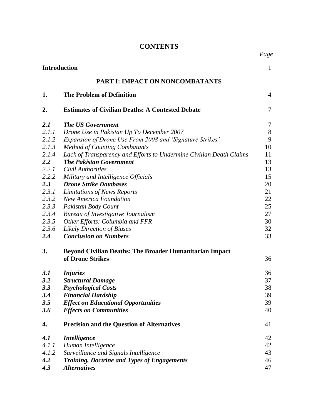### **CONTENTS**

*Page*

|       | <b>Introduction</b>                                                 |        |  |  |
|-------|---------------------------------------------------------------------|--------|--|--|
|       | PART I: IMPACT ON NONCOMBATANTS                                     |        |  |  |
| 1.    | <b>The Problem of Definition</b>                                    | 4      |  |  |
| 2.    | <b>Estimates of Civilian Deaths: A Contested Debate</b>             | 7      |  |  |
| 2.1   | <b>The US Government</b>                                            | $\tau$ |  |  |
| 2.1.1 | Drone Use in Pakistan Up To December 2007                           | 8      |  |  |
| 2.1.2 | Expansion of Drone Use From 2008 and 'Signature Strikes'            | 9      |  |  |
| 2.1.3 | <b>Method of Counting Combatants</b>                                | 10     |  |  |
| 2.1.4 | Lack of Transparency and Efforts to Undermine Civilian Death Claims | 11     |  |  |
| 2.2   | <b>The Pakistan Government</b>                                      | 13     |  |  |
| 2.2.1 | Civil Authorities                                                   | 13     |  |  |
| 2.2.2 | Military and Intelligence Officials                                 | 15     |  |  |
| 2.3   | <b>Drone Strike Databases</b>                                       | 20     |  |  |
| 2.3.1 | Limitations of News Reports                                         | 21     |  |  |
| 2.3.2 | <b>New America Foundation</b>                                       | 22     |  |  |
| 2.3.3 | Pakistan Body Count                                                 | 25     |  |  |
| 2.3.4 | <b>Bureau of Investigative Journalism</b>                           | 27     |  |  |
| 2.3.5 | Other Efforts: Columbia and FFR                                     | 30     |  |  |
| 2.3.6 | <b>Likely Direction of Biases</b>                                   | 32     |  |  |
| 2.4   | <b>Conclusion on Numbers</b>                                        | 33     |  |  |
| 3.    | <b>Beyond Civilian Deaths: The Broader Humanitarian Impact</b>      |        |  |  |
|       | of Drone Strikes                                                    | 36     |  |  |
| 3.1   | <b>Injuries</b>                                                     | 36     |  |  |
| 3.2   | <b>Structural Damage</b>                                            | 37     |  |  |
| 3.3   | <b>Psychological Costs</b>                                          | 38     |  |  |
| 3.4   | <b>Financial Hardship</b>                                           | 39     |  |  |
| 3.5   | <b>Effect on Educational Opportunities</b>                          | 39     |  |  |
| 3.6   | <b>Effects on Communities</b>                                       | 40     |  |  |
| 4.    | <b>Precision and the Question of Alternatives</b>                   | 41     |  |  |
| 4.1   | <b>Intelligence</b>                                                 | 42     |  |  |
| 4.1.1 | Human Intelligence                                                  | 42     |  |  |
| 4.1.2 | Surveillance and Signals Intelligence                               | 43     |  |  |
| 4.2   | <b>Training, Doctrine and Types of Engagements</b>                  | 46     |  |  |
| 4.3   | <b>Alternatives</b>                                                 | 47     |  |  |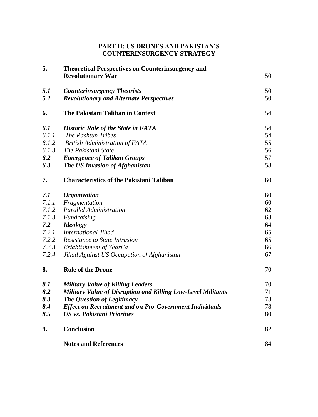#### **PART II: US DRONES AND PAKISTAN'S COUNTERINSURGENCY STRATEGY**

| 5.    | <b>Theoretical Perspectives on Counterinsurgency and</b>       |    |
|-------|----------------------------------------------------------------|----|
|       | <b>Revolutionary War</b>                                       | 50 |
| 5.1   | <b>Counterinsurgency Theorists</b>                             | 50 |
| 5.2   | <b>Revolutionary and Alternate Perspectives</b>                | 50 |
| 6.    | The Pakistani Taliban in Context                               | 54 |
| 6.1   | <b>Historic Role of the State in FATA</b>                      | 54 |
| 6.1.1 | The Pashtun Tribes                                             | 54 |
| 6.1.2 | <b>British Administration of FATA</b>                          | 55 |
| 6.1.3 | The Pakistani State                                            | 56 |
| 6.2   | <b>Emergence of Taliban Groups</b>                             | 57 |
| 6.3   | The US Invasion of Afghanistan                                 | 58 |
| 7.    | <b>Characteristics of the Pakistani Taliban</b>                | 60 |
| 7.1   | <b>Organization</b>                                            | 60 |
| 7.1.1 | Fragmentation                                                  | 60 |
| 7.1.2 | <b>Parallel Administration</b>                                 | 62 |
| 7.1.3 | Fundraising                                                    | 63 |
| 7.2   | <b>Ideology</b>                                                | 64 |
| 7.2.1 | <b>International Jihad</b>                                     | 65 |
| 7.2.2 | Resistance to State Intrusion                                  | 65 |
| 7.2.3 | Establishment of Shari'a                                       | 66 |
| 7.2.4 | Jihad Against US Occupation of Afghanistan                     | 67 |
| 8.    | <b>Role of the Drone</b>                                       | 70 |
| 8.1   | <b>Military Value of Killing Leaders</b>                       | 70 |
| 8.2   | Military Value of Disruption and Killing Low-Level Militants   | 71 |
| 8.3   | The Question of Legitimacy                                     | 73 |
| 8.4   | <b>Effect on Recruitment and on Pro-Government Individuals</b> | 78 |
| 8.5   | <b>US vs. Pakistani Priorities</b>                             | 80 |
| 9.    | <b>Conclusion</b>                                              | 82 |
|       | <b>Notes and References</b>                                    | 84 |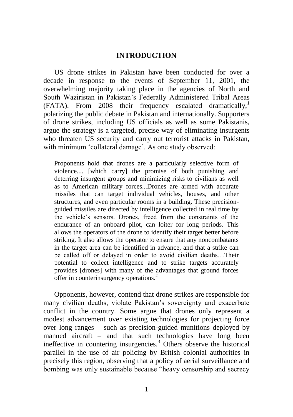#### **INTRODUCTION**

US drone strikes in Pakistan have been conducted for over a decade in response to the events of September 11, 2001, the overwhelming majority taking place in the agencies of North and South Waziristan in Pakistan's Federally Administered Tribal Areas  $(FATA)$ . From 2008 their frequency escalated dramatically,<sup>1</sup> polarizing the public debate in Pakistan and internationally. Supporters of drone strikes, including US officials as well as some Pakistanis, argue the strategy is a targeted, precise way of eliminating insurgents who threaten US security and carry out terrorist attacks in Pakistan, with minimum 'collateral damage'. As one study observed:

Proponents hold that drones are a particularly selective form of violence.... [which carry] the promise of both punishing and deterring insurgent groups and minimizing risks to civilians as well as to American military forces...Drones are armed with accurate missiles that can target individual vehicles, houses, and other structures, and even particular rooms in a building. These precisionguided missiles are directed by intelligence collected in real time by the vehicle's sensors. Drones, freed from the constraints of the endurance of an onboard pilot, can loiter for long periods. This allows the operators of the drone to identify their target better before striking. It also allows the operator to ensure that any noncombatants in the target area can be identified in advance, and that a strike can be called off or delayed in order to avoid civilian deaths…Their potential to collect intelligence and to strike targets accurately provides [drones] with many of the advantages that ground forces offer in counterinsurgency operations.<sup>2</sup>

Opponents, however, contend that drone strikes are responsible for many civilian deaths, violate Pakistan's sovereignty and exacerbate conflict in the country. Some argue that drones only represent a modest advancement over existing technologies for projecting force over long ranges – such as precision-guided munitions deployed by manned aircraft – and that such technologies have long been ineffective in countering insurgencies.<sup>3</sup> Others observe the historical parallel in the use of air policing by British colonial authorities in precisely this region, observing that a policy of aerial surveillance and bombing was only sustainable because "heavy censorship and secrecy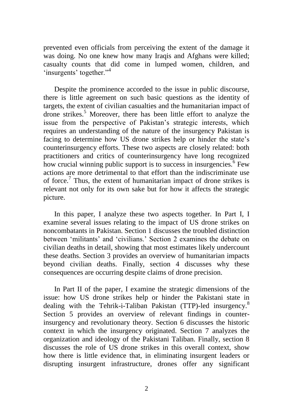prevented even officials from perceiving the extent of the damage it was doing. No one knew how many Iraqis and Afghans were killed; casualty counts that did come in lumped women, children, and 'insurgents' together."<sup>4</sup>

Despite the prominence accorded to the issue in public discourse, there is little agreement on such basic questions as the identity of targets, the extent of civilian casualties and the humanitarian impact of drone strikes.<sup>5</sup> Moreover, there has been little effort to analyze the issue from the perspective of Pakistan's strategic interests, which requires an understanding of the nature of the insurgency Pakistan is facing to determine how US drone strikes help or hinder the state's counterinsurgency efforts. These two aspects are closely related: both practitioners and critics of counterinsurgency have long recognized how crucial winning public support is to success in insurgencies.<sup>6</sup> Few actions are more detrimental to that effort than the indiscriminate use of force.<sup>7</sup> Thus, the extent of humanitarian impact of drone strikes is relevant not only for its own sake but for how it affects the strategic picture.

In this paper, I analyze these two aspects together. In Part I, I examine several issues relating to the impact of US drone strikes on noncombatants in Pakistan. Section 1 discusses the troubled distinction between 'militants' and 'civilians.' Section 2 examines the debate on civilian deaths in detail, showing that most estimates likely undercount these deaths. Section 3 provides an overview of humanitarian impacts beyond civilian deaths. Finally, section 4 discusses why these consequences are occurring despite claims of drone precision.

In Part II of the paper, I examine the strategic dimensions of the issue: how US drone strikes help or hinder the Pakistani state in dealing with the Tehrik-i-Taliban Pakistan (TTP)-led insurgency.<sup>8</sup> Section 5 provides an overview of relevant findings in counterinsurgency and revolutionary theory. Section 6 discusses the historic context in which the insurgency originated. Section 7 analyzes the organization and ideology of the Pakistani Taliban. Finally, section 8 discusses the role of US drone strikes in this overall context, show how there is little evidence that, in eliminating insurgent leaders or disrupting insurgent infrastructure, drones offer any significant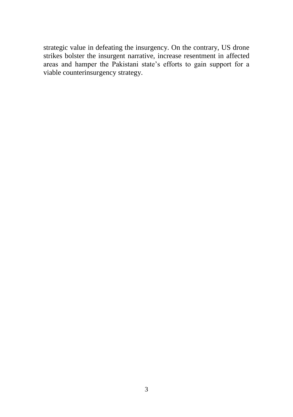strategic value in defeating the insurgency. On the contrary, US drone strikes bolster the insurgent narrative, increase resentment in affected areas and hamper the Pakistani state's efforts to gain support for a viable counterinsurgency strategy.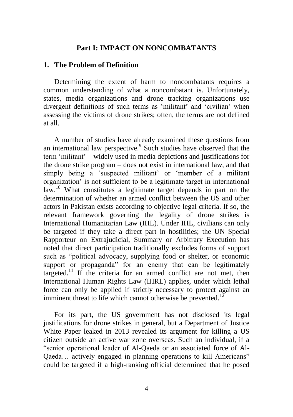#### **Part I: IMPACT ON NONCOMBATANTS**

#### **1. The Problem of Definition**

Determining the extent of harm to noncombatants requires a common understanding of what a noncombatant is. Unfortunately, states, media organizations and drone tracking organizations use divergent definitions of such terms as 'militant' and 'civilian' when assessing the victims of drone strikes; often, the terms are not defined at all.

A number of studies have already examined these questions from an international law perspective.<sup>9</sup> Such studies have observed that the term ‗militant' – widely used in media depictions and justifications for the drone strike program – does not exist in international law, and that simply being a 'suspected militant' or 'member of a militant organization' is not sufficient to be a legitimate target in international law.<sup>10</sup> What constitutes a legitimate target depends in part on the determination of whether an armed conflict between the US and other actors in Pakistan exists according to objective legal criteria. If so, the relevant framework governing the legality of drone strikes is International Humanitarian Law (IHL). Under IHL, civilians can only be targeted if they take a direct part in hostilities; the UN Special Rapporteur on Extrajudicial, Summary or Arbitrary Execution has noted that direct participation traditionally excludes forms of support such as "political advocacy, supplying food or shelter, or economic support or propaganda" for an enemy that can be legitimately targeted.<sup>11</sup> If the criteria for an armed conflict are not met, then International Human Rights Law (IHRL) applies, under which lethal force can only be applied if strictly necessary to protect against an imminent threat to life which cannot otherwise be prevented.<sup>12</sup>

For its part, the US government has not disclosed its legal justifications for drone strikes in general, but a Department of Justice White Paper leaked in 2013 revealed its argument for killing a US citizen outside an active war zone overseas. Such an individual, if a ―senior operational leader of Al-Qaeda or an associated force of Al-Qaeda... actively engaged in planning operations to kill Americans" could be targeted if a high-ranking official determined that he posed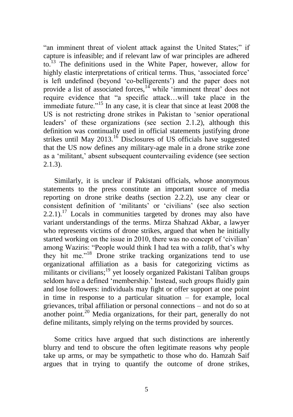"an imminent threat of violent attack against the United States;" if capture is infeasible; and if relevant law of war principles are adhered to.<sup>13</sup> The definitions used in the White Paper, however, allow for highly elastic interpretations of critical terms. Thus, 'associated force' is left undefined (beyond 'co-belligerents') and the paper does not provide a list of associated forces,  $14$  while 'imminent threat' does not require evidence that "a specific attack...will take place in the immediate future.<sup> $15$ </sup> In any case, it is clear that since at least 2008 the US is not restricting drone strikes in Pakistan to 'senior operational leaders' of these organizations (see section 2.1.2), although this definition was continually used in official statements justifying drone strikes until May  $2013$ .<sup>16</sup> Disclosures of US officials have suggested that the US now defines any military-age male in a drone strike zone as a ‗militant,' absent subsequent countervailing evidence (see section 2.1.3).

Similarly, it is unclear if Pakistani officials, whose anonymous statements to the press constitute an important source of media reporting on drone strike deaths (section 2.2.2), use any clear or consistent definition of ‗militants' or ‗civilians' (see also section  $2.2.1$ ).<sup>17</sup> Locals in communities targeted by drones may also have variant understandings of the terms. Mirza Shahzad Akbar, a lawyer who represents victims of drone strikes, argued that when he initially started working on the issue in 2010, there was no concept of 'civilian' among Waziris: "People would think I had tea with a *talib*, that's why they hit me."<sup>18</sup> Drone strike tracking organizations tend to use organizational affiliation as a basis for categorizing victims as militants or civilians;<sup>19</sup> yet loosely organized Pakistani Taliban groups seldom have a defined 'membership.' Instead, such groups fluidly gain and lose followers: individuals may fight or offer support at one point in time in response to a particular situation – for example, local grievances, tribal affiliation or personal connections – and not do so at another point.<sup>20</sup> Media organizations, for their part, generally do not define militants, simply relying on the terms provided by sources.

Some critics have argued that such distinctions are inherently blurry and tend to obscure the often legitimate reasons why people take up arms, or may be sympathetic to those who do. Hamzah Saif argues that in trying to quantify the outcome of drone strikes,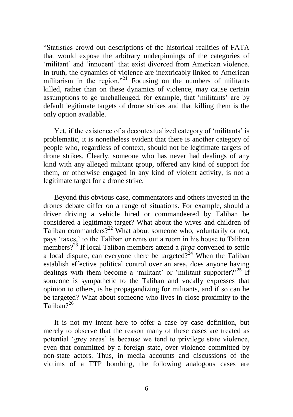―Statistics crowd out descriptions of the historical realities of FATA that would expose the arbitrary underpinnings of the categories of ‗militant' and ‗innocent' that exist divorced from American violence. In truth, the dynamics of violence are inextricably linked to American militarism in the region.<sup> $21$ </sup> Focusing on the numbers of militants killed, rather than on these dynamics of violence, may cause certain assumptions to go unchallenged, for example, that 'militants' are by default legitimate targets of drone strikes and that killing them is the only option available.

Yet, if the existence of a decontextualized category of 'militants' is problematic, it is nonetheless evident that there is another category of people who, regardless of context, should not be legitimate targets of drone strikes. Clearly, someone who has never had dealings of any kind with any alleged militant group, offered any kind of support for them, or otherwise engaged in any kind of violent activity, is not a legitimate target for a drone strike.

Beyond this obvious case, commentators and others invested in the drones debate differ on a range of situations. For example, should a driver driving a vehicle hired or commandeered by Taliban be considered a legitimate target? What about the wives and children of Taliban commanders? $2^{22}$  What about someone who, voluntarily or not, pays ‗taxes,' to the Taliban or rents out a room in his house to Taliban members?<sup>23</sup> If local Taliban members attend a *jirga* convened to settle a local dispute, can everyone there be targeted?<sup>24</sup> When the Taliban establish effective political control over an area, does anyone having dealings with them become a 'militant' or 'militant supporter? $2^{25}$  If someone is sympathetic to the Taliban and vocally expresses that opinion to others, is he propagandizing for militants, and if so can he be targeted? What about someone who lives in close proximity to the Taliban $2^{26}$ 

It is not my intent here to offer a case by case definition, but merely to observe that the reason many of these cases are treated as potential ‗grey areas' is because we tend to privilege state violence, even that committed by a foreign state, over violence committed by non-state actors. Thus, in media accounts and discussions of the victims of a TTP bombing, the following analogous cases are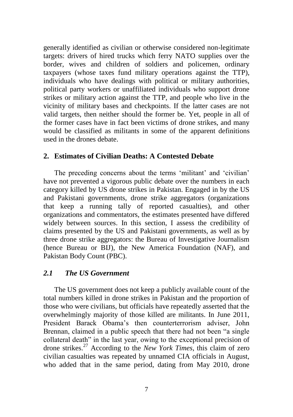generally identified as civilian or otherwise considered non-legitimate targets: drivers of hired trucks which ferry NATO supplies over the border, wives and children of soldiers and policemen, ordinary taxpayers (whose taxes fund military operations against the TTP), individuals who have dealings with political or military authorities, political party workers or unaffiliated individuals who support drone strikes or military action against the TTP, and people who live in the vicinity of military bases and checkpoints. If the latter cases are not valid targets, then neither should the former be. Yet, people in all of the former cases have in fact been victims of drone strikes, and many would be classified as militants in some of the apparent definitions used in the drones debate.

#### **2. Estimates of Civilian Deaths: A Contested Debate**

The preceding concerns about the terms 'militant' and 'civilian' have not prevented a vigorous public debate over the numbers in each category killed by US drone strikes in Pakistan. Engaged in by the US and Pakistani governments, drone strike aggregators (organizations that keep a running tally of reported casualties), and other organizations and commentators, the estimates presented have differed widely between sources. In this section, I assess the credibility of claims presented by the US and Pakistani governments, as well as by three drone strike aggregators: the Bureau of Investigative Journalism (hence Bureau or BIJ), the New America Foundation (NAF), and Pakistan Body Count (PBC).

#### *2.1 The US Government*

The US government does not keep a publicly available count of the total numbers killed in drone strikes in Pakistan and the proportion of those who were civilians, but officials have repeatedly asserted that the overwhelmingly majority of those killed are militants. In June 2011, President Barack Obama's then counterterrorism adviser, John Brennan, claimed in a public speech that there had not been "a single" collateral death" in the last year, owing to the exceptional precision of drone strikes.<sup>27</sup> According to the *New York Times*, this claim of zero civilian casualties was repeated by unnamed CIA officials in August, who added that in the same period, dating from May 2010, drone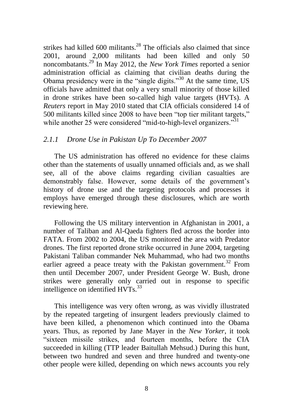strikes had killed  $600$  militants.<sup>28</sup> The officials also claimed that since 2001, around 2,000 militants had been killed and only 50 noncombatants.<sup>29</sup> In May 2012, the *New York Times* reported a senior administration official as claiming that civilian deaths during the Obama presidency were in the "single digits."<sup>30</sup> At the same time,  $US$ officials have admitted that only a very small minority of those killed in drone strikes have been so-called high value targets (HVTs). A *Reuters* report in May 2010 stated that CIA officials considered 14 of 500 militants killed since 2008 to have been "top tier militant targets," while another 25 were considered "mid-to-high-level organizers."<sup>31</sup>

#### *2.1.1 Drone Use in Pakistan Up To December 2007*

The US administration has offered no evidence for these claims other than the statements of usually unnamed officials and, as we shall see, all of the above claims regarding civilian casualties are demonstrably false. However, some details of the government's history of drone use and the targeting protocols and processes it employs have emerged through these disclosures, which are worth reviewing here.

Following the US military intervention in Afghanistan in 2001, a number of Taliban and Al-Qaeda fighters fled across the border into FATA. From 2002 to 2004, the US monitored the area with Predator drones. The first reported drone strike occurred in June 2004, targeting Pakistani Taliban commander Nek Muhammad, who had two months earlier agreed a peace treaty with the Pakistan government.<sup>32</sup> From then until December 2007, under President George W. Bush, drone strikes were generally only carried out in response to specific intelligence on identified  $HVTs$ <sup>33</sup>

This intelligence was very often wrong, as was vividly illustrated by the repeated targeting of insurgent leaders previously claimed to have been killed, a phenomenon which continued into the Obama years. Thus, as reported by Jane Mayer in the *New Yorker*, it took "sixteen missile strikes, and fourteen months, before the CIA succeeded in killing (TTP leader Baitullah Mehsud.) During this hunt, between two hundred and seven and three hundred and twenty-one other people were killed, depending on which news accounts you rely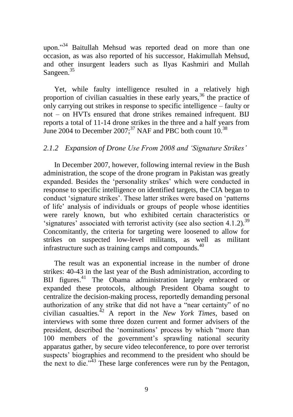upon."<sup>34</sup> Baitullah Mehsud was reported dead on more than one occasion, as was also reported of his successor, Hakimullah Mehsud, and other insurgent leaders such as Ilyas Kashmiri and Mullah Sangeen.<sup>35</sup>

Yet, while faulty intelligence resulted in a relatively high proportion of civilian casualties in these early years,  $36$  the practice of only carrying out strikes in response to specific intelligence – faulty or not – on HVTs ensured that drone strikes remained infrequent. BIJ reports a total of 11-14 drone strikes in the three and a half years from June 2004 to December 2007;<sup>37</sup> NAF and PBC both count  $10^{38}$ 

#### *2.1.2 Expansion of Drone Use From 2008 and "Signature Strikes"*

In December 2007, however, following internal review in the Bush administration, the scope of the drone program in Pakistan was greatly expanded. Besides the 'personality strikes' which were conducted in response to specific intelligence on identified targets, the CIA began to conduct 'signature strikes'. These latter strikes were based on 'patterns' of life' analysis of individuals or groups of people whose identities were rarely known, but who exhibited certain characteristics or 'signatures' associated with terrorist activity (see also section 4.1.2).<sup>39</sup> Concomitantly, the criteria for targeting were loosened to allow for strikes on suspected low-level militants, as well as militant infrastructure such as training camps and compounds. $40$ 

The result was an exponential increase in the number of drone strikes: 40-43 in the last year of the Bush administration, according to BIJ figures.<sup>41</sup> The Obama administration largely embraced or expanded these protocols, although President Obama sought to centralize the decision-making process, reportedly demanding personal authorization of any strike that did not have a "near certainty" of no civilian casualties.<sup>42</sup> A report in the *New York Times*, based on interviews with some three dozen current and former advisers of the president, described the 'nominations' process by which "more than 100 members of the government's sprawling national security apparatus gather, by secure video teleconference, to pore over terrorist suspects' biographies and recommend to the president who should be the next to die. $143$  These large conferences were run by the Pentagon,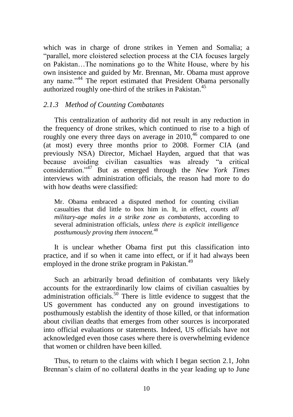which was in charge of drone strikes in Yemen and Somalia; a "parallel, more cloistered selection process at the CIA focuses largely on Pakistan…The nominations go to the White House, where by his own insistence and guided by Mr. Brennan, Mr. Obama must approve any name."<sup>44</sup> The report estimated that President Obama personally authorized roughly one-third of the strikes in Pakistan.<sup>45</sup>

#### *2.1.3 Method of Counting Combatants*

This centralization of authority did not result in any reduction in the frequency of drone strikes, which continued to rise to a high of roughly one every three days on average in  $2010$ ,<sup>46</sup> compared to one (at most) every three months prior to 2008. Former CIA (and previously NSA) Director, Michael Hayden, argued that that was because avoiding civilian casualties was already "a critical consideration.‖<sup>47</sup> But as emerged through the *New York Times* interviews with administration officials, the reason had more to do with how deaths were classified:

Mr. Obama embraced a disputed method for counting civilian casualties that did little to box him in. It, in effect, *counts all military-age males in a strike zone as combatants,* according to several administration officials, *unless there is explicit intelligence posthumously proving them innocent.*<sup>48</sup>

It is unclear whether Obama first put this classification into practice, and if so when it came into effect, or if it had always been employed in the drone strike program in Pakistan.<sup>49</sup>

Such an arbitrarily broad definition of combatants very likely accounts for the extraordinarily low claims of civilian casualties by administration officials.<sup>50</sup> There is little evidence to suggest that the US government has conducted any on ground investigations to posthumously establish the identity of those killed, or that information about civilian deaths that emerges from other sources is incorporated into official evaluations or statements. Indeed, US officials have not acknowledged even those cases where there is overwhelming evidence that women or children have been killed.

Thus, to return to the claims with which I began section 2.1, John Brennan's claim of no collateral deaths in the year leading up to June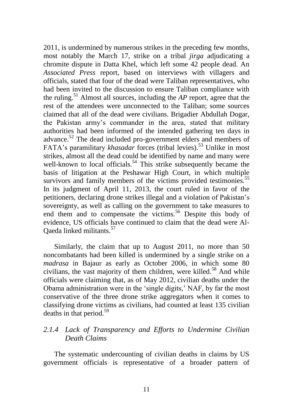2011, is undermined by numerous strikes in the preceding few months, most notably the March 17, strike on a tribal *jirga* adjudicating a chromite dispute in Datta Khel, which left some 42 people dead. An *Associated Press* report, based on interviews with villagers and officials, stated that four of the dead were Taliban representatives, who had been invited to the discussion to ensure Taliban compliance with the ruling.<sup>51</sup> Almost all sources, including the *AP* report, agree that the rest of the attendees were unconnected to the Taliban; some sources claimed that all of the dead were civilians. Brigadier Abdullah Dogar, the Pakistan army's commander in the area, stated that military authorities had been informed of the intended gathering ten days in advance.<sup>52</sup> The dead included pro-government elders and members of FATA's paramilitary *khasadar* forces (tribal levies).<sup>53</sup> Unlike in most strikes, almost all the dead could be identified by name and many were well-known to local officials.<sup>54</sup> This strike subsequently became the basis of litigation at the Peshawar High Court, in which multiple survivors and family members of the victims provided testimonies.<sup>55</sup> In its judgment of April 11, 2013, the court ruled in favor of the petitioners, declaring drone strikes illegal and a violation of Pakistan's sovereignty, as well as calling on the government to take measures to end them and to compensate the victims.<sup>56</sup> Despite this body of evidence, US officials have continued to claim that the dead were Al-Qaeda linked militants.<sup>57</sup>

Similarly, the claim that up to August 2011, no more than 50 noncombatants had been killed is undermined by a single strike on a *madrasa* in Bajaur as early as October 2006, in which some 80 civilians, the vast majority of them children, were killed.<sup>58</sup> And while officials were claiming that, as of May 2012, civilian deaths under the Obama administration were in the 'single digits,' NAF, by far the most conservative of the three drone strike aggregators when it comes to classifying drone victims as civilians, had counted at least 135 civilian deaths in that period.<sup>59</sup>

### *2.1.4 Lack of Transparency and Efforts to Undermine Civilian Death Claims*

The systematic undercounting of civilian deaths in claims by US government officials is representative of a broader pattern of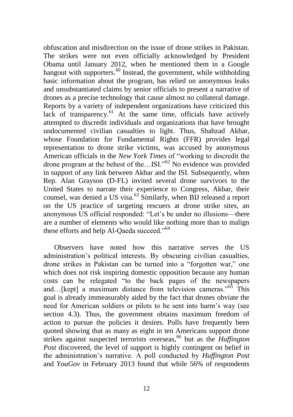obfuscation and misdirection on the issue of drone strikes in Pakistan. The strikes were not even officially acknowledged by President Obama until January 2012, when he mentioned them in a Google hangout with supporters.<sup>60</sup> Instead, the government, while withholding basic information about the program, has relied on anonymous leaks and unsubstantiated claims by senior officials to present a narrative of drones as a precise technology that cause almost no collateral damage. Reports by a variety of independent organizations have criticized this lack of transparency.<sup>61</sup> At the same time, officials have actively attempted to discredit individuals and organizations that have brought undocumented civilian casualties to light. Thus, Shahzad Akbar, whose Foundation for Fundamental Rights (FFR) provides legal representation to drone strike victims, was accused by anonymous American officials in the *New York Times* of "working to discredit the drone program at the behest of the... $ISI.^{0.62}$  No evidence was provided in support of any link between Akbar and the ISI. Subsequently, when Rep. Alan Grayson (D-FL) invited several drone survivors to the United States to narrate their experience to Congress, Akbar, their counsel, was denied a US visa.<sup>63</sup> Similarly, when BIJ released a report on the US practice of targeting rescuers at drone strike sites, an anonymous US official responded: "Let's be under no illusions—there are a number of elements who would like nothing more than to malign these efforts and help Al-Qaeda succeed."<sup>64</sup>

Observers have noted how this narrative serves the US administration's political interests. By obscuring civilian casualties, drone strikes in Pakistan can be turned into a "forgotten war," one which does not risk inspiring domestic opposition because any human costs can be relegated "to the back pages of the newspapers" and…[kept] a maximum distance from television cameras.<sup> $.65$ </sup> This goal is already immeasurably aided by the fact that drones obviate the need for American soldiers or pilots to be sent into harm's way (see section 4.3). Thus, the government obtains maximum freedom of action to pursue the policies it desires. Polls have frequently been quoted showing that as many as eight in ten Americans support drone strikes against suspected terrorists overseas,<sup>66</sup> but as the *Huffington Post* discovered, the level of support is highly contingent on belief in the administration's narrative. A poll conducted by *Huffington Post* and *YouGov* in February 2013 found that while 56% of respondents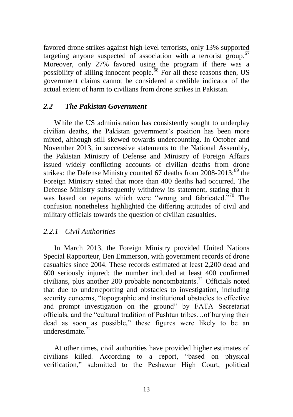favored drone strikes against high-level terrorists, only 13% supported targeting anyone suspected of association with a terrorist group.<sup>67</sup> Moreover, only 27% favored using the program if there was a possibility of killing innocent people.<sup>68</sup> For all these reasons then, US government claims cannot be considered a credible indicator of the actual extent of harm to civilians from drone strikes in Pakistan.

#### *2.2 The Pakistan Government*

While the US administration has consistently sought to underplay civilian deaths, the Pakistan government's position has been more mixed, although still skewed towards undercounting. In October and November 2013, in successive statements to the National Assembly, the Pakistan Ministry of Defense and Ministry of Foreign Affairs issued widely conflicting accounts of civilian deaths from drone strikes: the Defense Ministry counted 67 deaths from  $2008-2013$ ;<sup>69</sup> the Foreign Ministry stated that more than 400 deaths had occurred. The Defense Ministry subsequently withdrew its statement, stating that it was based on reports which were "wrong and fabricated."<sup>70</sup> The confusion nonetheless highlighted the differing attitudes of civil and military officials towards the question of civilian casualties.

#### *2.2.1 Civil Authorities*

In March 2013, the Foreign Ministry provided United Nations Special Rapporteur, Ben Emmerson, with government records of drone casualties since 2004. These records estimated at least 2,200 dead and 600 seriously injured; the number included at least 400 confirmed civilians, plus another 200 probable noncombatants.<sup>71</sup> Officials noted that due to underreporting and obstacles to investigation, including security concerns, "topographic and institutional obstacles to effective and prompt investigation on the ground" by FATA Secretariat officials, and the "cultural tradition of Pashtun tribes... of burying their dead as soon as possible," these figures were likely to be an underestimate  $^{72}$ 

At other times, civil authorities have provided higher estimates of civilians killed. According to a report, "based on physical verification," submitted to the Peshawar High Court, political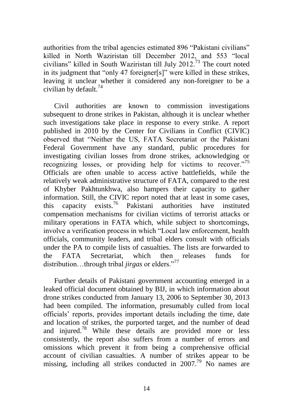authorities from the tribal agencies estimated 896 "Pakistani civilians" killed in North Waziristan till December 2012, and 553 "local civilians" killed in South Waziristan till July 2012.<sup>73</sup> The court noted in its judgment that "only 47 foreigner[s]" were killed in these strikes, leaving it unclear whether it considered any non-foreigner to be a civilian by default. $74$ 

Civil authorities are known to commission investigations subsequent to drone strikes in Pakistan, although it is unclear whether such investigations take place in response to every strike. A report published in 2010 by the Center for Civilians in Conflict (CIVIC) observed that "Neither the US, FATA Secretariat or the Pakistani Federal Government have any standard, public procedures for investigating civilian losses from drone strikes, acknowledging or recognizing losses, or providing help for victims to recover. $175$ Officials are often unable to access active battlefields, while the relatively weak administrative structure of FATA, compared to the rest of Khyber Pakhtunkhwa, also hampers their capacity to gather information. Still, the CIVIC report noted that at least in some cases, this capacity exists.<sup>76</sup> Pakistani authorities have instituted compensation mechanisms for civilian victims of terrorist attacks or military operations in FATA which, while subject to shortcomings, involve a verification process in which "Local law enforcement, health officials, community leaders, and tribal elders consult with officials under the PA to compile lists of casualties. The lists are forwarded to the FATA Secretariat, which then releases funds for distribution...through tribal *jirgas* or elders."<sup>77</sup>

Further details of Pakistani government accounting emerged in a leaked official document obtained by BIJ, in which information about drone strikes conducted from January 13, 2006 to September 30, 2013 had been compiled. The information, presumably culled from local officials' reports, provides important details including the time, date and location of strikes, the purported target, and the number of dead and injured.<sup>78</sup> While these details are provided more or less consistently, the report also suffers from a number of errors and omissions which prevent it from being a comprehensive official account of civilian casualties. A number of strikes appear to be missing, including all strikes conducted in  $2007<sup>79</sup>$  No names are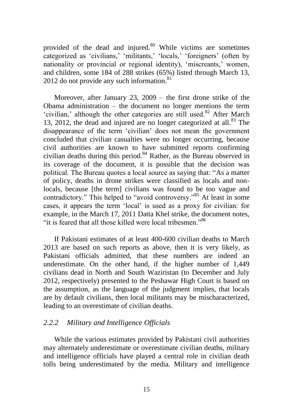provided of the dead and injured. $80$  While victims are sometimes categorized as 'civilians,' 'militants,' 'locals,' 'foreigners' (often by nationality or provincial or regional identity), 'miscreants,' women, and children, some 184 of 288 strikes (65%) listed through March 13, 2012 do not provide any such information.<sup>81</sup>

Moreover, after January 23, 2009 – the first drone strike of the Obama administration – the document no longer mentions the term 'civilian,' although the other categories are still used. $82$  After March 13, 2012, the dead and injured are no longer categorized at all. $83$  The disappearance of the term 'civilian' does not mean the government concluded that civilian casualties were no longer occurring, because civil authorities are known to have submitted reports confirming civilian deaths during this period. $84$  Rather, as the Bureau observed in its coverage of the document, it is possible that the decision was political. The Bureau quotes a local source as saying that: "As a matter of policy, deaths in drone strikes were classified as locals and nonlocals, because [the term] civilians was found to be too vague and contradictory." This helped to "avoid controversy."<sup>85</sup> At least in some cases, it appears the term 'local' is used as a proxy for civilian: for example, in the March 17, 2011 Datta Khel strike, the document notes, "it is feared that all those killed were local tribesmen."<sup>86</sup>

If Pakistani estimates of at least 400-600 civilian deaths to March 2013 are based on such reports as above, then it is very likely, as Pakistani officials admitted, that these numbers are indeed an underestimate. On the other hand, if the higher number of 1,449 civilians dead in North and South Waziristan (to December and July 2012, respectively) presented to the Peshawar High Court is based on the assumption, as the language of the judgment implies, that locals are by default civilians, then local militants may be mischaracterized, leading to an overestimate of civilian deaths.

#### *2.2.2 Military and Intelligence Officials*

While the various estimates provided by Pakistani civil authorities may alternately underestimate or overestimate civilian deaths, military and intelligence officials have played a central role in civilian death tolls being underestimated by the media. Military and intelligence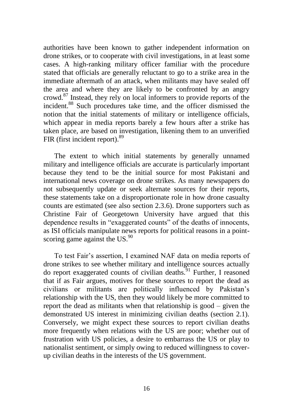authorities have been known to gather independent information on drone strikes, or to cooperate with civil investigations, in at least some cases. A high-ranking military officer familiar with the procedure stated that officials are generally reluctant to go to a strike area in the immediate aftermath of an attack, when militants may have sealed off the area and where they are likely to be confronted by an angry crowd.<sup>87</sup> Instead, they rely on local informers to provide reports of the incident.<sup>88</sup> Such procedures take time, and the officer dismissed the notion that the initial statements of military or intelligence officials, which appear in media reports barely a few hours after a strike has taken place, are based on investigation, likening them to an unverified FIR (first incident report).<sup>89</sup>

The extent to which initial statements by generally unnamed military and intelligence officials are accurate is particularly important because they tend to be the initial source for most Pakistani and international news coverage on drone strikes. As many newspapers do not subsequently update or seek alternate sources for their reports, these statements take on a disproportionate role in how drone casualty counts are estimated (see also section 2.3.6). Drone supporters such as Christine Fair of Georgetown University have argued that this dependence results in "exaggerated counts" of the deaths of innocents, as ISI officials manipulate news reports for political reasons in a pointscoring game against the US. $90$ 

To test Fair's assertion, I examined NAF data on media reports of drone strikes to see whether military and intelligence sources actually do report exaggerated counts of civilian deaths.<sup>91</sup> Further, I reasoned that if as Fair argues, motives for these sources to report the dead as civilians or militants are politically influenced by Pakistan's relationship with the US, then they would likely be more committed to report the dead as militants when that relationship is good – given the demonstrated US interest in minimizing civilian deaths (section 2.1). Conversely, we might expect these sources to report civilian deaths more frequently when relations with the US are poor; whether out of frustration with US policies, a desire to embarrass the US or play to nationalist sentiment, or simply owing to reduced willingness to coverup civilian deaths in the interests of the US government.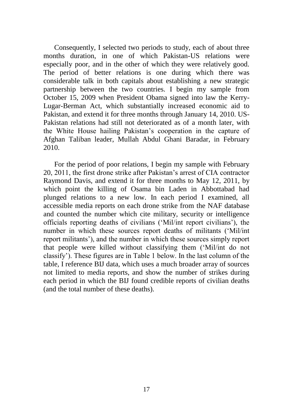Consequently, I selected two periods to study, each of about three months duration, in one of which Pakistan-US relations were especially poor, and in the other of which they were relatively good. The period of better relations is one during which there was considerable talk in both capitals about establishing a new strategic partnership between the two countries. I begin my sample from October 15, 2009 when President Obama signed into law the Kerry-Lugar-Berman Act, which substantially increased economic aid to Pakistan, and extend it for three months through January 14, 2010. US-Pakistan relations had still not deteriorated as of a month later, with the White House hailing Pakistan's cooperation in the capture of Afghan Taliban leader, Mullah Abdul Ghani Baradar, in February 2010.

For the period of poor relations, I begin my sample with February 20, 2011, the first drone strike after Pakistan's arrest of CIA contractor Raymond Davis, and extend it for three months to May 12, 2011, by which point the killing of Osama bin Laden in Abbottabad had plunged relations to a new low. In each period I examined, all accessible media reports on each drone strike from the NAF database and counted the number which cite military, security or intelligence officials reporting deaths of civilians (‗Mil/int report civilians'), the number in which these sources report deaths of militants ('Mil/int report militants'), and the number in which these sources simply report that people were killed without classifying them ('Mil/int do not classify'). These figures are in Table 1 below. In the last column of the table, I reference BIJ data, which uses a much broader array of sources not limited to media reports, and show the number of strikes during each period in which the BIJ found credible reports of civilian deaths (and the total number of these deaths).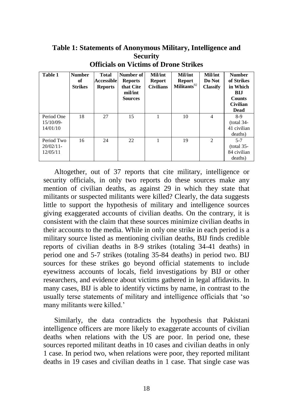**Table 1: Statements of Anonymous Military, Intelligence and Security Officials on Victims of Drone Strikes**

| <b>Table 1</b>                         | <b>Number</b><br>of<br><b>Strikes</b> | <b>Total</b><br>Accessible<br><b>Reports</b> | Number of<br><b>Reports</b><br>that Cite<br>mil/int<br><b>Sources</b> | <b>Mil/int</b><br><b>Report</b><br><b>Civilians</b> | <b>Mil/int</b><br><b>Report</b><br>Militants <sup>92</sup> | <b>Mil/int</b><br>Do Not<br><b>Classify</b> | <b>Number</b><br>of Strikes<br>in Which<br><b>BLI</b><br><b>Counts</b><br><b>Civilian</b><br>Dead |
|----------------------------------------|---------------------------------------|----------------------------------------------|-----------------------------------------------------------------------|-----------------------------------------------------|------------------------------------------------------------|---------------------------------------------|---------------------------------------------------------------------------------------------------|
| Period One<br>15/10/09-<br>14/01/10    | 18                                    | 27                                           | 15                                                                    |                                                     | 10                                                         | 4                                           | 8-9<br>$(total 34-$<br>41 civilian<br>deaths)                                                     |
| Period Two<br>$20/02/11$ -<br>12/05/11 | 16                                    | 24                                           | 22                                                                    |                                                     | 19                                                         | 2                                           | $5 - 7$<br>$(total 35-$<br>84 civilian<br>deaths)                                                 |

Altogether, out of 37 reports that cite military, intelligence or security officials, in only two reports do these sources make any mention of civilian deaths, as against 29 in which they state that militants or suspected militants were killed? Clearly, the data suggests little to support the hypothesis of military and intelligence sources giving exaggerated accounts of civilian deaths. On the contrary, it is consistent with the claim that these sources minimize civilian deaths in their accounts to the media. While in only one strike in each period is a military source listed as mentioning civilian deaths, BIJ finds credible reports of civilian deaths in 8-9 strikes (totaling 34-41 deaths) in period one and 5-7 strikes (totaling 35-84 deaths) in period two. BIJ sources for these strikes go beyond official statements to include eyewitness accounts of locals, field investigations by BIJ or other researchers, and evidence about victims gathered in legal affidavits. In many cases, BIJ is able to identify victims by name, in contrast to the usually terse statements of military and intelligence officials that 'so many militants were killed.'

Similarly, the data contradicts the hypothesis that Pakistani intelligence officers are more likely to exaggerate accounts of civilian deaths when relations with the US are poor. In period one, these sources reported militant deaths in 10 cases and civilian deaths in only 1 case. In period two, when relations were poor, they reported militant deaths in 19 cases and civilian deaths in 1 case. That single case was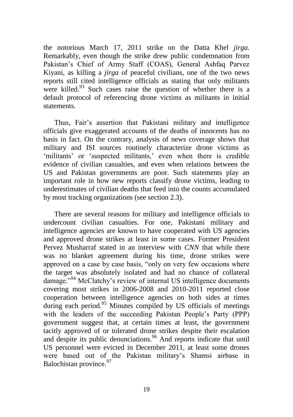the notorious March 17, 2011 strike on the Datta Khel *jirga*. Remarkably, even though the strike drew public condemnation from Pakistan's Chief of Army Staff (COAS), General Ashfaq Parvez Kiyani, as killing a *jirga* of peaceful civilians, one of the two news reports still cited intelligence officials as stating that only militants were killed. $93$  Such cases raise the question of whether there is a default protocol of referencing drone victims as militants in initial statements.

Thus, Fair's assertion that Pakistani military and intelligence officials give exaggerated accounts of the deaths of innocents has no basis in fact. On the contrary, analysis of news coverage shows that military and ISI sources routinely characterize drone victims as 'militants' or 'suspected militants,' even when there is credible evidence of civilian casualties, and even when relations between the US and Pakistan governments are poor. Such statements play an important role in how new reports classify drone victims, leading to underestimates of civilian deaths that feed into the counts accumulated by most tracking organizations (see section 2.3).

There are several reasons for military and intelligence officials to undercount civilian casualties. For one, Pakistani military and intelligence agencies are known to have cooperated with US agencies and approved drone strikes at least in some cases. Former President Pervez Musharraf stated in an interview with *CNN* that while there was no blanket agreement during his time, drone strikes were approved on a case by case basis, "only on very few occasions where the target was absolutely isolated and had no chance of collateral damage."<sup>94</sup> McClatchy's review of internal US intelligence documents covering most strikes in 2006-2008 and 2010-2011 reported close cooperation between intelligence agencies on both sides at times during each period.<sup>95</sup> Minutes compiled by US officials of meetings with the leaders of the succeeding Pakistan People's Party (PPP) government suggest that, at certain times at least, the government tacitly approved of or tolerated drone strikes despite their escalation and despite its public denunciations.<sup>96</sup> And reports indicate that until US personnel were evicted in December 2011, at least some drones were based out of the Pakistan military's Shamsi airbase in Balochistan province.<sup>97</sup>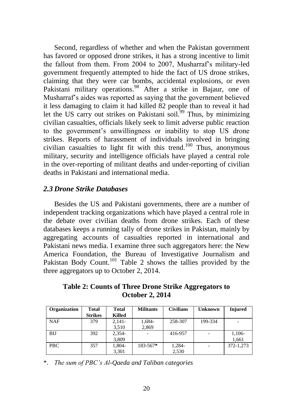Second, regardless of whether and when the Pakistan government has favored or opposed drone strikes, it has a strong incentive to limit the fallout from them. From 2004 to 2007, Musharraf's military-led government frequently attempted to hide the fact of US drone strikes, claiming that they were car bombs, accidental explosions, or even Pakistani military operations.<sup>98</sup> After a strike in Bajaur, one of Musharraf's aides was reported as saying that the government believed it less damaging to claim it had killed 82 people than to reveal it had let the US carry out strikes on Pakistani soil.<sup>99</sup> Thus, by minimizing civilian casualties, officials likely seek to limit adverse public reaction to the government's unwillingness or inability to stop US drone strikes. Reports of harassment of individuals involved in bringing civilian casualties to light fit with this trend.<sup>100</sup> Thus, anonymous military, security and intelligence officials have played a central role in the over-reporting of militant deaths and under-reporting of civilian deaths in Pakistani and international media.

#### *2.3 Drone Strike Databases*

Besides the US and Pakistani governments, there are a number of independent tracking organizations which have played a central role in the debate over civilian deaths from drone strikes. Each of these databases keeps a running tally of drone strikes in Pakistan, mainly by aggregating accounts of casualties reported in international and Pakistani news media. I examine three such aggregators here: the New America Foundation, the Bureau of Investigative Journalism and Pakistan Body Count.<sup>101</sup> Table 2 shows the tallies provided by the three aggregators up to October 2, 2014.

**Table 2: Counts of Three Drone Strike Aggregators to October 2, 2014**

| Organization | Total          | <b>Total</b>  | <b>Militants</b> | <b>Civilians</b> | <b>Unknown</b> | <b>Injured</b> |
|--------------|----------------|---------------|------------------|------------------|----------------|----------------|
|              | <b>Strikes</b> | <b>Killed</b> |                  |                  |                |                |
| <b>NAF</b>   | 379            | $2.141 -$     | 1,684-           | 258-307          | 199-334        |                |
|              |                | 3,510         | 2,869            |                  |                |                |
| BIJ          | 392            | $2.354-$      |                  | 416-957          |                | 1,106-         |
|              |                | 3,809         |                  |                  |                | 1,661          |
| PBC          | 357            | 1.804-        | $183 - 567*$     | 1,284-           |                | 372-1.273      |
|              |                | 3,301         |                  | 2,530            |                |                |

\*. *The sum of PBC"s Al-Qaeda and Taliban categories*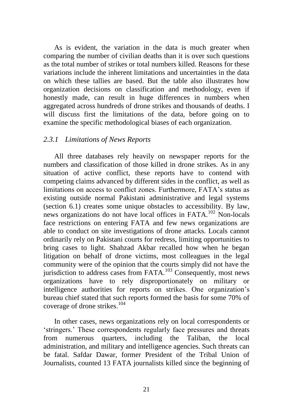As is evident, the variation in the data is much greater when comparing the number of civilian deaths than it is over such questions as the total number of strikes or total numbers killed. Reasons for these variations include the inherent limitations and uncertainties in the data on which these tallies are based. But the table also illustrates how organization decisions on classification and methodology, even if honestly made, can result in huge differences in numbers when aggregated across hundreds of drone strikes and thousands of deaths. I will discuss first the limitations of the data, before going on to examine the specific methodological biases of each organization.

#### *2.3.1 Limitations of News Reports*

All three databases rely heavily on newspaper reports for the numbers and classification of those killed in drone strikes. As in any situation of active conflict, these reports have to contend with competing claims advanced by different sides in the conflict, as well as limitations on access to conflict zones. Furthermore, FATA's status as existing outside normal Pakistani administrative and legal systems (section 6.1) creates some unique obstacles to accessibility. By law, news organizations do not have local offices in FATA.<sup>102</sup> Non-locals face restrictions on entering FATA and few news organizations are able to conduct on site investigations of drone attacks. Locals cannot ordinarily rely on Pakistani courts for redress, limiting opportunities to bring cases to light. Shahzad Akbar recalled how when he began litigation on behalf of drone victims, most colleagues in the legal community were of the opinion that the courts simply did not have the jurisdiction to address cases from FATA.<sup>103</sup> Consequently, most news organizations have to rely disproportionately on military or intelligence authorities for reports on strikes. One organization's bureau chief stated that such reports formed the basis for some 70% of coverage of drone strikes.<sup>104</sup>

In other cases, news organizations rely on local correspondents or ‗stringers.' These correspondents regularly face pressures and threats from numerous quarters, including the Taliban, the local administration, and military and intelligence agencies. Such threats can be fatal. Safdar Dawar, former President of the Tribal Union of Journalists, counted 13 FATA journalists killed since the beginning of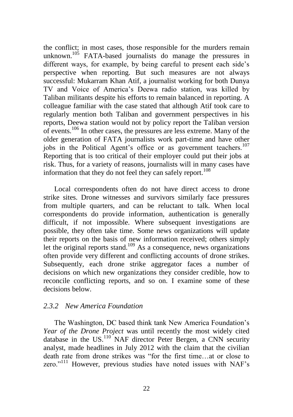the conflict; in most cases, those responsible for the murders remain unknown.<sup>105</sup> FATA-based journalists do manage the pressures in different ways, for example, by being careful to present each side's perspective when reporting. But such measures are not always successful: Mukarram Khan Atif, a journalist working for both Dunya TV and Voice of America's Deewa radio station, was killed by Taliban militants despite his efforts to remain balanced in reporting. A colleague familiar with the case stated that although Atif took care to regularly mention both Taliban and government perspectives in his reports, Deewa station would not by policy report the Taliban version of events.<sup>106</sup> In other cases, the pressures are less extreme. Many of the older generation of FATA journalists work part-time and have other jobs in the Political Agent's office or as government teachers.<sup>107</sup> Reporting that is too critical of their employer could put their jobs at risk. Thus, for a variety of reasons, journalists will in many cases have information that they do not feel they can safely report.<sup>108</sup>

Local correspondents often do not have direct access to drone strike sites. Drone witnesses and survivors similarly face pressures from multiple quarters, and can be reluctant to talk. When local correspondents do provide information, authentication is generally difficult, if not impossible. Where subsequent investigations are possible, they often take time. Some news organizations will update their reports on the basis of new information received; others simply let the original reports stand.<sup>109</sup> As a consequence, news organizations often provide very different and conflicting accounts of drone strikes. Subsequently, each drone strike aggregator faces a number of decisions on which new organizations they consider credible, how to reconcile conflicting reports, and so on. I examine some of these decisions below.

#### *2.3.2 New America Foundation*

The Washington, DC based think tank New America Foundation's *Year of the Drone Project* was until recently the most widely cited database in the US.<sup>110</sup> NAF director Peter Bergen, a CNN security analyst, made headlines in July 2012 with the claim that the civilian death rate from drone strikes was "for the first time...at or close to zero."<sup>111</sup> However, previous studies have noted issues with NAF's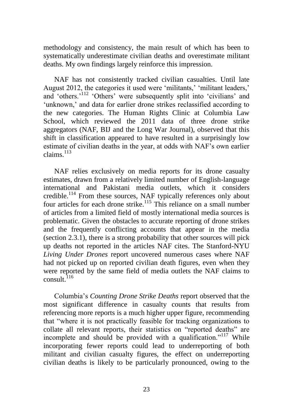methodology and consistency, the main result of which has been to systematically underestimate civilian deaths and overestimate militant deaths. My own findings largely reinforce this impression.

NAF has not consistently tracked civilian casualties. Until late August 2012, the categories it used were 'militants,' 'militant leaders,' and 'others.'<sup>112</sup> 'Others' were subsequently split into 'civilians' and 'unknown,' and data for earlier drone strikes reclassified according to the new categories. The Human Rights Clinic at Columbia Law School, which reviewed the 2011 data of three drone strike aggregators (NAF, BIJ and the Long War Journal), observed that this shift in classification appeared to have resulted in a surprisingly low estimate of civilian deaths in the year, at odds with NAF's own earlier claims.<sup>113</sup>

NAF relies exclusively on media reports for its drone casualty estimates, drawn from a relatively limited number of English-language international and Pakistani media outlets, which it considers credible.<sup>114</sup> From these sources, NAF typically references only about four articles for each drone strike.<sup>115</sup> This reliance on a small number of articles from a limited field of mostly international media sources is problematic. Given the obstacles to accurate reporting of drone strikes and the frequently conflicting accounts that appear in the media (section 2.3.1), there is a strong probability that other sources will pick up deaths not reported in the articles NAF cites. The Stanford-NYU *Living Under Drones* report uncovered numerous cases where NAF had not picked up on reported civilian death figures, even when they were reported by the same field of media outlets the NAF claims to consult  $^{116}$ 

Columbia's *Counting Drone Strike Deaths* report observed that the most significant difference in casualty counts that results from referencing more reports is a much higher upper figure, recommending that "where it is not practically feasible for tracking organizations to collate all relevant reports, their statistics on "reported deaths" are incomplete and should be provided with a qualification."<sup>117</sup> While incorporating fewer reports could lead to underreporting of both militant and civilian casualty figures, the effect on underreporting civilian deaths is likely to be particularly pronounced, owing to the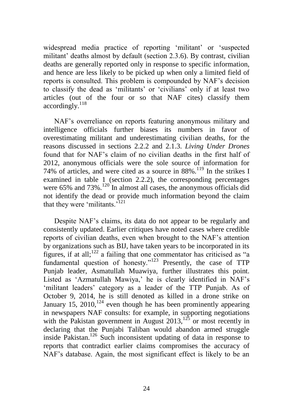widespread media practice of reporting 'militant' or 'suspected militant' deaths almost by default (section 2.3.6). By contrast, civilian deaths are generally reported only in response to specific information, and hence are less likely to be picked up when only a limited field of reports is consulted. This problem is compounded by NAF's decision to classify the dead as ‗militants' or ‗civilians' only if at least two articles (out of the four or so that NAF cites) classify them  $accordinglv.<sup>118</sup>$ 

NAF's overreliance on reports featuring anonymous military and intelligence officials further biases its numbers in favor of overestimating militant and underestimating civilian deaths, for the reasons discussed in sections 2.2.2 and 2.1.3. *Living Under Drones*  found that for NAF's claim of no civilian deaths in the first half of 2012, anonymous officials were the sole source of information for 74% of articles, and were cited as a source in  $88\%$ .<sup>119</sup> In the strikes I examined in table 1 (section 2.2.2), the corresponding percentages were  $65\%$  and  $73\%$ .<sup>120</sup> In almost all cases, the anonymous officials did not identify the dead or provide much information beyond the claim that they were 'militants. $i^{121}$ 

Despite NAF's claims, its data do not appear to be regularly and consistently updated. Earlier critiques have noted cases where credible reports of civilian deaths, even when brought to the NAF's attention by organizations such as BIJ, have taken years to be incorporated in its figures, if at all;<sup>122</sup> a failing that one commentator has criticised as "a fundamental question of honesty."<sup>123</sup> Presently, the case of  $TTP$ Punjab leader, Asmatullah Muawiya, further illustrates this point. Listed as ‗Azmatullah Mawiya,' he is clearly identified in NAF's ‗militant leaders' category as a leader of the TTP Punjab. As of October 9, 2014, he is still denoted as killed in a drone strike on January 15, 2010,<sup>124</sup> even though he has been prominently appearing in newspapers NAF consults: for example, in supporting negotiations with the Pakistan government in August  $2013$ ,<sup>125</sup> or most recently in declaring that the Punjabi Taliban would abandon armed struggle inside Pakistan.<sup>126</sup> Such inconsistent updating of data in response to reports that contradict earlier claims compromises the accuracy of NAF's database. Again, the most significant effect is likely to be an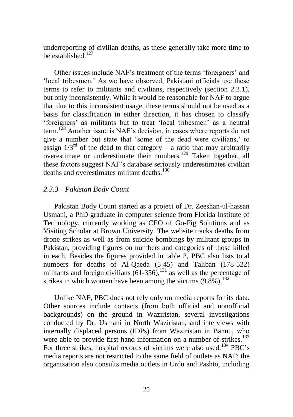underreporting of civilian deaths, as these generally take more time to be established. $127$ 

Other issues include NAF's treatment of the terms 'foreigners' and 'local tribesmen.' As we have observed, Pakistani officials use these terms to refer to militants and civilians, respectively (section 2.2.1), but only inconsistently. While it would be reasonable for NAF to argue that due to this inconsistent usage, these terms should not be used as a basis for classification in either direction, it has chosen to classify 'foreigners' as militants but to treat 'local tribesmen' as a neutral term.<sup>128</sup> Another issue is NAF's decision, in cases where reports do not give a number but state that 'some of the dead were civilians,' to assign  $1/3^{rd}$  of the dead to that category – a ratio that may arbitrarily overestimate or underestimate their numbers.<sup>129</sup> Taken together, all these factors suggest NAF's database seriously underestimates civilian deaths and overestimates militant deaths.<sup>130</sup>

#### *2.3.3 Pakistan Body Count*

Pakistan Body Count started as a project of Dr. Zeeshan-ul-hassan Usmani, a PhD graduate in computer science from Florida Institute of Technology, currently working as CEO of Go-Fig Solutions and as Visiting Scholar at Brown University. The website tracks deaths from drone strikes as well as from suicide bombings by militant groups in Pakistan, providing figures on numbers and categories of those killed in each. Besides the figures provided in table 2, PBC also lists total numbers for deaths of Al-Qaeda (5-45) and Taliban (178-522) militants and foreign civilians  $(61-356)$ , <sup>131</sup> as well as the percentage of strikes in which women have been among the victims  $(9.8\%)$ .<sup>132</sup>

Unlike NAF, PBC does not rely only on media reports for its data. Other sources include contacts (from both official and nonofficial backgrounds) on the ground in Waziristan, several investigations conducted by Dr. Usmani in North Waziristan, and interviews with internally displaced persons (IDPs) from Waziristan in Bannu, who were able to provide first-hand information on a number of strikes.<sup>133</sup> For three strikes, hospital records of victims were also used.<sup>134</sup> PBC's media reports are not restricted to the same field of outlets as NAF; the organization also consults media outlets in Urdu and Pashto, including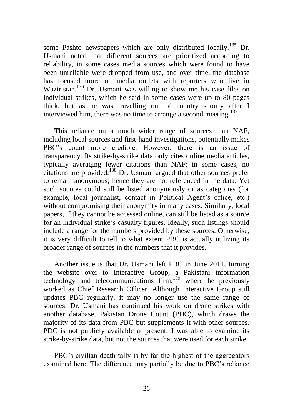some Pashto newspapers which are only distributed locally.<sup>135</sup> Dr. Usmani noted that different sources are prioritized according to reliability, in some cases media sources which were found to have been unreliable were dropped from use, and over time, the database has focused more on media outlets with reporters who live in Waziristan.<sup>136</sup> Dr. Usmani was willing to show me his case files on individual strikes, which he said in some cases were up to 80 pages thick, but as he was travelling out of country shortly after I interviewed him, there was no time to arrange a second meeting.<sup>137</sup>

This reliance on a much wider range of sources than NAF, including local sources and first-hand investigations, potentially makes PBC's count more credible. However, there is an issue of transparency. Its strike-by-strike data only cites online media articles, typically averaging fewer citations than NAF; in some cases, no citations are provided.<sup>138</sup> Dr. Usmani argued that other sources prefer to remain anonymous; hence they are not referenced in the data. Yet such sources could still be listed anonymously or as categories (for example, local journalist, contact in Political Agent's office, etc.) without compromising their anonymity in many cases. Similarly, local papers, if they cannot be accessed online, can still be listed as a source for an individual strike's casualty figures. Ideally, such listings should include a range for the numbers provided by these sources. Otherwise, it is very difficult to tell to what extent PBC is actually utilizing its broader range of sources in the numbers that it provides.

Another issue is that Dr. Usmani left PBC in June 2011, turning the website over to Interactive Group, a Pakistani information technology and telecommunications  $\lim_{n \to \infty}$  where he previously worked as Chief Research Officer. Although Interactive Group still updates PBC regularly, it may no longer use the same range of sources. Dr. Usmani has continued his work on drone strikes with another database, Pakistan Drone Count (PDC), which draws the majority of its data from PBC but supplements it with other sources. PDC is not publicly available at present; I was able to examine its strike-by-strike data, but not the sources that were used for each strike.

PBC's civilian death tally is by far the highest of the aggregators examined here. The difference may partially be due to PBC's reliance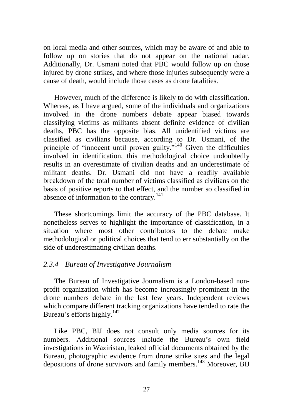on local media and other sources, which may be aware of and able to follow up on stories that do not appear on the national radar. Additionally, Dr. Usmani noted that PBC would follow up on those injured by drone strikes, and where those injuries subsequently were a cause of death, would include those cases as drone fatalities.

However, much of the difference is likely to do with classification. Whereas, as I have argued, some of the individuals and organizations involved in the drone numbers debate appear biased towards classifying victims as militants absent definite evidence of civilian deaths, PBC has the opposite bias. All unidentified victims are classified as civilians because, according to Dr. Usmani, of the principle of "innocent until proven guilty."<sup>140</sup> Given the difficulties involved in identification, this methodological choice undoubtedly results in an overestimate of civilian deaths and an underestimate of militant deaths. Dr. Usmani did not have a readily available breakdown of the total number of victims classified as civilians on the basis of positive reports to that effect, and the number so classified in absence of information to the contrary.<sup>141</sup>

These shortcomings limit the accuracy of the PBC database. It nonetheless serves to highlight the importance of classification, in a situation where most other contributors to the debate make methodological or political choices that tend to err substantially on the side of underestimating civilian deaths.

#### *2.3.4 Bureau of Investigative Journalism*

The Bureau of Investigative Journalism is a London-based nonprofit organization which has become increasingly prominent in the drone numbers debate in the last few years. Independent reviews which compare different tracking organizations have tended to rate the Bureau's efforts highly.<sup>142</sup>

Like PBC, BIJ does not consult only media sources for its numbers. Additional sources include the Bureau's own field investigations in Waziristan, leaked official documents obtained by the Bureau, photographic evidence from drone strike sites and the legal depositions of drone survivors and family members.<sup>143</sup> Moreover, BIJ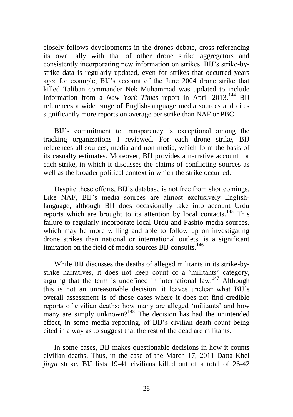closely follows developments in the drones debate, cross-referencing its own tally with that of other drone strike aggregators and consistently incorporating new information on strikes. BIJ's strike-bystrike data is regularly updated, even for strikes that occurred years ago; for example, BIJ's account of the June 2004 drone strike that killed Taliban commander Nek Muhammad was updated to include information from a *New York Times* report in April 2013.<sup>144</sup> BIJ references a wide range of English-language media sources and cites significantly more reports on average per strike than NAF or PBC.

BIJ's commitment to transparency is exceptional among the tracking organizations I reviewed. For each drone strike, BIJ references all sources, media and non-media, which form the basis of its casualty estimates. Moreover, BIJ provides a narrative account for each strike, in which it discusses the claims of conflicting sources as well as the broader political context in which the strike occurred.

Despite these efforts, BIJ's database is not free from shortcomings. Like NAF, BIJ's media sources are almost exclusively Englishlanguage, although BIJ does occasionally take into account Urdu reports which are brought to its attention by local contacts.<sup>145</sup> This failure to regularly incorporate local Urdu and Pashto media sources, which may be more willing and able to follow up on investigating drone strikes than national or international outlets, is a significant limitation on the field of media sources BIJ consults.<sup>146</sup>

While BIJ discusses the deaths of alleged militants in its strike-bystrike narratives, it does not keep count of a 'militants' category, arguing that the term is undefined in international law.<sup>147</sup> Although this is not an unreasonable decision, it leaves unclear what BIJ's overall assessment is of those cases where it does not find credible reports of civilian deaths: how many are alleged 'militants' and how many are simply unknown?<sup>148</sup> The decision has had the unintended effect, in some media reporting, of BIJ's civilian death count being cited in a way as to suggest that the rest of the dead are militants.

In some cases, BIJ makes questionable decisions in how it counts civilian deaths. Thus, in the case of the March 17, 2011 Datta Khel *jirga* strike, BIJ lists 19-41 civilians killed out of a total of 26-42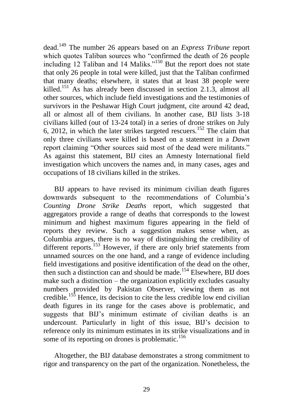dead.<sup>149</sup> The number 26 appears based on an *Express Tribune* report which quotes Taliban sources who "confirmed the death of 26 people including 12 Taliban and 14 Maliks.<sup> $150$ </sup> But the report does not state that only 26 people in total were killed, just that the Taliban confirmed that many deaths; elsewhere, it states that at least 38 people were killed.<sup>151</sup> As has already been discussed in section 2.1.3, almost all other sources, which include field investigations and the testimonies of survivors in the Peshawar High Court judgment, cite around 42 dead, all or almost all of them civilians. In another case, BIJ lists 3-18 civilians killed (out of 13-24 total) in a series of drone strikes on July 6, 2012, in which the later strikes targeted rescuers.<sup>152</sup> The claim that only three civilians were killed is based on a statement in a *Dawn*  report claiming "Other sources said most of the dead were militants." As against this statement, BIJ cites an Amnesty International field investigation which uncovers the names and, in many cases, ages and occupations of 18 civilians killed in the strikes.

BIJ appears to have revised its minimum civilian death figures downwards subsequent to the recommendations of Columbia's *Counting Drone Strike Deaths* report, which suggested that aggregators provide a range of deaths that corresponds to the lowest minimum and highest maximum figures appearing in the field of reports they review. Such a suggestion makes sense when, as Columbia argues, there is no way of distinguishing the credibility of different reports.<sup>153</sup> However, if there are only brief statements from unnamed sources on the one hand, and a range of evidence including field investigations and positive identification of the dead on the other, then such a distinction can and should be made.<sup>154</sup> Elsewhere, BIJ does make such a distinction – the organization explicitly excludes casualty numbers provided by Pakistan Observer, viewing them as not credible.<sup>155</sup> Hence, its decision to cite the less credible low end civilian death figures in its range for the cases above is problematic, and suggests that BIJ's minimum estimate of civilian deaths is an undercount. Particularly in light of this issue, BIJ's decision to reference only its minimum estimates in its strike visualizations and in some of its reporting on drones is problematic.<sup>156</sup>

Altogether, the BIJ database demonstrates a strong commitment to rigor and transparency on the part of the organization. Nonetheless, the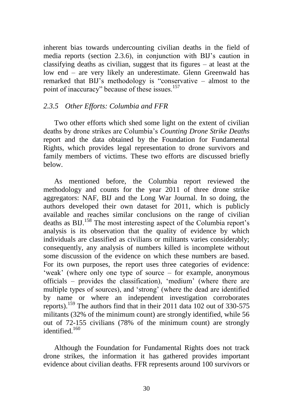inherent bias towards undercounting civilian deaths in the field of media reports (section 2.3.6), in conjunction with BIJ's caution in classifying deaths as civilian, suggest that its figures – at least at the low end – are very likely an underestimate. Glenn Greenwald has remarked that BIJ's methodology is "conservative – almost to the point of inaccuracy" because of these issues.<sup>157</sup>

#### *2.3.5 Other Efforts: Columbia and FFR*

Two other efforts which shed some light on the extent of civilian deaths by drone strikes are Columbia's *Counting Drone Strike Deaths*  report and the data obtained by the Foundation for Fundamental Rights, which provides legal representation to drone survivors and family members of victims. These two efforts are discussed briefly below.

As mentioned before, the Columbia report reviewed the methodology and counts for the year 2011 of three drone strike aggregators: NAF, BIJ and the Long War Journal. In so doing, the authors developed their own dataset for 2011, which is publicly available and reaches similar conclusions on the range of civilian deaths as BIJ.<sup>158</sup> The most interesting aspect of the Columbia report's analysis is its observation that the quality of evidence by which individuals are classified as civilians or militants varies considerably; consequently, any analysis of numbers killed is incomplete without some discussion of the evidence on which these numbers are based. For its own purposes, the report uses three categories of evidence: ‗weak' (where only one type of source – for example, anonymous officials – provides the classification), ‗medium' (where there are multiple types of sources), and 'strong' (where the dead are identified by name or where an independent investigation corroborates reports).<sup>159</sup> The authors find that in their 2011 data 102 out of 330-575 militants (32% of the minimum count) are strongly identified, while 56 out of 72-155 civilians (78% of the minimum count) are strongly identified. $160$ 

Although the Foundation for Fundamental Rights does not track drone strikes, the information it has gathered provides important evidence about civilian deaths. FFR represents around 100 survivors or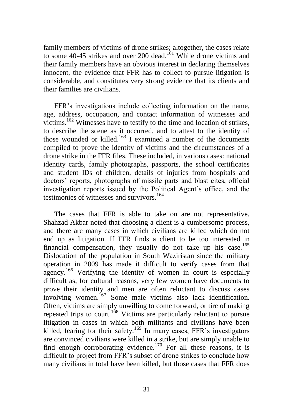family members of victims of drone strikes; altogether, the cases relate to some 40-45 strikes and over 200 dead.<sup>161</sup> While drone victims and their family members have an obvious interest in declaring themselves innocent, the evidence that FFR has to collect to pursue litigation is considerable, and constitutes very strong evidence that its clients and their families are civilians.

FFR's investigations include collecting information on the name, age, address, occupation, and contact information of witnesses and victims.<sup>162</sup> Witnesses have to testify to the time and location of strikes, to describe the scene as it occurred, and to attest to the identity of those wounded or killed.<sup>163</sup> I examined a number of the documents compiled to prove the identity of victims and the circumstances of a drone strike in the FFR files. These included, in various cases: national identity cards, family photographs, passports, the school certificates and student IDs of children, details of injuries from hospitals and doctors' reports, photographs of missile parts and blast cites, official investigation reports issued by the Political Agent's office, and the testimonies of witnesses and survivors.<sup>164</sup>

The cases that FFR is able to take on are not representative. Shahzad Akbar noted that choosing a client is a cumbersome process, and there are many cases in which civilians are killed which do not end up as litigation. If FFR finds a client to be too interested in financial compensation, they usually do not take up his case.<sup>165</sup> Dislocation of the population in South Waziristan since the military operation in 2009 has made it difficult to verify cases from that agency.<sup>166</sup> Verifying the identity of women in court is especially difficult as, for cultural reasons, very few women have documents to prove their identity and men are often reluctant to discuss cases involving women.<sup>167</sup> Some male victims also lack identification. Often, victims are simply unwilling to come forward, or tire of making repeated trips to court.<sup>168</sup> Victims are particularly reluctant to pursue litigation in cases in which both militants and civilians have been killed, fearing for their safety.<sup>169</sup> In many cases, FFR's investigators are convinced civilians were killed in a strike, but are simply unable to find enough corroborating evidence.<sup>170</sup> For all these reasons, it is difficult to project from FFR's subset of drone strikes to conclude how many civilians in total have been killed, but those cases that FFR does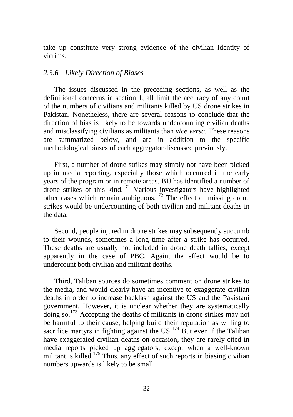take up constitute very strong evidence of the civilian identity of victims.

#### *2.3.6 Likely Direction of Biases*

The issues discussed in the preceding sections, as well as the definitional concerns in section 1, all limit the accuracy of any count of the numbers of civilians and militants killed by US drone strikes in Pakistan. Nonetheless, there are several reasons to conclude that the direction of bias is likely to be towards undercounting civilian deaths and misclassifying civilians as militants than *vice versa.* These reasons are summarized below, and are in addition to the specific methodological biases of each aggregator discussed previously.

First, a number of drone strikes may simply not have been picked up in media reporting, especially those which occurred in the early years of the program or in remote areas. BIJ has identified a number of drone strikes of this kind.<sup>171</sup> Various investigators have highlighted other cases which remain ambiguous.<sup>172</sup> The effect of missing drone strikes would be undercounting of both civilian and militant deaths in the data.

Second, people injured in drone strikes may subsequently succumb to their wounds, sometimes a long time after a strike has occurred. These deaths are usually not included in drone death tallies, except apparently in the case of PBC. Again, the effect would be to undercount both civilian and militant deaths.

Third, Taliban sources do sometimes comment on drone strikes to the media, and would clearly have an incentive to exaggerate civilian deaths in order to increase backlash against the US and the Pakistani government. However, it is unclear whether they are systematically doing so.<sup>173</sup> Accepting the deaths of militants in drone strikes may not be harmful to their cause, helping build their reputation as willing to sacrifice martyrs in fighting against the US. $^{174}$  But even if the Taliban have exaggerated civilian deaths on occasion, they are rarely cited in media reports picked up aggregators, except when a well-known militant is killed.<sup>175</sup> Thus, any effect of such reports in biasing civilian numbers upwards is likely to be small.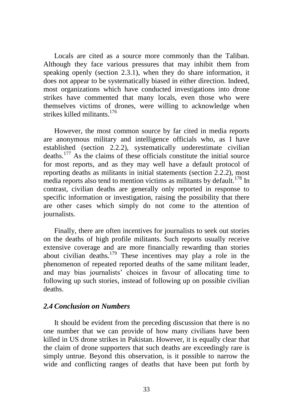Locals are cited as a source more commonly than the Taliban. Although they face various pressures that may inhibit them from speaking openly (section 2.3.1), when they do share information, it does not appear to be systematically biased in either direction. Indeed, most organizations which have conducted investigations into drone strikes have commented that many locals, even those who were themselves victims of drones, were willing to acknowledge when strikes killed militants.<sup>176</sup>

However, the most common source by far cited in media reports are anonymous military and intelligence officials who, as I have established (section 2.2.2), systematically underestimate civilian deaths.<sup>177</sup> As the claims of these officials constitute the initial source for most reports, and as they may well have a default protocol of reporting deaths as militants in initial statements (section 2.2.2), most media reports also tend to mention victims as militants by default.<sup>178</sup> In contrast, civilian deaths are generally only reported in response to specific information or investigation, raising the possibility that there are other cases which simply do not come to the attention of journalists.

Finally, there are often incentives for journalists to seek out stories on the deaths of high profile militants. Such reports usually receive extensive coverage and are more financially rewarding than stories about civilian deaths.<sup>179</sup> These incentives may play a role in the phenomenon of repeated reported deaths of the same militant leader, and may bias journalists' choices in favour of allocating time to following up such stories, instead of following up on possible civilian deaths.

## *2.4 Conclusion on Numbers*

It should be evident from the preceding discussion that there is no one number that we can provide of how many civilians have been killed in US drone strikes in Pakistan. However, it is equally clear that the claim of drone supporters that such deaths are exceedingly rare is simply untrue. Beyond this observation, is it possible to narrow the wide and conflicting ranges of deaths that have been put forth by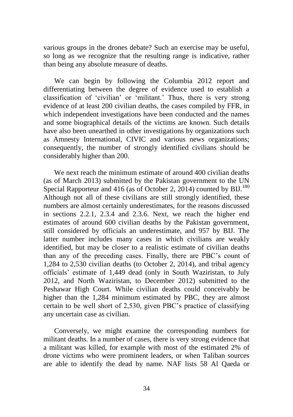various groups in the drones debate? Such an exercise may be useful, so long as we recognize that the resulting range is indicative, rather than being any absolute measure of deaths.

We can begin by following the Columbia 2012 report and differentiating between the degree of evidence used to establish a classification of 'civilian' or 'militant.' Thus, there is very strong evidence of at least 200 civilian deaths, the cases compiled by FFR, in which independent investigations have been conducted and the names and some biographical details of the victims are known. Such details have also been unearthed in other investigations by organizations such as Amnesty International, CIVIC and various news organizations; consequently, the number of strongly identified civilians should be considerably higher than 200.

We next reach the minimum estimate of around 400 civilian deaths (as of March 2013) submitted by the Pakistan government to the UN Special Rapporteur and 416 (as of October 2, 2014) counted by  $B_{1}^{180}$ Although not all of these civilians are still strongly identified, these numbers are almost certainly underestimates, for the reasons discussed in sections 2.2.1, 2.3.4 and 2.3.6. Next, we reach the higher end estimates of around 600 civilian deaths by the Pakistan government, still considered by officials an underestimate, and 957 by BIJ. The latter number includes many cases in which civilians are weakly identified, but may be closer to a realistic estimate of civilian deaths than any of the preceding cases. Finally, there are PBC's count of 1,284 to 2,530 civilian deaths (to October 2, 2014), and tribal agency officials' estimate of 1,449 dead (only in South Waziristan, to July 2012, and North Waziristan, to December 2012) submitted to the Peshawar High Court. While civilian deaths could conceivably be higher than the 1,284 minimum estimated by PBC, they are almost certain to be well short of 2,530, given PBC's practice of classifying any uncertain case as civilian.

Conversely, we might examine the corresponding numbers for militant deaths. In a number of cases, there is very strong evidence that a militant was killed, for example with most of the estimated 2% of drone victims who were prominent leaders, or when Taliban sources are able to identify the dead by name. NAF lists 58 Al Qaeda or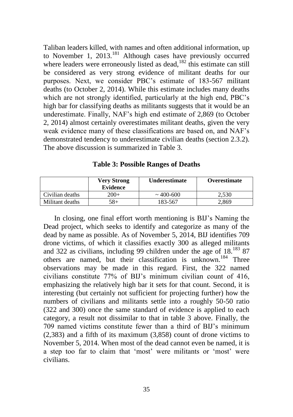Taliban leaders killed, with names and often additional information, up to November 1, 2013.<sup>181</sup> Although cases have previously occurred where leaders were erroneously listed as dead, $182$  this estimate can still be considered as very strong evidence of militant deaths for our purposes. Next, we consider PBC's estimate of 183-567 militant deaths (to October 2, 2014). While this estimate includes many deaths which are not strongly identified, particularly at the high end, PBC's high bar for classifying deaths as militants suggests that it would be an underestimate. Finally, NAF's high end estimate of 2,869 (to October 2, 2014) almost certainly overestimates militant deaths, given the very weak evidence many of these classifications are based on, and NAF's demonstrated tendency to underestimate civilian deaths (section 2.3.2). The above discussion is summarized in Table 3.

| <b>Table 3: Possible Ranges of Deaths</b> |  |
|-------------------------------------------|--|
|-------------------------------------------|--|

|                 | <b>Very Strong</b><br><b>Evidence</b> | <b>Underestimate</b> | Overestimate |
|-----------------|---------------------------------------|----------------------|--------------|
| Civilian deaths | $200+$                                | $\sim$ 400-600       | 2.530        |
| Militant deaths | $58+$                                 | 183-567              | 2,869        |

In closing, one final effort worth mentioning is BIJ's Naming the Dead project, which seeks to identify and categorize as many of the dead by name as possible. As of November 5, 2014, BIJ identifies 709 drone victims, of which it classifies exactly 300 as alleged militants and 322 as civilians, including 99 children under the age of 18.<sup>183</sup> 87 others are named, but their classification is unknown.<sup>184</sup> Three observations may be made in this regard. First, the 322 named civilians constitute 77% of BIJ's minimum civilian count of 416, emphasizing the relatively high bar it sets for that count. Second, it is interesting (but certainly not sufficient for projecting further) how the numbers of civilians and militants settle into a roughly 50-50 ratio (322 and 300) once the same standard of evidence is applied to each category, a result not dissimilar to that in table 3 above. Finally, the 709 named victims constitute fewer than a third of BIJ's minimum (2,383) and a fifth of its maximum (3,858) count of drone victims to November 5, 2014. When most of the dead cannot even be named, it is a step too far to claim that 'most' were militants or 'most' were civilians.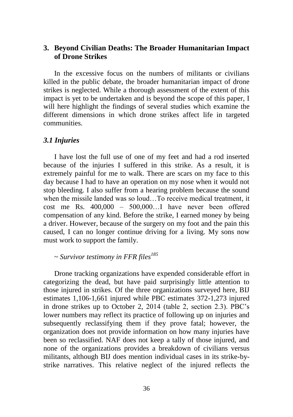## **3. Beyond Civilian Deaths: The Broader Humanitarian Impact of Drone Strikes**

In the excessive focus on the numbers of militants or civilians killed in the public debate, the broader humanitarian impact of drone strikes is neglected. While a thorough assessment of the extent of this impact is yet to be undertaken and is beyond the scope of this paper, I will here highlight the findings of several studies which examine the different dimensions in which drone strikes affect life in targeted communities.

#### *3.1 Injuries*

I have lost the full use of one of my feet and had a rod inserted because of the injuries I suffered in this strike. As a result, it is extremely painful for me to walk. There are scars on my face to this day because I had to have an operation on my nose when it would not stop bleeding. I also suffer from a hearing problem because the sound when the missile landed was so loud…To receive medical treatment, it cost me Rs. 400,000 – 500,000…I have never been offered compensation of any kind. Before the strike, I earned money by being a driver. However, because of the surgery on my foot and the pain this caused, I can no longer continue driving for a living. My sons now must work to support the family.

### ~ *Survivor testimony in FFR files<sup>185</sup>*

Drone tracking organizations have expended considerable effort in categorizing the dead, but have paid surprisingly little attention to those injured in strikes. Of the three organizations surveyed here, BIJ estimates 1,106-1,661 injured while PBC estimates 372-1,273 injured in drone strikes up to October 2, 2014 (table 2, section 2.3). PBC's lower numbers may reflect its practice of following up on injuries and subsequently reclassifying them if they prove fatal; however, the organization does not provide information on how many injuries have been so reclassified. NAF does not keep a tally of those injured, and none of the organizations provides a breakdown of civilians versus militants, although BIJ does mention individual cases in its strike-bystrike narratives. This relative neglect of the injured reflects the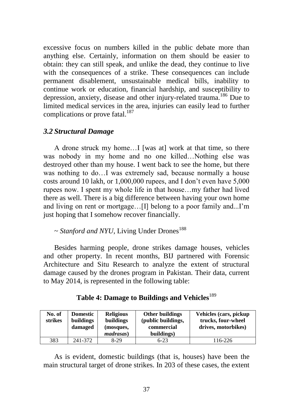excessive focus on numbers killed in the public debate more than anything else. Certainly, information on them should be easier to obtain: they can still speak, and unlike the dead, they continue to live with the consequences of a strike. These consequences can include permanent disablement, unsustainable medical bills, inability to continue work or education, financial hardship, and susceptibility to depression, anxiety, disease and other injury-related trauma.<sup>186</sup> Due to limited medical services in the area, injuries can easily lead to further complications or prove fatal.<sup>187</sup>

### *3.2 Structural Damage*

A drone struck my home…I [was at] work at that time, so there was nobody in my home and no one killed…Nothing else was destroyed other than my house. I went back to see the home, but there was nothing to do…I was extremely sad, because normally a house costs around 10 lakh, or 1,000,000 rupees, and I don't even have 5,000 rupees now. I spent my whole life in that house…my father had lived there as well. There is a big difference between having your own home and living on rent or mortgage…[I] belong to a poor family and...I'm just hoping that I somehow recover financially.

## $\sim$  *Stanford and NYU*, Living Under Drones<sup>188</sup>

Besides harming people, drone strikes damage houses, vehicles and other property. In recent months, BIJ partnered with Forensic Architecture and Situ Research to analyze the extent of structural damage caused by the drones program in Pakistan. Their data, current to May 2014, is represented in the following table:

| Table 4: Damage to Buildings and Vehicles <sup>189</sup> |  |  |
|----------------------------------------------------------|--|--|
|                                                          |  |  |

| No. of<br>strikes | <b>Domestic</b><br>buildings<br>damaged | <b>Religious</b><br>buildings<br>(mosques,<br><i>madrasas</i> ) | <b>Other buildings</b><br>(public buildings,<br>commercial<br>buildings) | Vehicles (cars, pickup<br>trucks, four-wheel<br>drives, motorbikes) |
|-------------------|-----------------------------------------|-----------------------------------------------------------------|--------------------------------------------------------------------------|---------------------------------------------------------------------|
| 383               | 241-372                                 | $8-29$                                                          | $6 - 23$                                                                 | 116-226                                                             |

As is evident, domestic buildings (that is, houses) have been the main structural target of drone strikes. In 203 of these cases, the extent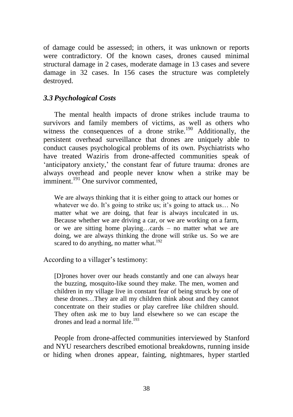of damage could be assessed; in others, it was unknown or reports were contradictory. Of the known cases, drones caused minimal structural damage in 2 cases, moderate damage in 13 cases and severe damage in 32 cases. In 156 cases the structure was completely destroyed.

# *3.3 Psychological Costs*

The mental health impacts of drone strikes include trauma to survivors and family members of victims, as well as others who witness the consequences of a drone strike.<sup>190</sup> Additionally, the persistent overhead surveillance that drones are uniquely able to conduct causes psychological problems of its own. Psychiatrists who have treated Waziris from drone-affected communities speak of 'anticipatory anxiety,' the constant fear of future trauma: drones are always overhead and people never know when a strike may be imminent.<sup>191</sup> One survivor commented,

We are always thinking that it is either going to attack our homes or whatever we do. It's going to strike us; it's going to attack us... No matter what we are doing, that fear is always inculcated in us. Because whether we are driving a car, or we are working on a farm, or we are sitting home playing…cards – no matter what we are doing, we are always thinking the drone will strike us. So we are scared to do anything, no matter what.<sup>192</sup>

According to a villager's testimony:

[D]rones hover over our heads constantly and one can always hear the buzzing, mosquito-like sound they make. The men, women and children in my village live in constant fear of being struck by one of these drones…They are all my children think about and they cannot concentrate on their studies or play carefree like children should. They often ask me to buy land elsewhere so we can escape the drones and lead a normal life.<sup>193</sup>

People from drone-affected communities interviewed by Stanford and NYU researchers described emotional breakdowns, running inside or hiding when drones appear, fainting, nightmares, hyper startled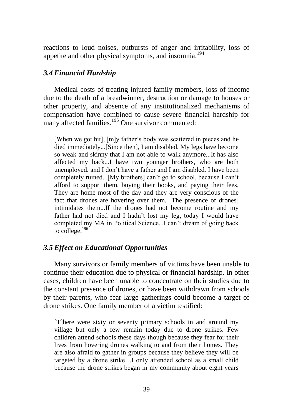reactions to loud noises, outbursts of anger and irritability, loss of appetite and other physical symptoms, and insomnia.<sup>194</sup>

## *3.4 Financial Hardship*

Medical costs of treating injured family members, loss of income due to the death of a breadwinner, destruction or damage to houses or other property, and absence of any institutionalized mechanisms of compensation have combined to cause severe financial hardship for many affected families.<sup>195</sup> One survivor commented:

[When we got hit], [m]y father's body was scattered in pieces and he died immediately...[Since then], I am disabled. My legs have become so weak and skinny that I am not able to walk anymore...It has also affected my back...I have two younger brothers, who are both unemployed, and I don't have a father and I am disabled. I have been completely ruined...[My brothers] can't go to school, because I can't afford to support them, buying their books, and paying their fees. They are home most of the day and they are very conscious of the fact that drones are hovering over them. [The presence of drones] intimidates them...If the drones had not become routine and my father had not died and I hadn't lost my leg, today I would have completed my MA in Political Science...I can't dream of going back to college.<sup>196</sup>

# *3.5 Effect on Educational Opportunities*

Many survivors or family members of victims have been unable to continue their education due to physical or financial hardship. In other cases, children have been unable to concentrate on their studies due to the constant presence of drones, or have been withdrawn from schools by their parents, who fear large gatherings could become a target of drone strikes. One family member of a victim testified:

[T]here were sixty or seventy primary schools in and around my village but only a few remain today due to drone strikes. Few children attend schools these days though because they fear for their lives from hovering drones walking to and from their homes. They are also afraid to gather in groups because they believe they will be targeted by a drone strike…I only attended school as a small child because the drone strikes began in my community about eight years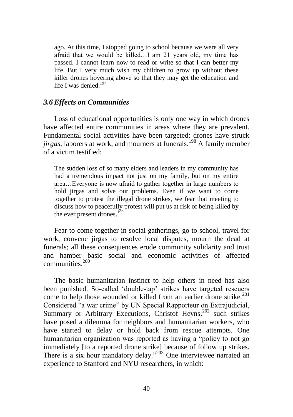ago. At this time, I stopped going to school because we were all very afraid that we would be killed…I am 21 years old, my time has passed. I cannot learn now to read or write so that I can better my life. But I very much wish my children to grow up without these killer drones hovering above so that they may get the education and life I was denied. $197$ 

#### *3.6 Effects on Communities*

Loss of educational opportunities is only one way in which drones have affected entire communities in areas where they are prevalent. Fundamental social activities have been targeted: drones have struck *jirgas*, laborers at work, and mourners at funerals.<sup>198</sup> A family member of a victim testified:

The sudden loss of so many elders and leaders in my community has had a tremendous impact not just on my family, but on my entire area…Everyone is now afraid to gather together in large numbers to hold jirgas and solve our problems. Even if we want to come together to protest the illegal drone strikes, we fear that meeting to discuss how to peacefully protest will put us at risk of being killed by the ever present drones.<sup>199</sup>

Fear to come together in social gatherings, go to school, travel for work, convene jirgas to resolve local disputes, mourn the dead at funerals; all these consequences erode community solidarity and trust and hamper basic social and economic activities of affected communities.<sup>200</sup>

The basic humanitarian instinct to help others in need has also been punished. So-called 'double-tap' strikes have targeted rescuers come to help those wounded or killed from an earlier drone strike.<sup>201</sup> Considered "a war crime" by UN Special Rapporteur on Extrajudicial, Summary or Arbitrary Executions, Christof Heyns,<sup>202</sup> such strikes have posed a dilemma for neighbors and humanitarian workers, who have started to delay or hold back from rescue attempts. One humanitarian organization was reported as having a "policy to not go immediately [to a reported drone strike] because of follow up strikes. There is a six hour mandatory delay. $1203$  One interviewee narrated an experience to Stanford and NYU researchers, in which: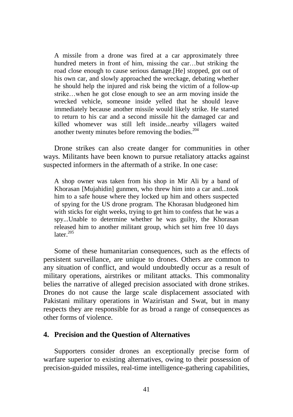A missile from a drone was fired at a car approximately three hundred meters in front of him, missing the car...but striking the road close enough to cause serious damage.[He] stopped, got out of his own car, and slowly approached the wreckage, debating whether he should help the injured and risk being the victim of a follow-up strike…when he got close enough to see an arm moving inside the wrecked vehicle, someone inside yelled that he should leave immediately because another missile would likely strike. He started to return to his car and a second missile hit the damaged car and killed whomever was still left inside...nearby villagers waited another twenty minutes before removing the bodies.<sup>204</sup>

Drone strikes can also create danger for communities in other ways. Militants have been known to pursue retaliatory attacks against suspected informers in the aftermath of a strike. In one case:

A shop owner was taken from his shop in Mir Ali by a band of Khorasan [Mujahidin] gunmen, who threw him into a car and...took him to a safe house where they locked up him and others suspected of spying for the US drone program. The Khorasan bludgeoned him with sticks for eight weeks, trying to get him to confess that he was a spy...Unable to determine whether he was guilty, the Khorasan released him to another militant group, which set him free 10 days later. 205

Some of these humanitarian consequences, such as the effects of persistent surveillance, are unique to drones. Others are common to any situation of conflict, and would undoubtedly occur as a result of military operations, airstrikes or militant attacks. This commonality belies the narrative of alleged precision associated with drone strikes. Drones do not cause the large scale displacement associated with Pakistani military operations in Waziristan and Swat, but in many respects they are responsible for as broad a range of consequences as other forms of violence.

### **4. Precision and the Question of Alternatives**

Supporters consider drones an exceptionally precise form of warfare superior to existing alternatives, owing to their possession of precision-guided missiles, real-time intelligence-gathering capabilities,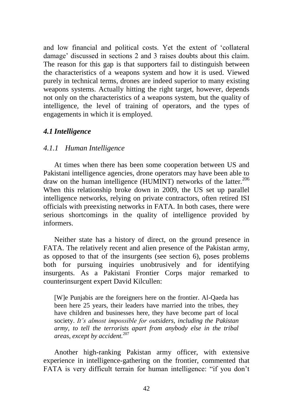and low financial and political costs. Yet the extent of 'collateral damage' discussed in sections 2 and 3 raises doubts about this claim. The reason for this gap is that supporters fail to distinguish between the characteristics of a weapons system and how it is used. Viewed purely in technical terms, drones are indeed superior to many existing weapons systems. Actually hitting the right target, however, depends not only on the characteristics of a weapons system, but the quality of intelligence, the level of training of operators, and the types of engagements in which it is employed.

## *4.1 Intelligence*

## *4.1.1 Human Intelligence*

At times when there has been some cooperation between US and Pakistani intelligence agencies, drone operators may have been able to draw on the human intelligence (HUMINT) networks of the latter.<sup>206</sup> When this relationship broke down in 2009, the US set up parallel intelligence networks, relying on private contractors, often retired ISI officials with preexisting networks in FATA. In both cases, there were serious shortcomings in the quality of intelligence provided by informers.

Neither state has a history of direct, on the ground presence in FATA. The relatively recent and alien presence of the Pakistan army, as opposed to that of the insurgents (see section 6), poses problems both for pursuing inquiries unobtrusively and for identifying insurgents. As a Pakistani Frontier Corps major remarked to counterinsurgent expert David Kilcullen:

[W]e Punjabis are the foreigners here on the frontier. Al-Qaeda has been here 25 years, their leaders have married into the tribes, they have children and businesses here, they have become part of local society. *It"s almost impossible for outsiders, including the Pakistan army, to tell the terrorists apart from anybody else in the tribal areas, except by accident.*<sup>207</sup>

Another high-ranking Pakistan army officer, with extensive experience in intelligence-gathering on the frontier, commented that FATA is very difficult terrain for human intelligence: "if you don't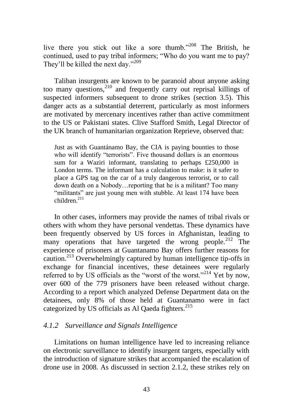live there you stick out like a sore thumb."<sup>208</sup> The British, he continued, used to pay tribal informers; "Who do you want me to pay? They'll be killed the next day." $209$ 

Taliban insurgents are known to be paranoid about anyone asking too many questions,<sup>210</sup> and frequently carry out reprisal killings of suspected informers subsequent to drone strikes (section 3.5). This danger acts as a substantial deterrent, particularly as most informers are motivated by mercenary incentives rather than active commitment to the US or Pakistani states. Clive Stafford Smith, Legal Director of the UK branch of humanitarian organization Reprieve, observed that:

Just as with Guantánamo Bay, the CIA is paying bounties to those who will identify "terrorists". Five thousand dollars is an enormous sum for a Waziri informant, translating to perhaps £250,000 in London terms. The informant has a calculation to make: is it safer to place a GPS tag on the car of a truly dangerous terrorist, or to call down death on a Nobody…reporting that he is a militant? Too many "militants" are just young men with stubble. At least 174 have been  $children<sup>211</sup>$ 

In other cases, informers may provide the names of tribal rivals or others with whom they have personal vendettas. These dynamics have been frequently observed by US forces in Afghanistan, leading to many operations that have targeted the wrong people.<sup>212</sup> The experience of prisoners at Guantanamo Bay offers further reasons for caution.<sup>213</sup> Overwhelmingly captured by human intelligence tip-offs in exchange for financial incentives, these detainees were regularly referred to by US officials as the "worst of the worst."<sup>214</sup> Yet by now, over 600 of the 779 prisoners have been released without charge. According to a report which analyzed Defense Department data on the detainees, only 8% of those held at Guantanamo were in fact categorized by US officials as Al Qaeda fighters.<sup>215</sup>

## *4.1.2 Surveillance and Signals Intelligence*

Limitations on human intelligence have led to increasing reliance on electronic surveillance to identify insurgent targets, especially with the introduction of signature strikes that accompanied the escalation of drone use in 2008. As discussed in section 2.1.2, these strikes rely on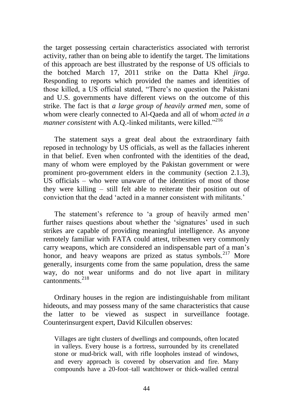the target possessing certain characteristics associated with terrorist activity, rather than on being able to identify the target. The limitations of this approach are best illustrated by the response of US officials to the botched March 17, 2011 strike on the Datta Khel *jirga*. Responding to reports which provided the names and identities of those killed, a US official stated, "There's no question the Pakistani and U.S. governments have different views on the outcome of this strike. The fact is that *a large group of heavily armed men*, some of whom were clearly connected to Al-Qaeda and all of whom *acted in a manner consistent* with A.Q.-linked militants, were killed."<sup>216</sup>

The statement says a great deal about the extraordinary faith reposed in technology by US officials, as well as the fallacies inherent in that belief. Even when confronted with the identities of the dead, many of whom were employed by the Pakistan government or were prominent pro-government elders in the community (section 2.1.3), US officials – who were unaware of the identities of most of those they were killing – still felt able to reiterate their position out of conviction that the dead ‗acted in a manner consistent with militants.'

The statement's reference to 'a group of heavily armed men' further raises questions about whether the 'signatures' used in such strikes are capable of providing meaningful intelligence. As anyone remotely familiar with FATA could attest, tribesmen very commonly carry weapons, which are considered an indispensable part of a man's honor, and heavy weapons are prized as status symbols.<sup>217</sup> More generally, insurgents come from the same population, dress the same way, do not wear uniforms and do not live apart in military cantonments $^{218}$ 

Ordinary houses in the region are indistinguishable from militant hideouts, and may possess many of the same characteristics that cause the latter to be viewed as suspect in surveillance footage. Counterinsurgent expert, David Kilcullen observes:

Villages are tight clusters of dwellings and compounds, often located in valleys. Every house is a fortress, surrounded by its crenellated stone or mud-brick wall, with rifle loopholes instead of windows, and every approach is covered by observation and fire. Many compounds have a 20-foot–tall watchtower or thick-walled central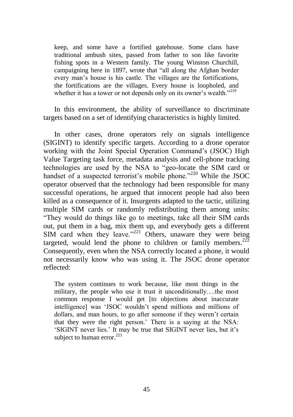keep, and some have a fortified gatehouse. Some clans have traditional ambush sites, passed from father to son like favorite fishing spots in a Western family. The young Winston Churchill, campaigning here in 1897, wrote that "all along the Afghan border every man's house is his castle. The villages are the fortifications, the fortifications are the villages. Every house is loopholed, and whether it has a tower or not depends only on its owner's wealth."<sup>219</sup>

In this environment, the ability of surveillance to discriminate targets based on a set of identifying characteristics is highly limited.

In other cases, drone operators rely on signals intelligence (SIGINT) to identify specific targets. According to a drone operator working with the Joint Special Operation Command's (JSOC) High Value Targeting task force, metadata analysis and cell-phone tracking technologies are used by the NSA to "geo-locate the SIM card or handset of a suspected terrorist's mobile phone. $v^{220}$  While the JSOC operator observed that the technology had been responsible for many successful operations, he argued that innocent people had also been killed as a consequence of it. Insurgents adapted to the tactic, utilizing multiple SIM cards or randomly redistributing them among units: ―They would do things like go to meetings, take all their SIM cards out, put them in a bag, mix them up, and everybody gets a different SIM card when they leave." $221$  Others, unaware they were being targeted, would lend the phone to children or family members.<sup>222</sup> Consequently, even when the NSA correctly located a phone, it would not necessarily know who was using it. The JSOC drone operator reflected:

The system continues to work because, like most things in the military, the people who use it trust it unconditionally….the most common response I would get [to objections about inaccurate intelligence] was 'JSOC wouldn't spend millions and millions of dollars, and man hours, to go after someone if they weren't certain that they were the right person.' There is a saying at the NSA: ‗SIGINT never lies.' It may be true that SIGINT never lies, but it's subject to human error. $^{223}$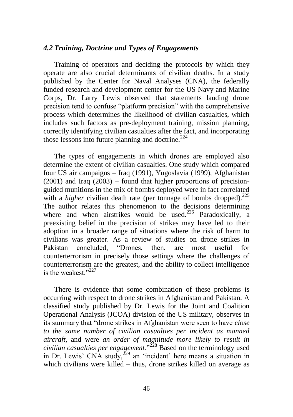#### *4.2 Training, Doctrine and Types of Engagements*

Training of operators and deciding the protocols by which they operate are also crucial determinants of civilian deaths. In a study published by the Center for Naval Analyses (CNA), the federally funded research and development center for the US Navy and Marine Corps, Dr. Larry Lewis observed that statements lauding drone precision tend to confuse "platform precision" with the comprehensive process which determines the likelihood of civilian casualties, which includes such factors as pre-deployment training, mission planning, correctly identifying civilian casualties after the fact, and incorporating those lessons into future planning and doctrine. $2^{24}$ 

The types of engagements in which drones are employed also determine the extent of civilian casualties. One study which compared four US air campaigns – Iraq (1991), Yugoslavia (1999), Afghanistan  $(2001)$  and Iraq  $(2003)$  – found that higher proportions of precisionguided munitions in the mix of bombs deployed were in fact correlated with a *higher* civilian death rate (per tonnage of bombs dropped).<sup>225</sup> The author relates this phenomenon to the decisions determining where and when airstrikes would be used.<sup>226</sup> Paradoxically, a preexisting belief in the precision of strikes may have led to their adoption in a broader range of situations where the risk of harm to civilians was greater. As a review of studies on drone strikes in Pakistan concluded, "Drones, then, are most useful for counterterrorism in precisely those settings where the challenges of counterterrorism are the greatest, and the ability to collect intelligence is the weakest.<sup>327</sup>

There is evidence that some combination of these problems is occurring with respect to drone strikes in Afghanistan and Pakistan. A classified study published by Dr. Lewis for the Joint and Coalition Operational Analysis (JCOA) division of the US military, observes in its summary that "drone strikes in Afghanistan were seen to have *close to the same number of civilian casualties per incident as manned aircraft*, and were *an order of magnitude more likely to result in civilian casualties per engagement.*‖ <sup>228</sup> Based on the terminology used in Dr. Lewis' CNA study,  $^{229}$  an 'incident' here means a situation in which civilians were killed – thus, drone strikes killed on average as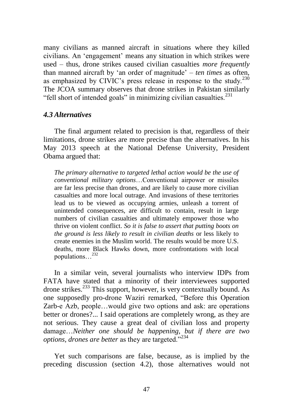many civilians as manned aircraft in situations where they killed civilians. An ‗engagement' means any situation in which strikes were used – thus, drone strikes caused civilian casualties *more frequently* than manned aircraft by ‗an order of magnitude' – *ten times* as often, as emphasized by CIVIC's press release in response to the study.<sup>230</sup> The JCOA summary observes that drone strikes in Pakistan similarly "fell short of intended goals" in minimizing civilian casualties. $^{231}$ 

## *4.3 Alternatives*

The final argument related to precision is that, regardless of their limitations, drone strikes are more precise than the alternatives. In his May 2013 speech at the National Defense University, President Obama argued that:

*The primary alternative to targeted lethal action would be the use of conventional military options*…Conventional airpower or missiles are far less precise than drones, and are likely to cause more civilian casualties and more local outrage. And invasions of these territories lead us to be viewed as occupying armies, unleash a torrent of unintended consequences, are difficult to contain, result in large numbers of civilian casualties and ultimately empower those who thrive on violent conflict. *So it is false to assert that putting boots on the ground is less likely to result in civilian deaths* or less likely to create enemies in the Muslim world. The results would be more U.S. deaths, more Black Hawks down, more confrontations with local populations…<sup>232</sup>

In a similar vein, several journalists who interview IDPs from FATA have stated that a minority of their interviewees supported drone strikes.<sup>233</sup> This support, however, is very contextually bound. As one supposedly pro-drone Waziri remarked, "Before this Operation Zarb-e Azb, people…would give two options and ask: are operations better or drones?... I said operations are completely wrong, as they are not serious. They cause a great deal of civilian loss and property damage…*Neither one should be happening, but if there are two options, drones are better* as they are targeted."<sup>234</sup>

Yet such comparisons are false, because, as is implied by the preceding discussion (section 4.2), those alternatives would not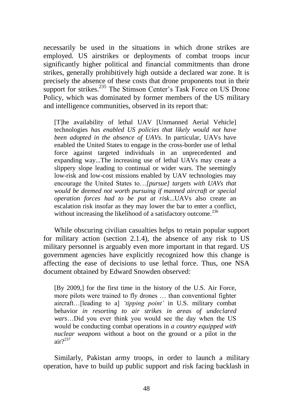necessarily be used in the situations in which drone strikes are employed. US airstrikes or deployments of combat troops incur significantly higher political and financial commitments than drone strikes, generally prohibitively high outside a declared war zone. It is precisely the absence of these costs that drone proponents tout in their support for strikes.<sup>235</sup> The Stimson Center's Task Force on US Drone Policy, which was dominated by former members of the US military and intelligence communities, observed in its report that:

[T]he availability of lethal UAV [Unmanned Aerial Vehicle] technologies *has enabled US policies that likely would not have been adopted in the absence of UAVs*. In particular, UAVs have enabled the United States to engage in the cross-border use of lethal force against targeted individuals in an unprecedented and expanding way...The increasing use of lethal UAVs may create a slippery slope leading to continual or wider wars. The seemingly low-risk and low-cost missions enabled by UAV technologies may encourage the United States to…*[pursue] targets with UAVs that would be deemed not worth pursuing if manned aircraft or special operation forces had to be put at risk*...UAVs also create an escalation risk insofar as they may lower the bar to enter a conflict, without increasing the likelihood of a satisfactory outcome.<sup>236</sup>

While obscuring civilian casualties helps to retain popular support for military action (section 2.1.4), the absence of any risk to US military personnel is arguably even more important in that regard. US government agencies have explicitly recognized how this change is affecting the ease of decisions to use lethal force. Thus, one NSA document obtained by Edward Snowden observed:

[By 2009,] for the first time in the history of the U.S. Air Force, more pilots were trained to fly drones … than conventional fighter aircraft…[leading to a] *"tipping point"* in U.S. military combat behavior *in resorting to air strikes in areas of undeclared wars*…Did you ever think you would see the day when the US would be conducting combat operations in *a country equipped with nuclear weapons* without a boot on the ground or a pilot in the air $2^{237}$ 

Similarly, Pakistan army troops, in order to launch a military operation, have to build up public support and risk facing backlash in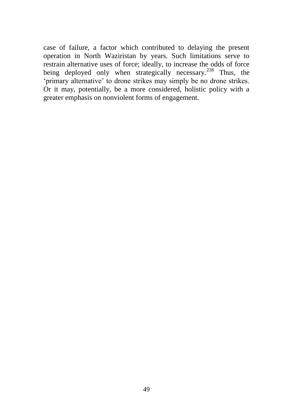case of failure, a factor which contributed to delaying the present operation in North Waziristan by years. Such limitations serve to restrain alternative uses of force; ideally, to increase the odds of force being deployed only when strategically necessary.<sup>238</sup> Thus, the ‗primary alternative' to drone strikes may simply be no drone strikes. Or it may, potentially, be a more considered, holistic policy with a greater emphasis on nonviolent forms of engagement.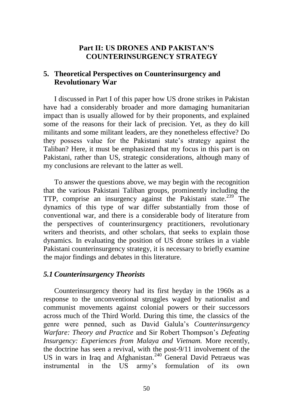# **Part II: US DRONES AND PAKISTAN'S COUNTERINSURGENCY STRATEGY**

## **5. Theoretical Perspectives on Counterinsurgency and Revolutionary War**

I discussed in Part I of this paper how US drone strikes in Pakistan have had a considerably broader and more damaging humanitarian impact than is usually allowed for by their proponents, and explained some of the reasons for their lack of precision. Yet, as they do kill militants and some militant leaders, are they nonetheless effective? Do they possess value for the Pakistani state's strategy against the Taliban? Here, it must be emphasized that my focus in this part is on Pakistani, rather than US, strategic considerations, although many of my conclusions are relevant to the latter as well.

To answer the questions above, we may begin with the recognition that the various Pakistani Taliban groups, prominently including the TTP, comprise an insurgency against the Pakistani state.<sup>239</sup> The dynamics of this type of war differ substantially from those of conventional war, and there is a considerable body of literature from the perspectives of counterinsurgency practitioners, revolutionary writers and theorists, and other scholars, that seeks to explain those dynamics. In evaluating the position of US drone strikes in a viable Pakistani counterinsurgency strategy, it is necessary to briefly examine the major findings and debates in this literature.

## *5.1 Counterinsurgency Theorists*

Counterinsurgency theory had its first heyday in the 1960s as a response to the unconventional struggles waged by nationalist and communist movements against colonial powers or their successors across much of the Third World. During this time, the classics of the genre were penned, such as David Galula's *Counterinsurgency Warfare: Theory and Practice* and Sir Robert Thompson's *Defeating Insurgency: Experiences from Malaya and Vietnam.* More recently, the doctrine has seen a revival, with the post-9/11 involvement of the US in wars in Iraq and Afghanistan.<sup>240</sup> General David Petraeus was instrumental in the US army's formulation of its own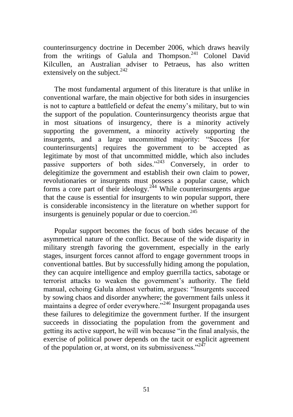counterinsurgency doctrine in December 2006, which draws heavily from the writings of Galula and Thompson.<sup>241</sup> Colonel David Kilcullen, an Australian adviser to Petraeus, has also written extensively on the subject.<sup>242</sup>

The most fundamental argument of this literature is that unlike in conventional warfare, the main objective for both sides in insurgencies is not to capture a battlefield or defeat the enemy's military, but to win the support of the population. Counterinsurgency theorists argue that in most situations of insurgency, there is a minority actively supporting the government, a minority actively supporting the insurgents, and a large uncommitted majority: "Success [for counterinsurgents] requires the government to be accepted as legitimate by most of that uncommitted middle, which also includes passive supporters of both sides.<sup> $243$ </sup> Conversely, in order to delegitimize the government and establish their own claim to power, revolutionaries or insurgents must possess a popular cause, which forms a core part of their ideology.<sup>244</sup> While counterinsurgents argue that the cause is essential for insurgents to win popular support, there is considerable inconsistency in the literature on whether support for insurgents is genuinely popular or due to coercion.<sup>245</sup>

Popular support becomes the focus of both sides because of the asymmetrical nature of the conflict. Because of the wide disparity in military strength favoring the government, especially in the early stages, insurgent forces cannot afford to engage government troops in conventional battles. But by successfully hiding among the population, they can acquire intelligence and employ guerrilla tactics, sabotage or terrorist attacks to weaken the government's authority. The field manual, echoing Galula almost verbatim, argues: "Insurgents succeed by sowing chaos and disorder anywhere; the government fails unless it maintains a degree of order everywhere."<sup>246</sup> Insurgent propaganda uses these failures to delegitimize the government further. If the insurgent succeeds in dissociating the population from the government and getting its active support, he will win because "in the final analysis, the exercise of political power depends on the tacit or explicit agreement of the population or, at worst, on its submissiveness." $^{247}$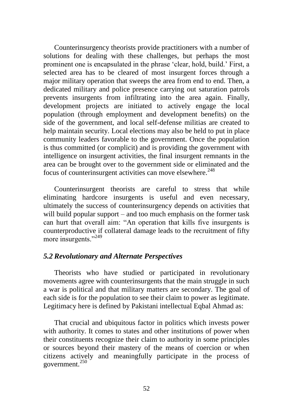Counterinsurgency theorists provide practitioners with a number of solutions for dealing with these challenges, but perhaps the most prominent one is encapsulated in the phrase 'clear, hold, build.' First, a selected area has to be cleared of most insurgent forces through a major military operation that sweeps the area from end to end. Then, a dedicated military and police presence carrying out saturation patrols prevents insurgents from infiltrating into the area again. Finally, development projects are initiated to actively engage the local population (through employment and development benefits) on the side of the government, and local self-defense militias are created to help maintain security. Local elections may also be held to put in place community leaders favorable to the government. Once the population is thus committed (or complicit) and is providing the government with intelligence on insurgent activities, the final insurgent remnants in the area can be brought over to the government side or eliminated and the focus of counterinsurgent activities can move elsewhere.<sup>248</sup>

Counterinsurgent theorists are careful to stress that while eliminating hardcore insurgents is useful and even necessary, ultimately the success of counterinsurgency depends on activities that will build popular support – and too much emphasis on the former task can hurt that overall aim: "An operation that kills five insurgents is counterproductive if collateral damage leads to the recruitment of fifty more insurgents."<sup>249</sup>

#### *5.2 Revolutionary and Alternate Perspectives*

Theorists who have studied or participated in revolutionary movements agree with counterinsurgents that the main struggle in such a war is political and that military matters are secondary. The goal of each side is for the population to see their claim to power as legitimate. Legitimacy here is defined by Pakistani intellectual Eqbal Ahmad as:

That crucial and ubiquitous factor in politics which invests power with authority. It comes to states and other institutions of power when their constituents recognize their claim to authority in some principles or sources beyond their mastery of the means of coercion or when citizens actively and meaningfully participate in the process of government.<sup>250</sup>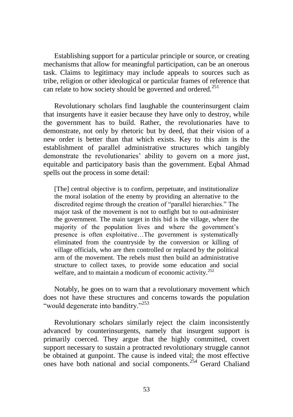Establishing support for a particular principle or source, or creating mechanisms that allow for meaningful participation, can be an onerous task. Claims to legitimacy may include appeals to sources such as tribe, religion or other ideological or particular frames of reference that can relate to how society should be governed and ordered.<sup>251</sup>

Revolutionary scholars find laughable the counterinsurgent claim that insurgents have it easier because they have only to destroy, while the government has to build. Rather, the revolutionaries have to demonstrate, not only by rhetoric but by deed, that their vision of a new order is better than that which exists. Key to this aim is the establishment of parallel administrative structures which tangibly demonstrate the revolutionaries' ability to govern on a more just, equitable and participatory basis than the government. Eqbal Ahmad spells out the process in some detail:

[The] central objective is to confirm, perpetuate, and institutionalize the moral isolation of the enemy by providing an alternative to the discredited regime through the creation of "parallel hierarchies." The major task of the movement is not to outfight but to out-administer the government. The main target in this bid is the village, where the majority of the population lives and where the government's presence is often exploitative…The government is systematically eliminated from the countryside by the conversion or killing of village officials, who are then controlled or replaced by the political arm of the movement. The rebels must then build an administrative structure to collect taxes, to provide some education and social welfare, and to maintain a modicum of economic activity.<sup>252</sup>

Notably, he goes on to warn that a revolutionary movement which does not have these structures and concerns towards the population "would degenerate into banditry."<sup>253</sup>

Revolutionary scholars similarly reject the claim inconsistently advanced by counterinsurgents, namely that insurgent support is primarily coerced. They argue that the highly committed, covert support necessary to sustain a protracted revolutionary struggle cannot be obtained at gunpoint. The cause is indeed vital; the most effective ones have both national and social components.<sup>254</sup> Gerard Chaliand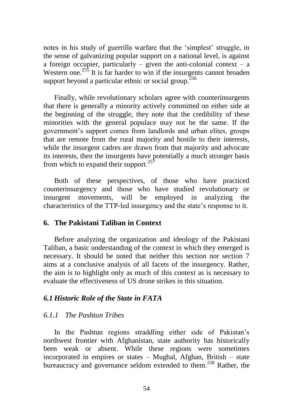notes in his study of guerrilla warfare that the 'simplest' struggle, in the sense of galvanizing popular support on a national level, is against a foreign occupier, particularly – given the anti-colonial context – a Western one.<sup>255</sup> It is far harder to win if the insurgents cannot broaden support beyond a particular ethnic or social group.<sup>256</sup>

Finally, while revolutionary scholars agree with counterinsurgents that there is generally a minority actively committed on either side at the beginning of the struggle, they note that the credibility of these minorities with the general populace may not be the same. If the government's support comes from landlords and urban elites, groups that are remote from the rural majority and hostile to their interests, while the insurgent cadres are drawn from that majority and advocate its interests, then the insurgents have potentially a much stronger basis from which to expand their support.<sup>257</sup>

Both of these perspectives, of those who have practiced counterinsurgency and those who have studied revolutionary or insurgent movements, will be employed in analyzing the characteristics of the TTP-led insurgency and the state's response to it.

#### **6. The Pakistani Taliban in Context**

Before analyzing the organization and ideology of the Pakistani Taliban, a basic understanding of the context in which they emerged is necessary. It should be noted that neither this section nor section 7 aims at a conclusive analysis of all facets of the insurgency. Rather, the aim is to highlight only as much of this context as is necessary to evaluate the effectiveness of US drone strikes in this situation.

#### *6.1 Historic Role of the State in FATA*

#### *6.1.1 The Pashtun Tribes*

In the Pashtun regions straddling either side of Pakistan's northwest frontier with Afghanistan, state authority has historically been weak or absent. While these regions were sometimes incorporated in empires or states – Mughal, Afghan, British – state bureaucracy and governance seldom extended to them.<sup>258</sup> Rather, the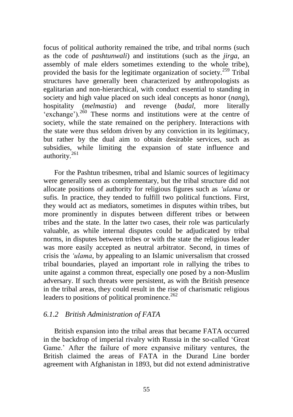focus of political authority remained the tribe, and tribal norms (such as the code of *pashtunwali*) and institutions (such as the *jirga*, an assembly of male elders sometimes extending to the whole tribe), provided the basis for the legitimate organization of society.<sup>259</sup> Tribal structures have generally been characterized by anthropologists as egalitarian and non-hierarchical, with conduct essential to standing in society and high value placed on such ideal concepts as honor (*nang*), hospitality (*melmastia*) and revenge (*badal*, more literally 'exchange').<sup>260</sup> These norms and institutions were at the centre of society, while the state remained on the periphery. Interactions with the state were thus seldom driven by any conviction in its legitimacy, but rather by the dual aim to obtain desirable services, such as subsidies, while limiting the expansion of state influence and authority.<sup>261</sup>

For the Pashtun tribesmen, tribal and Islamic sources of legitimacy were generally seen as complementary, but the tribal structure did not allocate positions of authority for religious figures such as *"ulama* or sufis. In practice, they tended to fulfill two political functions. First, they would act as mediators, sometimes in disputes within tribes, but more prominently in disputes between different tribes or between tribes and the state. In the latter two cases, their role was particularly valuable, as while internal disputes could be adjudicated by tribal norms, in disputes between tribes or with the state the religious leader was more easily accepted as neutral arbitrator. Second, in times of crisis the *"ulama*, by appealing to an Islamic universalism that crossed tribal boundaries, played an important role in rallying the tribes to unite against a common threat, especially one posed by a non-Muslim adversary. If such threats were persistent, as with the British presence in the tribal areas, they could result in the rise of charismatic religious leaders to positions of political prominence. $262$ 

#### *6.1.2 British Administration of FATA*

British expansion into the tribal areas that became FATA occurred in the backdrop of imperial rivalry with Russia in the so-called 'Great Game.' After the failure of more expansive military ventures, the British claimed the areas of FATA in the Durand Line border agreement with Afghanistan in 1893, but did not extend administrative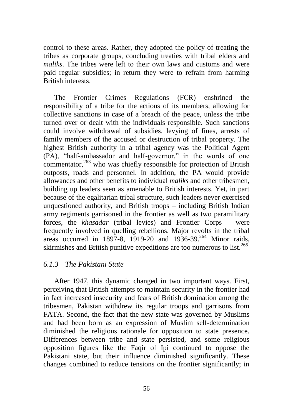control to these areas. Rather, they adopted the policy of treating the tribes as corporate groups, concluding treaties with tribal elders and *maliks*. The tribes were left to their own laws and customs and were paid regular subsidies; in return they were to refrain from harming British interests.

The Frontier Crimes Regulations (FCR) enshrined the responsibility of a tribe for the actions of its members, allowing for collective sanctions in case of a breach of the peace, unless the tribe turned over or dealt with the individuals responsible. Such sanctions could involve withdrawal of subsidies, levying of fines, arrests of family members of the accused or destruction of tribal property. The highest British authority in a tribal agency was the Political Agent (PA), "half-ambassador and half-governor," in the words of one commentator, $263$  who was chiefly responsible for protection of British outposts, roads and personnel. In addition, the PA would provide allowances and other benefits to individual *maliks* and other tribesmen, building up leaders seen as amenable to British interests. Yet, in part because of the egalitarian tribal structure, such leaders never exercised unquestioned authority, and British troops – including British Indian army regiments garrisoned in the frontier as well as two paramilitary forces, the *khasadar* (tribal levies) and Frontier Corps – were frequently involved in quelling rebellions. Major revolts in the tribal areas occurred in 1897-8, 1919-20 and 1936-39.<sup>264</sup> Minor raids, skirmishes and British punitive expeditions are too numerous to list.<sup>265</sup>

# *6.1.3 The Pakistani State*

After 1947, this dynamic changed in two important ways. First, perceiving that British attempts to maintain security in the frontier had in fact increased insecurity and fears of British domination among the tribesmen, Pakistan withdrew its regular troops and garrisons from FATA. Second, the fact that the new state was governed by Muslims and had been born as an expression of Muslim self-determination diminished the religious rationale for opposition to state presence. Differences between tribe and state persisted, and some religious opposition figures like the Faqir of Ipi continued to oppose the Pakistani state, but their influence diminished significantly. These changes combined to reduce tensions on the frontier significantly; in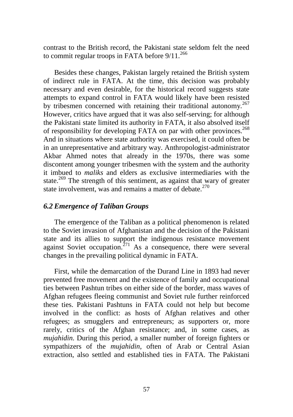contrast to the British record, the Pakistani state seldom felt the need to commit regular troops in FATA before  $9/11$ .<sup>266</sup>

Besides these changes, Pakistan largely retained the British system of indirect rule in FATA. At the time, this decision was probably necessary and even desirable, for the historical record suggests state attempts to expand control in FATA would likely have been resisted by tribesmen concerned with retaining their traditional autonomy.<sup>267</sup> However, critics have argued that it was also self-serving; for although the Pakistani state limited its authority in FATA, it also absolved itself of responsibility for developing FATA on par with other provinces.<sup>268</sup> And in situations where state authority was exercised, it could often be in an unrepresentative and arbitrary way. Anthropologist-administrator Akbar Ahmed notes that already in the 1970s, there was some discontent among younger tribesmen with the system and the authority it imbued to *maliks* and elders as exclusive intermediaries with the state.<sup>269</sup> The strength of this sentiment, as against that wary of greater state involvement, was and remains a matter of debate.<sup>270</sup>

# *6.2 Emergence of Taliban Groups*

The emergence of the Taliban as a political phenomenon is related to the Soviet invasion of Afghanistan and the decision of the Pakistani state and its allies to support the indigenous resistance movement against Soviet occupation.<sup> $271$ </sup> As a consequence, there were several changes in the prevailing political dynamic in FATA.

First, while the demarcation of the Durand Line in 1893 had never prevented free movement and the existence of family and occupational ties between Pashtun tribes on either side of the border, mass waves of Afghan refugees fleeing communist and Soviet rule further reinforced these ties. Pakistani Pashtuns in FATA could not help but become involved in the conflict: as hosts of Afghan relatives and other refugees; as smugglers and entrepreneurs; as supporters or, more rarely, critics of the Afghan resistance; and, in some cases, as *mujahidin.* During this period, a smaller number of foreign fighters or sympathizers of the *mujahidin*, often of Arab or Central Asian extraction, also settled and established ties in FATA. The Pakistani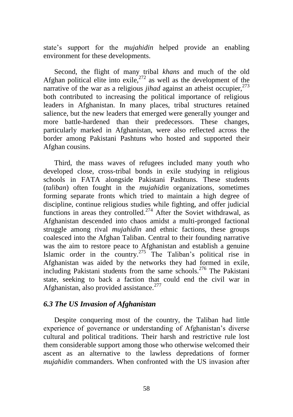state's support for the *mujahidin* helped provide an enabling environment for these developments.

Second, the flight of many tribal *khans* and much of the old Afghan political elite into exile,<sup>272</sup> as well as the development of the narrative of the war as a religious *jihad* against an atheist occupier,  $273$ both contributed to increasing the political importance of religious leaders in Afghanistan. In many places, tribal structures retained salience, but the new leaders that emerged were generally younger and more battle-hardened than their predecessors. These changes, particularly marked in Afghanistan, were also reflected across the border among Pakistani Pashtuns who hosted and supported their Afghan cousins.

Third, the mass waves of refugees included many youth who developed close, cross-tribal bonds in exile studying in religious schools in FATA alongside Pakistani Pashtuns. These students (*taliban*) often fought in the *mujahidin* organizations, sometimes forming separate fronts which tried to maintain a high degree of discipline, continue religious studies while fighting, and offer judicial functions in areas they controlled.<sup>274</sup> After the Soviet withdrawal, as Afghanistan descended into chaos amidst a multi-pronged factional struggle among rival *mujahidin* and ethnic factions, these groups coalesced into the Afghan Taliban. Central to their founding narrative was the aim to restore peace to Afghanistan and establish a genuine Islamic order in the country.<sup>275</sup> The Taliban's political rise in Afghanistan was aided by the networks they had formed in exile, including Pakistani students from the same schools.<sup>276</sup> The Pakistani state, seeking to back a faction that could end the civil war in Afghanistan, also provided assistance. $277$ 

## *6.3 The US Invasion of Afghanistan*

Despite conquering most of the country, the Taliban had little experience of governance or understanding of Afghanistan's diverse cultural and political traditions. Their harsh and restrictive rule lost them considerable support among those who otherwise welcomed their ascent as an alternative to the lawless depredations of former *mujahidin* commanders. When confronted with the US invasion after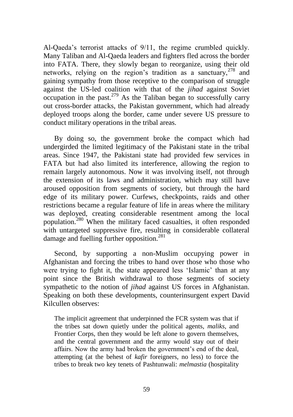Al-Qaeda's terrorist attacks of 9/11, the regime crumbled quickly. Many Taliban and Al-Qaeda leaders and fighters fled across the border into FATA. There, they slowly began to reorganize, using their old networks, relying on the region's tradition as a sanctuary,  $278$  and gaining sympathy from those receptive to the comparison of struggle against the US-led coalition with that of the *jihad* against Soviet occupation in the past.<sup>279</sup> As the Taliban began to successfully carry out cross-border attacks, the Pakistan government, which had already deployed troops along the border, came under severe US pressure to conduct military operations in the tribal areas.

By doing so, the government broke the compact which had undergirded the limited legitimacy of the Pakistani state in the tribal areas. Since 1947, the Pakistani state had provided few services in FATA but had also limited its interference, allowing the region to remain largely autonomous. Now it was involving itself, not through the extension of its laws and administration, which may still have aroused opposition from segments of society, but through the hard edge of its military power. Curfews, checkpoints, raids and other restrictions became a regular feature of life in areas where the military was deployed, creating considerable resentment among the local population.<sup>280</sup> When the military faced casualties, it often responded with untargeted suppressive fire, resulting in considerable collateral damage and fuelling further opposition.<sup>281</sup>

Second, by supporting a non-Muslim occupying power in Afghanistan and forcing the tribes to hand over those who those who were trying to fight it, the state appeared less 'Islamic' than at any point since the British withdrawal to those segments of society sympathetic to the notion of *jihad* against US forces in Afghanistan. Speaking on both these developments, counterinsurgent expert David Kilcullen observes:

The implicit agreement that underpinned the FCR system was that if the tribes sat down quietly under the political agents, *maliks*, and Frontier Corps, then they would be left alone to govern themselves, and the central government and the army would stay out of their affairs. Now the army had broken the government's end of the deal, attempting (at the behest of *kafir* foreigners, no less) to force the tribes to break two key tenets of Pashtunwali: *melmastia* (hospitality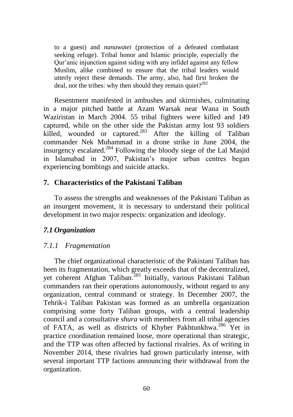to a guest) and *nanawatei* (protection of a defeated combatant seeking refuge). Tribal honor and Islamic principle, especially the Qur'anic injunction against siding with any infidel against any fellow Muslim, alike combined to ensure that the tribal leaders would utterly reject these demands. The army, also, had first broken the deal, not the tribes: why then should they remain quiet? $282$ 

Resentment manifested in ambushes and skirmishes, culminating in a major pitched battle at Azam Warsak near Wana in South Waziristan in March 2004. 55 tribal fighters were killed and 149 captured, while on the other side the Pakistan army lost 93 soldiers killed, wounded or captured.<sup>283</sup> After the killing of Taliban commander Nek Muhammad in a drone strike in June 2004, the insurgency escalated.<sup>284</sup> Following the bloody siege of the Lal Masjid in Islamabad in 2007, Pakistan's major urban centres began experiencing bombings and suicide attacks.

## **7. Characteristics of the Pakistani Taliban**

To assess the strengths and weaknesses of the Pakistani Taliban as an insurgent movement, it is necessary to understand their political development in two major respects: organization and ideology.

## *7.1 Organization*

# *7.1.1 Fragmentation*

The chief organizational characteristic of the Pakistani Taliban has been its fragmentation, which greatly exceeds that of the decentralized, yet coherent Afghan Taliban.<sup>285</sup> Initially, various Pakistani Taliban commanders ran their operations autonomously, without regard to any organization, central command or strategy. In December 2007, the Tehrik-i Taliban Pakistan was formed as an umbrella organization comprising some forty Taliban groups, with a central leadership council and a consultative *shura* with members from all tribal agencies of FATA, as well as districts of Khyber Pakhtunkhwa.<sup>286</sup> Yet in practice coordination remained loose, more operational than strategic, and the TTP was often affected by factional rivalries. As of writing in November 2014, these rivalries had grown particularly intense, with several important TTP factions announcing their withdrawal from the organization.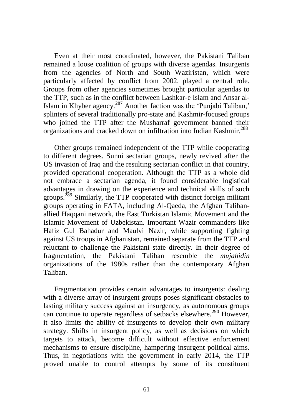Even at their most coordinated, however, the Pakistani Taliban remained a loose coalition of groups with diverse agendas. Insurgents from the agencies of North and South Waziristan, which were particularly affected by conflict from 2002, played a central role. Groups from other agencies sometimes brought particular agendas to the TTP, such as in the conflict between Lashkar-e Islam and Ansar al-Islam in Khyber agency. $287$  Another faction was the 'Punjabi Taliban,' splinters of several traditionally pro-state and Kashmir-focused groups who joined the TTP after the Musharraf government banned their organizations and cracked down on infiltration into Indian Kashmir.<sup>288</sup>

Other groups remained independent of the TTP while cooperating to different degrees. Sunni sectarian groups, newly revived after the US invasion of Iraq and the resulting sectarian conflict in that country, provided operational cooperation. Although the TTP as a whole did not embrace a sectarian agenda, it found considerable logistical advantages in drawing on the experience and technical skills of such groups.<sup>289</sup> Similarly, the TTP cooperated with distinct foreign militant groups operating in FATA, including Al-Qaeda, the Afghan Talibanallied Haqqani network, the East Turkistan Islamic Movement and the Islamic Movement of Uzbekistan. Important Wazir commanders like Hafiz Gul Bahadur and Maulvi Nazir, while supporting fighting against US troops in Afghanistan, remained separate from the TTP and reluctant to challenge the Pakistani state directly. In their degree of fragmentation, the Pakistani Taliban resemble the *mujahidin*  organizations of the 1980s rather than the contemporary Afghan Taliban.

Fragmentation provides certain advantages to insurgents: dealing with a diverse array of insurgent groups poses significant obstacles to lasting military success against an insurgency, as autonomous groups can continue to operate regardless of setbacks elsewhere.<sup>290</sup> However, it also limits the ability of insurgents to develop their own military strategy. Shifts in insurgent policy, as well as decisions on which targets to attack, become difficult without effective enforcement mechanisms to ensure discipline, hampering insurgent political aims. Thus, in negotiations with the government in early 2014, the TTP proved unable to control attempts by some of its constituent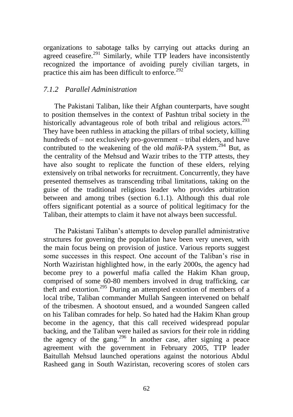organizations to sabotage talks by carrying out attacks during an agreed ceasefire.<sup>291</sup> Similarly, while TTP leaders have inconsistently recognized the importance of avoiding purely civilian targets, in practice this aim has been difficult to enforce.<sup>292</sup>

## *7.1.2 Parallel Administration*

The Pakistani Taliban, like their Afghan counterparts, have sought to position themselves in the context of Pashtun tribal society in the historically advantageous role of both tribal and religious actors.<sup>293</sup> They have been ruthless in attacking the pillars of tribal society, killing hundreds of – not exclusively pro-government – tribal elders, and have contributed to the weakening of the old *malik*-PA system.<sup>294</sup> But, as the centrality of the Mehsud and Wazir tribes to the TTP attests, they have also sought to replicate the function of these elders, relying extensively on tribal networks for recruitment. Concurrently, they have presented themselves as transcending tribal limitations, taking on the guise of the traditional religious leader who provides arbitration between and among tribes (section 6.1.1). Although this dual role offers significant potential as a source of political legitimacy for the Taliban, their attempts to claim it have not always been successful.

The Pakistani Taliban's attempts to develop parallel administrative structures for governing the population have been very uneven, with the main focus being on provision of justice. Various reports suggest some successes in this respect. One account of the Taliban's rise in North Waziristan highlighted how, in the early 2000s, the agency had become prey to a powerful mafia called the Hakim Khan group, comprised of some 60-80 members involved in drug trafficking, car theft and extortion.<sup>295</sup> During an attempted extortion of members of a local tribe, Taliban commander Mullah Sangeen intervened on behalf of the tribesmen. A shootout ensued, and a wounded Sangeen called on his Taliban comrades for help. So hated had the Hakim Khan group become in the agency, that this call received widespread popular backing, and the Taliban were hailed as saviors for their role in ridding the agency of the gang.<sup>296</sup> In another case, after signing a peace agreement with the government in February 2005, TTP leader Baitullah Mehsud launched operations against the notorious Abdul Rasheed gang in South Waziristan, recovering scores of stolen cars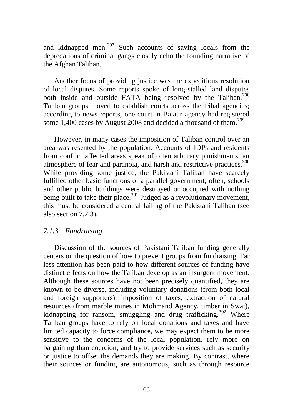and kidnapped men.<sup>297</sup> Such accounts of saving locals from the depredations of criminal gangs closely echo the founding narrative of the Afghan Taliban.

Another focus of providing justice was the expeditious resolution of local disputes. Some reports spoke of long-stalled land disputes both inside and outside FATA being resolved by the Taliban.<sup>298</sup> Taliban groups moved to establish courts across the tribal agencies; according to news reports, one court in Bajaur agency had registered some 1,400 cases by August 2008 and decided a thousand of them.<sup>299</sup>

However, in many cases the imposition of Taliban control over an area was resented by the population. Accounts of IDPs and residents from conflict affected areas speak of often arbitrary punishments, an atmosphere of fear and paranoia, and harsh and restrictive practices.<sup>300</sup> While providing some justice, the Pakistani Taliban have scarcely fulfilled other basic functions of a parallel government; often, schools and other public buildings were destroyed or occupied with nothing being built to take their place.<sup>301</sup> Judged as a revolutionary movement, this must be considered a central failing of the Pakistani Taliban (see also section 7.2.3).

## *7.1.3 Fundraising*

Discussion of the sources of Pakistani Taliban funding generally centers on the question of how to prevent groups from fundraising. Far less attention has been paid to how different sources of funding have distinct effects on how the Taliban develop as an insurgent movement. Although these sources have not been precisely quantified, they are known to be diverse, including voluntary donations (from both local and foreign supporters), imposition of taxes, extraction of natural resources (from marble mines in Mohmand Agency, timber in Swat), kidnapping for ransom, smuggling and drug trafficking. $302$  Where Taliban groups have to rely on local donations and taxes and have limited capacity to force compliance, we may expect them to be more sensitive to the concerns of the local population, rely more on bargaining than coercion, and try to provide services such as security or justice to offset the demands they are making. By contrast, where their sources or funding are autonomous, such as through resource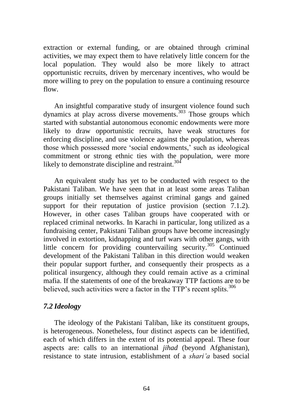extraction or external funding, or are obtained through criminal activities, we may expect them to have relatively little concern for the local population. They would also be more likely to attract opportunistic recruits, driven by mercenary incentives, who would be more willing to prey on the population to ensure a continuing resource flow.

An insightful comparative study of insurgent violence found such dynamics at play across diverse movements.<sup>303</sup> Those groups which started with substantial autonomous economic endowments were more likely to draw opportunistic recruits, have weak structures for enforcing discipline, and use violence against the population, whereas those which possessed more ‗social endowments,' such as ideological commitment or strong ethnic ties with the population, were more likely to demonstrate discipline and restraint. $304$ 

An equivalent study has yet to be conducted with respect to the Pakistani Taliban. We have seen that in at least some areas Taliban groups initially set themselves against criminal gangs and gained support for their reputation of justice provision (section 7.1.2). However, in other cases Taliban groups have cooperated with or replaced criminal networks. In Karachi in particular, long utilized as a fundraising center, Pakistani Taliban groups have become increasingly involved in extortion, kidnapping and turf wars with other gangs, with little concern for providing countervailing security.<sup>305</sup> Continued development of the Pakistani Taliban in this direction would weaken their popular support further, and consequently their prospects as a political insurgency, although they could remain active as a criminal mafia. If the statements of one of the breakaway TTP factions are to be believed, such activities were a factor in the TTP's recent splits.<sup>306</sup>

## *7.2 Ideology*

The ideology of the Pakistani Taliban, like its constituent groups, is heterogeneous. Nonetheless, four distinct aspects can be identified, each of which differs in the extent of its potential appeal. These four aspects are: calls to an international *jihad* (beyond Afghanistan), resistance to state intrusion, establishment of a *shari"a* based social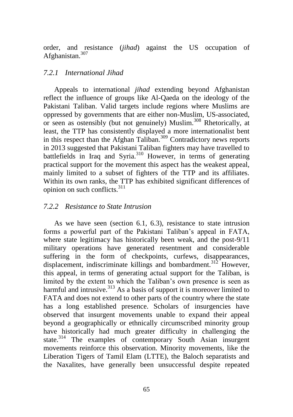order, and resistance (*jihad*) against the US occupation of Afghanistan.<sup>307</sup>

### *7.2.1 International Jihad*

Appeals to international *jihad* extending beyond Afghanistan reflect the influence of groups like Al-Qaeda on the ideology of the Pakistani Taliban. Valid targets include regions where Muslims are oppressed by governments that are either non-Muslim, US-associated, or seen as ostensibly (but not genuinely) Muslim.<sup>308</sup> Rhetorically, at least, the TTP has consistently displayed a more internationalist bent in this respect than the Afghan Taliban.<sup>309</sup> Contradictory news reports in 2013 suggested that Pakistani Taliban fighters may have travelled to battlefields in Iraq and Syria.<sup>310</sup> However, in terms of generating practical support for the movement this aspect has the weakest appeal, mainly limited to a subset of fighters of the TTP and its affiliates. Within its own ranks, the TTP has exhibited significant differences of opinion on such conflicts. $311$ 

### *7.2.2 Resistance to State Intrusion*

As we have seen (section 6.1, 6.3), resistance to state intrusion forms a powerful part of the Pakistani Taliban's appeal in FATA, where state legitimacy has historically been weak, and the post-9/11 military operations have generated resentment and considerable suffering in the form of checkpoints, curfews, disappearances, displacement, indiscriminate killings and bombardment.<sup>312</sup> However, this appeal, in terms of generating actual support for the Taliban, is limited by the extent to which the Taliban's own presence is seen as harmful and intrusive. $313$  As a basis of support it is moreover limited to FATA and does not extend to other parts of the country where the state has a long established presence. Scholars of insurgencies have observed that insurgent movements unable to expand their appeal beyond a geographically or ethnically circumscribed minority group have historically had much greater difficulty in challenging the state.<sup>314</sup> The examples of contemporary South Asian insurgent movements reinforce this observation. Minority movements, like the Liberation Tigers of Tamil Elam (LTTE), the Baloch separatists and the Naxalites, have generally been unsuccessful despite repeated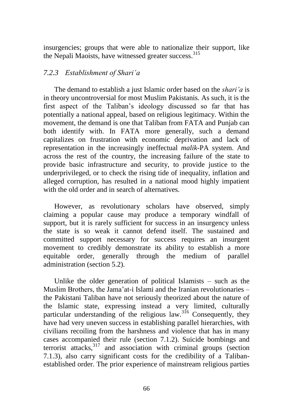insurgencies; groups that were able to nationalize their support, like the Nepali Maoists, have witnessed greater success.<sup>315</sup>

## *7.2.3 Establishment of Shari"a*

The demand to establish a just Islamic order based on the *shari"a* is in theory uncontroversial for most Muslim Pakistanis. As such, it is the first aspect of the Taliban's ideology discussed so far that has potentially a national appeal, based on religious legitimacy. Within the movement, the demand is one that Taliban from FATA and Punjab can both identify with. In FATA more generally, such a demand capitalizes on frustration with economic deprivation and lack of representation in the increasingly ineffectual *malik-*PA system. And across the rest of the country, the increasing failure of the state to provide basic infrastructure and security, to provide justice to the underprivileged, or to check the rising tide of inequality, inflation and alleged corruption, has resulted in a national mood highly impatient with the old order and in search of alternatives.

However, as revolutionary scholars have observed, simply claiming a popular cause may produce a temporary windfall of support, but it is rarely sufficient for success in an insurgency unless the state is so weak it cannot defend itself. The sustained and committed support necessary for success requires an insurgent movement to credibly demonstrate its ability to establish a more equitable order, generally through the medium of parallel administration (section 5.2).

Unlike the older generation of political Islamists – such as the Muslim Brothers, the Jama'at-i Islami and the Iranian revolutionaries – the Pakistani Taliban have not seriously theorized about the nature of the Islamic state, expressing instead a very limited, culturally particular understanding of the religious law.  $316$  Consequently, they have had very uneven success in establishing parallel hierarchies, with civilians recoiling from the harshness and violence that has in many cases accompanied their rule (section 7.1.2). Suicide bombings and terrorist attacks, $3^{317}$  and association with criminal groups (section 7.1.3), also carry significant costs for the credibility of a Talibanestablished order. The prior experience of mainstream religious parties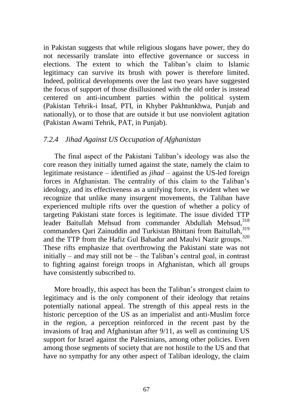in Pakistan suggests that while religious slogans have power, they do not necessarily translate into effective governance or success in elections. The extent to which the Taliban's claim to Islamic legitimacy can survive its brush with power is therefore limited. Indeed, political developments over the last two years have suggested the focus of support of those disillusioned with the old order is instead centered on anti-incumbent parties within the political system (Pakistan Tehrik-i Insaf, PTI, in Khyber Pakhtunkhwa, Punjab and nationally), or to those that are outside it but use nonviolent agitation (Pakistan Awami Tehrik, PAT, in Punjab).

## *7.2.4 Jihad Against US Occupation of Afghanistan*

The final aspect of the Pakistani Taliban's ideology was also the core reason they initially turned against the state, namely the claim to legitimate resistance – identified as *jihad* – against the US-led foreign forces in Afghanistan. The centrality of this claim to the Taliban's ideology, and its effectiveness as a unifying force, is evident when we recognize that unlike many insurgent movements, the Taliban have experienced multiple rifts over the question of whether a policy of targeting Pakistani state forces is legitimate. The issue divided TTP leader Baitullah Mehsud from commander Abdullah Mehsud.<sup>318</sup> commanders Qari Zainuddin and Turkistan Bhittani from Baitullah, 319 and the TTP from the Hafiz Gul Bahadur and Maulvi Nazir groups.<sup>320</sup> These rifts emphasize that overthrowing the Pakistani state was not initially – and may still not be – the Taliban's central goal, in contrast to fighting against foreign troops in Afghanistan, which all groups have consistently subscribed to.

More broadly, this aspect has been the Taliban's strongest claim to legitimacy and is the only component of their ideology that retains potentially national appeal. The strength of this appeal rests in the historic perception of the US as an imperialist and anti-Muslim force in the region, a perception reinforced in the recent past by the invasions of Iraq and Afghanistan after 9/11, as well as continuing US support for Israel against the Palestinians, among other policies. Even among those segments of society that are not hostile to the US and that have no sympathy for any other aspect of Taliban ideology, the claim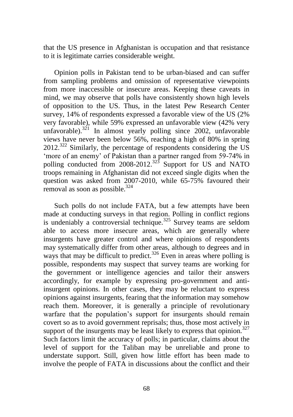that the US presence in Afghanistan is occupation and that resistance to it is legitimate carries considerable weight.

Opinion polls in Pakistan tend to be urban-biased and can suffer from sampling problems and omission of representative viewpoints from more inaccessible or insecure areas. Keeping these caveats in mind, we may observe that polls have consistently shown high levels of opposition to the US. Thus, in the latest Pew Research Center survey, 14% of respondents expressed a favorable view of the US (2% very favorable), while 59% expressed an unfavorable view (42% very unfavorable).<sup>321</sup> In almost yearly polling since 2002, unfavorable views have never been below 56%, reaching a high of 80% in spring  $2012.^{322}$  Similarly, the percentage of respondents considering the US ‗more of an enemy' of Pakistan than a partner ranged from 59-74% in polling conducted from  $2008-2012$ <sup>323</sup> Support for US and NATO troops remaining in Afghanistan did not exceed single digits when the question was asked from 2007-2010, while 65-75% favoured their removal as soon as possible. $324$ 

Such polls do not include FATA, but a few attempts have been made at conducting surveys in that region. Polling in conflict regions is undeniably a controversial technique.<sup>325</sup> Survey teams are seldom able to access more insecure areas, which are generally where insurgents have greater control and where opinions of respondents may systematically differ from other areas, although to degrees and in ways that may be difficult to predict.<sup>326</sup> Even in areas where polling is possible, respondents may suspect that survey teams are working for the government or intelligence agencies and tailor their answers accordingly, for example by expressing pro-government and antiinsurgent opinions. In other cases, they may be reluctant to express opinions against insurgents, fearing that the information may somehow reach them. Moreover, it is generally a principle of revolutionary warfare that the population's support for insurgents should remain covert so as to avoid government reprisals; thus, those most actively in support of the insurgents may be least likely to express that opinion.<sup>327</sup> Such factors limit the accuracy of polls; in particular, claims about the level of support for the Taliban may be unreliable and prone to understate support. Still, given how little effort has been made to involve the people of FATA in discussions about the conflict and their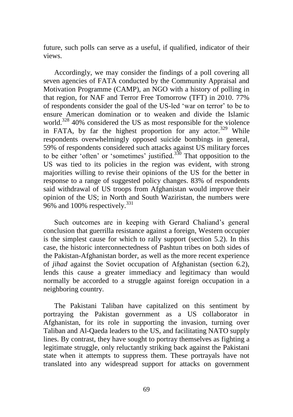future, such polls can serve as a useful, if qualified, indicator of their views.

Accordingly, we may consider the findings of a poll covering all seven agencies of FATA conducted by the Community Appraisal and Motivation Programme (CAMP), an NGO with a history of polling in that region, for NAF and Terror Free Tomorrow (TFT) in 2010. 77% of respondents consider the goal of the US-led ‗war on terror' to be to ensure American domination or to weaken and divide the Islamic world.<sup>328</sup> 40% considered the US as most responsible for the violence in FATA, by far the highest proportion for any actor.<sup>329</sup> While respondents overwhelmingly opposed suicide bombings in general, 59% of respondents considered such attacks against US military forces to be either 'often' or 'sometimes' justified. $330$  That opposition to the US was tied to its policies in the region was evident, with strong majorities willing to revise their opinions of the US for the better in response to a range of suggested policy changes. 83% of respondents said withdrawal of US troops from Afghanistan would improve their opinion of the US; in North and South Waziristan, the numbers were 96% and 100% respectively.<sup>331</sup>

Such outcomes are in keeping with Gerard Chaliand's general conclusion that guerrilla resistance against a foreign, Western occupier is the simplest cause for which to rally support (section 5.2). In this case, the historic interconnectedness of Pashtun tribes on both sides of the Pakistan-Afghanistan border, as well as the more recent experience of *jihad* against the Soviet occupation of Afghanistan (section 6.2), lends this cause a greater immediacy and legitimacy than would normally be accorded to a struggle against foreign occupation in a neighboring country.

The Pakistani Taliban have capitalized on this sentiment by portraying the Pakistan government as a US collaborator in Afghanistan, for its role in supporting the invasion, turning over Taliban and Al-Qaeda leaders to the US, and facilitating NATO supply lines. By contrast, they have sought to portray themselves as fighting a legitimate struggle, only reluctantly striking back against the Pakistani state when it attempts to suppress them. These portrayals have not translated into any widespread support for attacks on government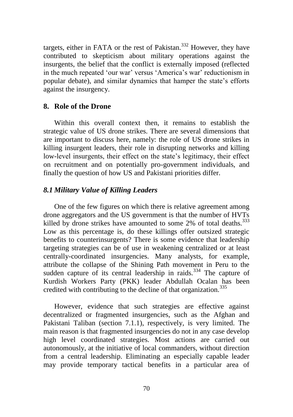targets, either in FATA or the rest of Pakistan.<sup>332</sup> However, they have contributed to skepticism about military operations against the insurgents, the belief that the conflict is externally imposed (reflected in the much repeated 'our war' versus 'America's war' reductionism in popular debate), and similar dynamics that hamper the state's efforts against the insurgency.

#### **8. Role of the Drone**

Within this overall context then, it remains to establish the strategic value of US drone strikes. There are several dimensions that are important to discuss here, namely: the role of US drone strikes in killing insurgent leaders, their role in disrupting networks and killing low-level insurgents, their effect on the state's legitimacy, their effect on recruitment and on potentially pro-government individuals, and finally the question of how US and Pakistani priorities differ.

### *8.1 Military Value of Killing Leaders*

One of the few figures on which there is relative agreement among drone aggregators and the US government is that the number of HVTs killed by drone strikes have amounted to some 2% of total deaths.<sup>333</sup> Low as this percentage is, do these killings offer outsized strategic benefits to counterinsurgents? There is some evidence that leadership targeting strategies can be of use in weakening centralized or at least centrally-coordinated insurgencies. Many analysts, for example, attribute the collapse of the Shining Path movement in Peru to the sudden capture of its central leadership in raids. $334$  The capture of Kurdish Workers Party (PKK) leader Abdullah Ocalan has been credited with contributing to the decline of that organization.<sup>335</sup>

However, evidence that such strategies are effective against decentralized or fragmented insurgencies, such as the Afghan and Pakistani Taliban (section 7.1.1), respectively, is very limited. The main reason is that fragmented insurgencies do not in any case develop high level coordinated strategies. Most actions are carried out autonomously, at the initiative of local commanders, without direction from a central leadership. Eliminating an especially capable leader may provide temporary tactical benefits in a particular area of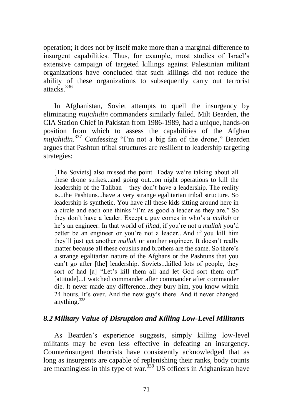operation; it does not by itself make more than a marginal difference to insurgent capabilities. Thus, for example, most studies of Israel's extensive campaign of targeted killings against Palestinian militant organizations have concluded that such killings did not reduce the ability of these organizations to subsequently carry out terrorist attacks.<sup>336</sup>

In Afghanistan, Soviet attempts to quell the insurgency by eliminating *mujahidin* commanders similarly failed. Milt Bearden, the CIA Station Chief in Pakistan from 1986-1989, had a unique, hands-on position from which to assess the capabilities of the Afghan *mujahidin*.<sup>337</sup> Confessing "I'm not a big fan of the drone," Bearden argues that Pashtun tribal structures are resilient to leadership targeting strategies:

[The Soviets] also missed the point. Today we're talking about all these drone strikes...and going out...on night operations to kill the leadership of the Taliban – they don't have a leadership. The reality is...the Pashtuns...have a very strange egalitarian tribal structure. So leadership is synthetic. You have all these kids sitting around here in a circle and each one thinks "I'm as good a leader as they are." So they don't have a leader. Except a guy comes in who's a *mullah* or he's an engineer. In that world of *jihad*, if you're not a *mullah* you'd better be an engineer or you're not a leader...And if you kill him they'll just get another *mullah* or another engineer. It doesn't really matter because all these cousins and brothers are the same. So there's a strange egalitarian nature of the Afghans or the Pashtuns that you can't go after [the] leadership. Soviets...killed lots of people, they sort of had [a] "Let's kill them all and let God sort them out" [attitude]...I watched commander after commander after commander die. It never made any difference...they bury him, you know within 24 hours. It's over. And the new guy's there. And it never changed anything. $338$ 

## *8.2 Military Value of Disruption and Killing Low-Level Militants*

As Bearden's experience suggests, simply killing low-level militants may be even less effective in defeating an insurgency. Counterinsurgent theorists have consistently acknowledged that as long as insurgents are capable of replenishing their ranks, body counts are meaningless in this type of war.<sup>339</sup> US officers in Afghanistan have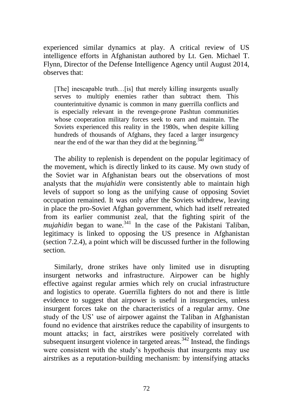experienced similar dynamics at play. A critical review of US intelligence efforts in Afghanistan authored by Lt. Gen. Michael T. Flynn, Director of the Defense Intelligence Agency until August 2014, observes that:

[The] inescapable truth...[is] that merely killing insurgents usually serves to multiply enemies rather than subtract them. This counterintuitive dynamic is common in many guerrilla conflicts and is especially relevant in the revenge-prone Pashtun communities whose cooperation military forces seek to earn and maintain. The Soviets experienced this reality in the 1980s, when despite killing hundreds of thousands of Afghans, they faced a larger insurgency near the end of the war than they did at the beginning.<sup> $340$ </sup>

The ability to replenish is dependent on the popular legitimacy of the movement, which is directly linked to its cause. My own study of the Soviet war in Afghanistan bears out the observations of most analysts that the *mujahidin* were consistently able to maintain high levels of support so long as the unifying cause of opposing Soviet occupation remained. It was only after the Soviets withdrew, leaving in place the pro-Soviet Afghan government, which had itself retreated from its earlier communist zeal, that the fighting spirit of the  $mujahidin$  began to wane.<sup>341</sup> In the case of the Pakistani Taliban, legitimacy is linked to opposing the US presence in Afghanistan (section 7.2.4), a point which will be discussed further in the following section.

Similarly, drone strikes have only limited use in disrupting insurgent networks and infrastructure. Airpower can be highly effective against regular armies which rely on crucial infrastructure and logistics to operate. Guerrilla fighters do not and there is little evidence to suggest that airpower is useful in insurgencies, unless insurgent forces take on the characteristics of a regular army. One study of the US' use of airpower against the Taliban in Afghanistan found no evidence that airstrikes reduce the capability of insurgents to mount attacks; in fact, airstrikes were positively correlated with subsequent insurgent violence in targeted areas. $342$  Instead, the findings were consistent with the study's hypothesis that insurgents may use airstrikes as a reputation-building mechanism: by intensifying attacks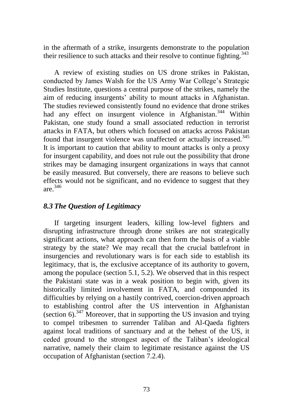in the aftermath of a strike, insurgents demonstrate to the population their resilience to such attacks and their resolve to continue fighting.<sup>343</sup>

A review of existing studies on US drone strikes in Pakistan, conducted by James Walsh for the US Army War College's Strategic Studies Institute, questions a central purpose of the strikes, namely the aim of reducing insurgents' ability to mount attacks in Afghanistan. The studies reviewed consistently found no evidence that drone strikes had any effect on insurgent violence in Afghanistan.<sup>344</sup> Within Pakistan, one study found a small associated reduction in terrorist attacks in FATA, but others which focused on attacks across Pakistan found that insurgent violence was unaffected or actually increased.<sup>345</sup> It is important to caution that ability to mount attacks is only a proxy for insurgent capability, and does not rule out the possibility that drone strikes may be damaging insurgent organizations in ways that cannot be easily measured. But conversely, there are reasons to believe such effects would not be significant, and no evidence to suggest that they are. 346

# *8.3 The Question of Legitimacy*

If targeting insurgent leaders, killing low-level fighters and disrupting infrastructure through drone strikes are not strategically significant actions, what approach can then form the basis of a viable strategy by the state? We may recall that the crucial battlefront in insurgencies and revolutionary wars is for each side to establish its legitimacy, that is, the exclusive acceptance of its authority to govern, among the populace (section 5.1, 5.2). We observed that in this respect the Pakistani state was in a weak position to begin with, given its historically limited involvement in FATA, and compounded its difficulties by relying on a hastily contrived, coercion-driven approach to establishing control after the US intervention in Afghanistan (section 6).<sup>347</sup> Moreover, that in supporting the US invasion and trying to compel tribesmen to surrender Taliban and Al-Qaeda fighters against local traditions of sanctuary and at the behest of the US, it ceded ground to the strongest aspect of the Taliban's ideological narrative, namely their claim to legitimate resistance against the US occupation of Afghanistan (section 7.2.4).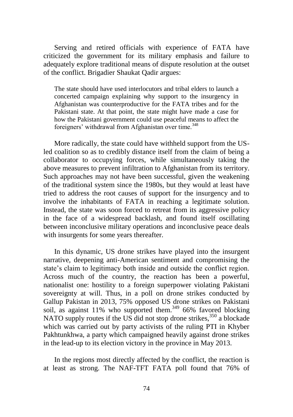Serving and retired officials with experience of FATA have criticized the government for its military emphasis and failure to adequately explore traditional means of dispute resolution at the outset of the conflict. Brigadier Shaukat Qadir argues:

The state should have used interlocutors and tribal elders to launch a concerted campaign explaining why support to the insurgency in Afghanistan was counterproductive for the FATA tribes and for the Pakistani state. At that point, the state might have made a case for how the Pakistani government could use peaceful means to affect the foreigners' withdrawal from Afghanistan over time.<sup>348</sup>

More radically, the state could have withheld support from the USled coalition so as to credibly distance itself from the claim of being a collaborator to occupying forces, while simultaneously taking the above measures to prevent infiltration to Afghanistan from its territory. Such approaches may not have been successful, given the weakening of the traditional system since the 1980s, but they would at least have tried to address the root causes of support for the insurgency and to involve the inhabitants of FATA in reaching a legitimate solution. Instead, the state was soon forced to retreat from its aggressive policy in the face of a widespread backlash, and found itself oscillating between inconclusive military operations and inconclusive peace deals with insurgents for some years thereafter.

In this dynamic, US drone strikes have played into the insurgent narrative, deepening anti-American sentiment and compromising the state's claim to legitimacy both inside and outside the conflict region. Across much of the country, the reaction has been a powerful, nationalist one: hostility to a foreign superpower violating Pakistani sovereignty at will. Thus, in a poll on drone strikes conducted by Gallup Pakistan in 2013, 75% opposed US drone strikes on Pakistani soil, as against 11% who supported them.<sup>349</sup> 66% favored blocking NATO supply routes if the US did not stop drone strikes,  $350$  a blockade which was carried out by party activists of the ruling PTI in Khyber Pakhtunkhwa, a party which campaigned heavily against drone strikes in the lead-up to its election victory in the province in May 2013.

In the regions most directly affected by the conflict, the reaction is at least as strong. The NAF-TFT FATA poll found that 76% of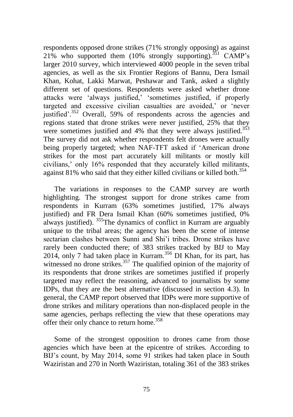respondents opposed drone strikes (71% strongly opposing) as against 21% who supported them  $(10\%$  strongly supporting).<sup>351</sup> CAMP's larger 2010 survey, which interviewed 4000 people in the seven tribal agencies, as well as the six Frontier Regions of Bannu, Dera Ismail Khan, Kohat, Lakki Marwat, Peshawar and Tank, asked a slightly different set of questions. Respondents were asked whether drone attacks were 'always justified,' 'sometimes justified, if properly targeted and excessive civilian casualties are avoided,' or 'never justified'.<sup>352</sup> Overall, 59% of respondents across the agencies and regions stated that drone strikes were never justified, 25% that they were sometimes justified and 4% that they were always justified.<sup>353</sup> The survey did not ask whether respondents felt drones were actually being properly targeted; when NAF-TFT asked if 'American drone strikes for the most part accurately kill militants or mostly kill civilians,' only 16% responded that they accurately killed militants, against 81% who said that they either killed civilians or killed both. $354$ 

The variations in responses to the CAMP survey are worth highlighting. The strongest support for drone strikes came from respondents in Kurram (63% sometimes justified, 17% always justified) and FR Dera Ismail Khan (60% sometimes justified, 0% always justified). <sup>355</sup>The dynamics of conflict in Kurram are arguably unique to the tribal areas; the agency has been the scene of intense sectarian clashes between Sunni and Shi'i tribes. Drone strikes have rarely been conducted there; of 383 strikes tracked by BIJ to May 2014, only 7 had taken place in Kurram.<sup>356</sup> DI Khan, for its part, has witnessed no drone strikes.<sup>357</sup> The qualified opinion of the majority of its respondents that drone strikes are sometimes justified if properly targeted may reflect the reasoning, advanced to journalists by some IDPs, that they are the best alternative (discussed in section 4.3). In general, the CAMP report observed that IDPs were more supportive of drone strikes and military operations than non-displaced people in the same agencies, perhaps reflecting the view that these operations may offer their only chance to return home.<sup>358</sup>

Some of the strongest opposition to drones came from those agencies which have been at the epicentre of strikes. According to BIJ's count, by May 2014, some 91 strikes had taken place in South Waziristan and 270 in North Waziristan, totaling 361 of the 383 strikes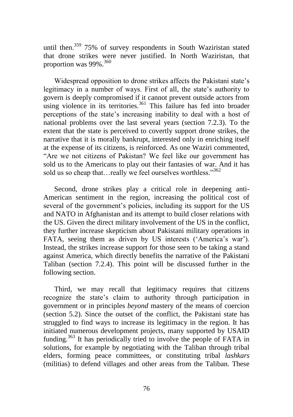until then.<sup>359</sup> 75% of survey respondents in South Waziristan stated that drone strikes were never justified. In North Waziristan, that proportion was  $99\%$ .<sup>360</sup>

Widespread opposition to drone strikes affects the Pakistani state's legitimacy in a number of ways. First of all, the state's authority to govern is deeply compromised if it cannot prevent outside actors from using violence in its territories.<sup>361</sup> This failure has fed into broader perceptions of the state's increasing inability to deal with a host of national problems over the last several years (section 7.2.3). To the extent that the state is perceived to covertly support drone strikes, the narrative that it is morally bankrupt, interested only in enriching itself at the expense of its citizens, is reinforced. As one Waziri commented, "Are we not citizens of Pakistan? We feel like our government has sold us to the Americans to play out their fantasies of war. And it has sold us so cheap that...really we feel ourselves worthless."<sup>362</sup>

Second, drone strikes play a critical role in deepening anti-American sentiment in the region, increasing the political cost of several of the government's policies, including its support for the US and NATO in Afghanistan and its attempt to build closer relations with the US. Given the direct military involvement of the US in the conflict, they further increase skepticism about Pakistani military operations in FATA, seeing them as driven by US interests ('America's war'). Instead, the strikes increase support for those seen to be taking a stand against America, which directly benefits the narrative of the Pakistani Taliban (section 7.2.4). This point will be discussed further in the following section.

Third, we may recall that legitimacy requires that citizens recognize the state's claim to authority through participation in government or in principles *beyond* mastery of the means of coercion (section 5.2). Since the outset of the conflict, the Pakistani state has struggled to find ways to increase its legitimacy in the region. It has initiated numerous development projects, many supported by USAID funding.<sup>363</sup> It has periodically tried to involve the people of FATA in solutions, for example by negotiating with the Taliban through tribal elders, forming peace committees, or constituting tribal *lashkars*  (militias) to defend villages and other areas from the Taliban. These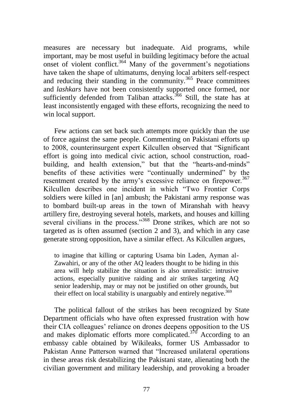measures are necessary but inadequate. Aid programs, while important, may be most useful in building legitimacy before the actual onset of violent conflict.<sup>364</sup> Many of the government's negotiations have taken the shape of ultimatums, denying local arbiters self-respect and reducing their standing in the community.<sup>365</sup> Peace committees and *lashkars* have not been consistently supported once formed, nor sufficiently defended from Taliban attacks.<sup>366</sup> Still, the state has at least inconsistently engaged with these efforts, recognizing the need to win local support.

Few actions can set back such attempts more quickly than the use of force against the same people. Commenting on Pakistani efforts up to 2008, counterinsurgent expert Kilcullen observed that "Significant" effort is going into medical civic action, school construction, roadbuilding, and health extension," but that the "hearts-and-minds" benefits of these activities were "continually undermined" by the resentment created by the army's excessive reliance on firepower.<sup>367</sup> Kilcullen describes one incident in which "Two Frontier Corps soldiers were killed in [an] ambush; the Pakistani army response was to bombard built-up areas in the town of Miranshah with heavy artillery fire, destroying several hotels, markets, and houses and killing several civilians in the process."<sup>368</sup> Drone strikes, which are not so targeted as is often assumed (section 2 and 3), and which in any case generate strong opposition, have a similar effect. As Kilcullen argues,

to imagine that killing or capturing Usama bin Laden, Ayman al-Zawahiri, or any of the other AQ leaders thought to be hiding in this area will help stabilize the situation is also unrealistic: intrusive actions, especially punitive raiding and air strikes targeting AQ senior leadership, may or may not be justified on other grounds, but their effect on local stability is unarguably and entirely negative.<sup>369</sup>

The political fallout of the strikes has been recognized by State Department officials who have often expressed frustration with how their CIA colleagues' reliance on drones deepens opposition to the US and makes diplomatic efforts more complicated.<sup>370</sup> According to an embassy cable obtained by Wikileaks, former US Ambassador to Pakistan Anne Patterson warned that "Increased unilateral operations" in these areas risk destabilizing the Pakistani state, alienating both the civilian government and military leadership, and provoking a broader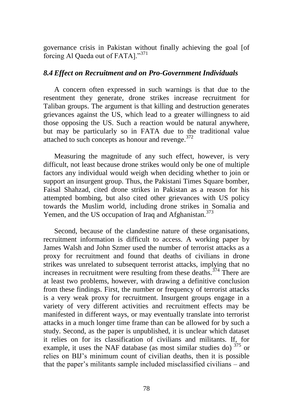governance crisis in Pakistan without finally achieving the goal [of forcing Al Qaeda out of FATA]."<sup>371</sup>

### *8.4 Effect on Recruitment and on Pro-Government Individuals*

A concern often expressed in such warnings is that due to the resentment they generate, drone strikes increase recruitment for Taliban groups. The argument is that killing and destruction generates grievances against the US, which lead to a greater willingness to aid those opposing the US. Such a reaction would be natural anywhere, but may be particularly so in FATA due to the traditional value attached to such concepts as honour and revenge.<sup>372</sup>

Measuring the magnitude of any such effect, however, is very difficult, not least because drone strikes would only be one of multiple factors any individual would weigh when deciding whether to join or support an insurgent group. Thus, the Pakistani Times Square bomber, Faisal Shahzad, cited drone strikes in Pakistan as a reason for his attempted bombing, but also cited other grievances with US policy towards the Muslim world, including drone strikes in Somalia and Yemen, and the US occupation of Iraq and Afghanistan.<sup>373</sup>

Second, because of the clandestine nature of these organisations, recruitment information is difficult to access. A working paper by James Walsh and John Szmer used the number of terrorist attacks as a proxy for recruitment and found that deaths of civilians in drone strikes was unrelated to subsequent terrorist attacks, implying that no increases in recruitment were resulting from these deaths.<sup> $374$ </sup> There are at least two problems, however, with drawing a definitive conclusion from these findings. First, the number or frequency of terrorist attacks is a very weak proxy for recruitment. Insurgent groups engage in a variety of very different activities and recruitment effects may be manifested in different ways, or may eventually translate into terrorist attacks in a much longer time frame than can be allowed for by such a study. Second, as the paper is unpublished, it is unclear which dataset it relies on for its classification of civilians and militants. If, for example, it uses the NAF database (as most similar studies do)<sup>375</sup> or relies on BIJ's minimum count of civilian deaths, then it is possible that the paper's militants sample included misclassified civilians – and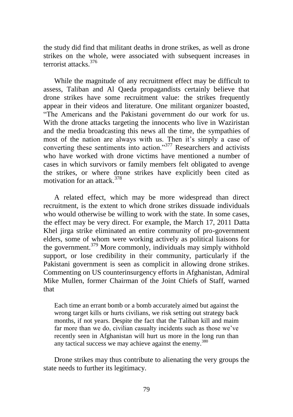the study did find that militant deaths in drone strikes, as well as drone strikes on the whole, were associated with subsequent increases in terrorist attacks<sup>376</sup>

While the magnitude of any recruitment effect may be difficult to assess, Taliban and Al Qaeda propagandists certainly believe that drone strikes have some recruitment value: the strikes frequently appear in their videos and literature. One militant organizer boasted, ―The Americans and the Pakistani government do our work for us. With the drone attacks targeting the innocents who live in Waziristan and the media broadcasting this news all the time, the sympathies of most of the nation are always with us. Then it's simply a case of converting these sentiments into action. $\frac{377}{120}$  Researchers and activists who have worked with drone victims have mentioned a number of cases in which survivors or family members felt obligated to avenge the strikes, or where drone strikes have explicitly been cited as motivation for an attack.<sup>378</sup>

A related effect, which may be more widespread than direct recruitment, is the extent to which drone strikes dissuade individuals who would otherwise be willing to work with the state. In some cases, the effect may be very direct. For example, the March 17, 2011 Datta Khel jirga strike eliminated an entire community of pro-government elders, some of whom were working actively as political liaisons for the government.<sup>379</sup> More commonly, individuals may simply withhold support, or lose credibility in their community, particularly if the Pakistani government is seen as complicit in allowing drone strikes. Commenting on US counterinsurgency efforts in Afghanistan, Admiral Mike Mullen, former Chairman of the Joint Chiefs of Staff, warned that

Each time an errant bomb or a bomb accurately aimed but against the wrong target kills or hurts civilians, we risk setting out strategy back months, if not years. Despite the fact that the Taliban kill and maim far more than we do, civilian casualty incidents such as those we've recently seen in Afghanistan will hurt us more in the long run than any tactical success we may achieve against the enemy. $380$ 

Drone strikes may thus contribute to alienating the very groups the state needs to further its legitimacy.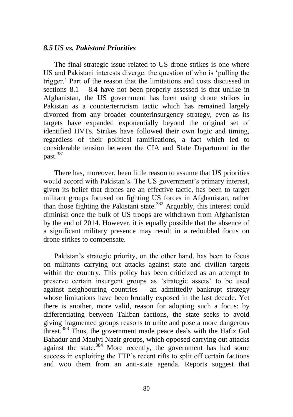#### *8.5 US vs. Pakistani Priorities*

The final strategic issue related to US drone strikes is one where US and Pakistani interests diverge: the question of who is 'pulling the trigger.' Part of the reason that the limitations and costs discussed in sections 8.1 – 8.4 have not been properly assessed is that unlike in Afghanistan, the US government has been using drone strikes in Pakistan as a counterterrorism tactic which has remained largely divorced from any broader counterinsurgency strategy, even as its targets have expanded exponentially beyond the original set of identified HVTs. Strikes have followed their own logic and timing, regardless of their political ramifications, a fact which led to considerable tension between the CIA and State Department in the past.<sup>381</sup>

There has, moreover, been little reason to assume that US priorities would accord with Pakistan's. The US government's primary interest, given its belief that drones are an effective tactic, has been to target militant groups focused on fighting US forces in Afghanistan, rather than those fighting the Pakistani state.<sup>382</sup> Arguably, this interest could diminish once the bulk of US troops are withdrawn from Afghanistan by the end of 2014. However, it is equally possible that the absence of a significant military presence may result in a redoubled focus on drone strikes to compensate.

Pakistan's strategic priority, on the other hand, has been to focus on militants carrying out attacks against state and civilian targets within the country. This policy has been criticized as an attempt to preserve certain insurgent groups as ‗strategic assets' to be used against neighbouring countries – an admittedly bankrupt strategy whose limitations have been brutally exposed in the last decade. Yet there is another, more valid, reason for adopting such a focus: by differentiating between Taliban factions, the state seeks to avoid giving fragmented groups reasons to unite and pose a more dangerous threat.<sup>383</sup> Thus, the government made peace deals with the Hafiz Gul Bahadur and Maulvi Nazir groups, which opposed carrying out attacks against the state.<sup>384</sup> More recently, the government has had some success in exploiting the TTP's recent rifts to split off certain factions and woo them from an anti-state agenda. Reports suggest that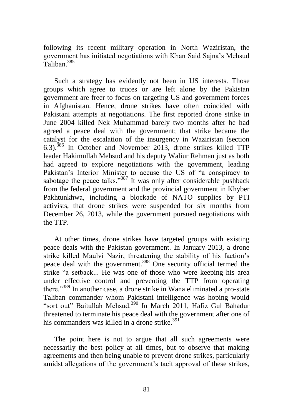following its recent military operation in North Waziristan, the government has initiated negotiations with Khan Said Sajna's Mehsud Talihan<sup>385</sup>

Such a strategy has evidently not been in US interests. Those groups which agree to truces or are left alone by the Pakistan government are freer to focus on targeting US and government forces in Afghanistan. Hence, drone strikes have often coincided with Pakistani attempts at negotiations. The first reported drone strike in June 2004 killed Nek Muhammad barely two months after he had agreed a peace deal with the government; that strike became the catalyst for the escalation of the insurgency in Waziristan (section 6.3).<sup>386</sup> In October and November 2013, drone strikes killed TTP leader Hakimullah Mehsud and his deputy Waliur Rehman just as both had agreed to explore negotiations with the government, leading Pakistan's Interior Minister to accuse the US of "a conspiracy to sabotage the peace talks."<sup>387</sup> It was only after considerable pushback from the federal government and the provincial government in Khyber Pakhtunkhwa, including a blockade of NATO supplies by PTI activists, that drone strikes were suspended for six months from December 26, 2013, while the government pursued negotiations with the TTP.

At other times, drone strikes have targeted groups with existing peace deals with the Pakistan government. In January 2013, a drone strike killed Maulvi Nazir, threatening the stability of his faction's peace deal with the government.<sup>388</sup> One security official termed the strike "a setback... He was one of those who were keeping his area under effective control and preventing the TTP from operating there."<sup>389</sup> In another case, a drone strike in Wana eliminated a pro-state Taliban commander whom Pakistani intelligence was hoping would "sort out" Baitullah Mehsud.<sup>390</sup> In March 2011, Hafiz Gul Bahadur threatened to terminate his peace deal with the government after one of his commanders was killed in a drone strike.<sup>391</sup>

The point here is not to argue that all such agreements were necessarily the best policy at all times, but to observe that making agreements and then being unable to prevent drone strikes, particularly amidst allegations of the government's tacit approval of these strikes,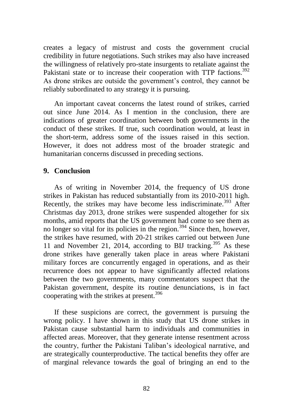creates a legacy of mistrust and costs the government crucial credibility in future negotiations. Such strikes may also have increased the willingness of relatively pro-state insurgents to retaliate against the Pakistani state or to increase their cooperation with TTP factions.<sup>392</sup> As drone strikes are outside the government's control, they cannot be reliably subordinated to any strategy it is pursuing.

An important caveat concerns the latest round of strikes, carried out since June 2014. As I mention in the conclusion, there are indications of greater coordination between both governments in the conduct of these strikes. If true, such coordination would, at least in the short-term, address some of the issues raised in this section. However, it does not address most of the broader strategic and humanitarian concerns discussed in preceding sections.

### **9. Conclusion**

As of writing in November 2014, the frequency of US drone strikes in Pakistan has reduced substantially from its 2010-2011 high. Recently, the strikes may have become less indiscriminate.<sup>393</sup> After Christmas day 2013, drone strikes were suspended altogether for six months, amid reports that the US government had come to see them as no longer so vital for its policies in the region.<sup>394</sup> Since then, however, the strikes have resumed, with 20-21 strikes carried out between June 11 and November 21, 2014, according to BIJ tracking.<sup>395</sup> As these drone strikes have generally taken place in areas where Pakistani military forces are concurrently engaged in operations, and as their recurrence does not appear to have significantly affected relations between the two governments, many commentators suspect that the Pakistan government, despite its routine denunciations, is in fact cooperating with the strikes at present.<sup>396</sup>

If these suspicions are correct, the government is pursuing the wrong policy. I have shown in this study that US drone strikes in Pakistan cause substantial harm to individuals and communities in affected areas. Moreover, that they generate intense resentment across the country, further the Pakistani Taliban's ideological narrative, and are strategically counterproductive. The tactical benefits they offer are of marginal relevance towards the goal of bringing an end to the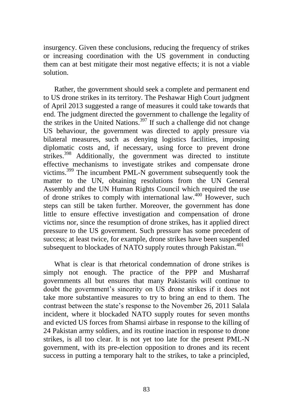insurgency. Given these conclusions, reducing the frequency of strikes or increasing coordination with the US government in conducting them can at best mitigate their most negative effects; it is not a viable solution.

Rather, the government should seek a complete and permanent end to US drone strikes in its territory. The Peshawar High Court judgment of April 2013 suggested a range of measures it could take towards that end. The judgment directed the government to challenge the legality of the strikes in the United Nations.<sup>397</sup> If such a challenge did not change US behaviour, the government was directed to apply pressure via bilateral measures, such as denying logistics facilities, imposing diplomatic costs and, if necessary, using force to prevent drone strikes.<sup>398</sup> Additionally, the government was directed to institute effective mechanisms to investigate strikes and compensate drone victims.<sup>399</sup> The incumbent PML-N government subsequently took the matter to the UN, obtaining resolutions from the UN General Assembly and the UN Human Rights Council which required the use of drone strikes to comply with international law.<sup>400</sup> However, such steps can still be taken further. Moreover, the government has done little to ensure effective investigation and compensation of drone victims nor, since the resumption of drone strikes, has it applied direct pressure to the US government. Such pressure has some precedent of success; at least twice, for example, drone strikes have been suspended subsequent to blockades of NATO supply routes through Pakistan. $401$ 

What is clear is that rhetorical condemnation of drone strikes is simply not enough. The practice of the PPP and Musharraf governments all but ensures that many Pakistanis will continue to doubt the government's sincerity on US drone strikes if it does not take more substantive measures to try to bring an end to them. The contrast between the state's response to the November 26, 2011 Salala incident, where it blockaded NATO supply routes for seven months and evicted US forces from Shamsi airbase in response to the killing of 24 Pakistan army soldiers, and its routine inaction in response to drone strikes, is all too clear. It is not yet too late for the present PML-N government, with its pre-election opposition to drones and its recent success in putting a temporary halt to the strikes, to take a principled,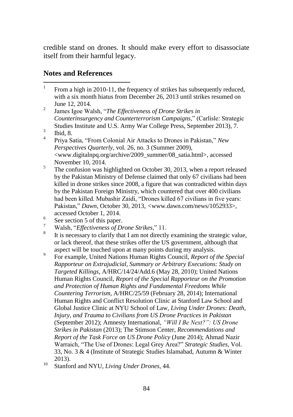credible stand on drones. It should make every effort to disassociate itself from their harmful legacy.

# **Notes and References**

- 1 From a high in 2010-11, the frequency of strikes has subsequently reduced, with a six month hiatus from December 26, 2013 until strikes resumed on June 12, 2014.
- 2 James Igoe Walsh, "The Effectiveness of Drone Strikes in *Counterinsurgency and Counterterrorism Campaigns*,‖ (Carlisle: Strategic Studies Institute and U.S. Army War College Press, September 2013), 7.
- 3 Ibid, 8.
- 4 Priya Satia, "From Colonial Air Attacks to Drones in Pakistan," New *Perspectives Quarterly*, vol. 26, no. 3 (Summer 2009), <www.digitalnpq.org/archive/2009\_summer/08\_satia.html>, accessed November 10, 2014.
- 5 The confusion was highlighted on October 30, 2013, when a report released by the Pakistan Ministry of Defense claimed that only 67 civilians had been killed in drone strikes since 2008, a figure that was contradicted within days by the Pakistan Foreign Ministry, which countered that over 400 civilians had been killed. Mubashir Zaidi, "Drones killed 67 civilians in five years: Pakistan,‖ *Dawn*, October 30, 2013, *<*www.dawn.com/news/1052933>, accessed October 1, 2014.
- 6 See section 5 of this paper.
- <sup>7</sup> Walsh, "*Effectiveness of Drone Strikes*," 11.
- 8 It is necessary to clarify that I am not directly examining the strategic value, or lack thereof, that these strikes offer the US government, although that aspect will be touched upon at many points during my analysis.
- 9 For example, United Nations Human Rights Council, *Report of the Special Rapporteur on Extrajudicial, Summary or Arbitrary Executions: Study on Targeted Killings*, A/HRC/14/24/Add.6 (May 28, 2010); United Nations Human Rights Council, *Report of the Special Rapporteur on the Promotion and Protection of Human Rights and Fundamental Freedoms While Countering Terrorism,* A/HRC/25/59 (February 28, 2014); International Human Rights and Conflict Resolution Clinic at Stanford Law School and Global Justice Clinic at NYU School of Law, *Living Under Drones: Death, Injury, and Trauma to Civilians from US Drone Practices in Pakistan*  (September 2012); Amnesty International, *"Will I Be Next?": US Drone Strikes in Pakistan* (2013); The Stimson Center, *Recommendations and Report of the Task Force on US Drone Policy* (June 2014); Ahmad Nazir Warraich, "The Use of Drones: Legal Grey Area?" Strategic Studies, Vol. 33, No. 3 & 4 (Institute of Strategic Studies Islamabad, Autumn & Winter 2013).

<sup>10</sup> Stanford and NYU, *Living Under Drones*, 44.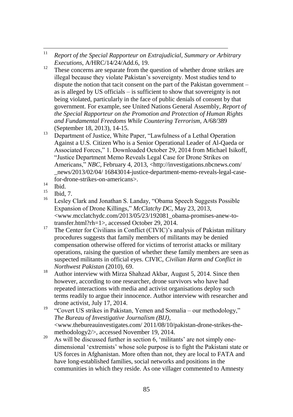- $11$ <sup>11</sup> *Report of the Special Rapporteur on Extrajudicial, Summary or Arbitrary Executions*, A/HRC/14/24/Add.6, 19.
- <sup>12</sup> These concerns are separate from the question of whether drone strikes are illegal because they violate Pakistan's sovereignty. Most studies tend to dispute the notion that tacit consent on the part of the Pakistan government – as is alleged by US officials – is sufficient to show that sovereignty is not being violated, particularly in the face of public denials of consent by that government. For example, see United Nations General Assembly, *Report of the Special Rapporteur on the Promotion and Protection of Human Rights and Fundamental Freedoms While Countering Terrorism,* A/68/389 (September 18, 2013), 14-15.
- <sup>13</sup> Department of Justice, White Paper, "Lawfulness of a Lethal Operation Against a U.S. Citizen Who is a Senior Operational Leader of Al-Qaeda or Associated Forces," 1. Downloaded October 29, 2014 from Michael Isikoff, ―Justice Department Memo Reveals Legal Case for Drone Strikes on Americans," *NBC*, February 4, 2013, <http://investigations.nbcnews.com/ \_news/2013/02/04/ 16843014-justice-department-memo-reveals-legal-casefor-drone-strikes-on-americans>.
- $\frac{14}{15}$  Ibid.
- $^{15}$  Ibid, 7.
- Lesley Clark and Jonathan S. Landay, "Obama Speech Suggests Possible Expansion of Drone Killings," *McClatchy DC*, May 23, 2013, <www.mcclatchydc.com/2013/05/23/192081\_obama-promises-anew-totransfer.html?rh=1>, accessed October 29, 2014.
- <sup>17</sup> The Center for Civilians in Conflict (CIVIC)'s analysis of Pakistan military procedures suggests that family members of militants may be denied compensation otherwise offered for victims of terrorist attacks or military operations, raising the question of whether these family members are seen as suspected militants in official eyes. CIVIC, *Civilian Harm and Conflict in Northwest Pakistan* (2010), 69.
- <sup>18</sup> Author interview with Mirza Shahzad Akbar, August 5, 2014. Since then however, according to one researcher, drone survivors who have had repeated interactions with media and activist organisations deploy such terms readily to argue their innocence. Author interview with researcher and drone activist, July 17, 2014.
- <sup>19</sup> "Covert US strikes in Pakistan, Yemen and Somalia our methodology," *The Bureau of Investigative Journalism (BIJ)*, <www.thebureauinvestigates.com/ 2011/08/10/pakistan-drone-strikes-themethodology2/>, accessed November 19, 2014.
- <sup>20</sup> As will be discussed further in section 6,  $\frac{\text{meltants'}}{\text{meltants'}}$  are not simply onedimensional ‗extremists' whose sole purpose is to fight the Pakistani state or US forces in Afghanistan. More often than not, they are local to FATA and have long-established families, social networks and positions in the communities in which they reside. As one villager commented to Amnesty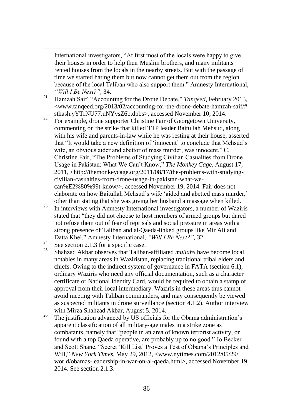International investigators, "At first most of the locals were happy to give their houses in order to help their Muslim brothers, and many militants rented houses from the locals in the nearby streets. But with the passage of time we started hating them but now cannot get them out from the region because of the local Taliban who also support them." Amnesty International, *"Will I Be Next?"*, 34.

- <sup>21</sup> Hamzah Saif, "Accounting for the Drone Debate," *Tanqeed*, February 2013, <www.tanqeed.org/2013/02/accounting-for-the-drone-debate-hamzah-saif/# sthash.yYTrNU77.uNYvsZ6b.dpbs>, accessed November 10, 2014.
- <sup>22</sup> For example, drone supporter Christine Fair of Georgetown University, commenting on the strike that killed TTP leader Baitullah Mehsud, along with his wife and parents-in-law while he was resting at their house, asserted that "It would take a new definition of 'innocent' to conclude that Mehsud's wife, an obvious aider and abettor of mass murder, was innocent." C. Christine Fair, "The Problems of Studying Civilian Casualties from Drone Usage in Pakistan: What We Can't Know," The Monkey Cage, August 17, 2011, <http://themonkeycage.org/2011/08/17/the-problems-with-studyingcivilian-casualties-from-drone-usage-in-pakistan-what-wecan%E2%80%99t-know/>, accessed November 19, 2014. Fair does not elaborate on how Baitullah Mehsud's wife ‗aided and abetted mass murder,' other than stating that she was giving her husband a massage when killed.
- $23$  In interviews with Amnesty International investigators, a number of Waziris stated that "they did not choose to host members of armed groups but dared not refuse them out of fear of reprisals and social pressure in areas with a strong presence of Taliban and al-Qaeda-linked groups like Mir Ali and Datta Khel." Amnesty International, *"Will I Be Next?"*, 32.
- $\frac{24}{25}$  See section 2.1.3 for a specific case.

 $\overline{a}$ 

- <sup>25</sup> Shahzad Akbar observes that Taliban-affiliated *mullahs* have become local notables in many areas in Waziristan, replacing traditional tribal elders and chiefs. Owing to the indirect system of governance in FATA (section 6.1), ordinary Waziris who need any official documentation, such as a character certificate or National Identity Card, would be required to obtain a stamp of approval from their local intermediary. Waziris in these areas thus cannot avoid meeting with Taliban commanders, and may consequently be viewed as suspected militants in drone surveillance (section 4.1.2). Author interview with Mirza Shahzad Akbar, August 5, 2014.
- <sup>26</sup> The justification advanced by US officials for the Obama administration's apparent classification of all military-age males in a strike zone as combatants, namely that "people in an area of known terrorist activity, or found with a top Qaeda operative, are probably up to no good." Jo Becker and Scott Shane, "Secret 'Kill List' Proves a Test of Obama's Principles and Will," *New York Times*, May 29, 2012, <www.nytimes.com/2012/05/29/ world/obamas-leadership-in-war-on-al-qaeda.html>, accessed November 19, 2014. See section 2.1.3.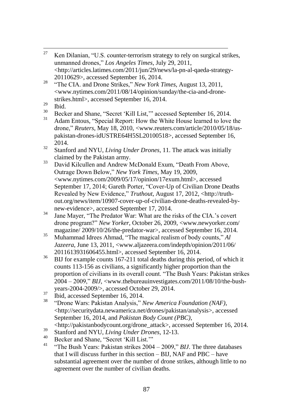- 27 Ken Dilanian, "U.S. counter-terrorism strategy to rely on surgical strikes, unmanned drones,‖ *Los Angeles Times*, July 29, 2011, <http://articles.latimes.com/2011/jun/29/news/la-pn-al-qaeda-strategy-20110629>, accessed September 16, 2014.
- <sup>28</sup> "The CIA. and Drone Strikes," *New York Times*, August 13, 2011, <www.nytimes.com/2011/08/14/opinion/sunday/the-cia-and-dronestrikes.html>, accessed September 16, 2014.
- $\frac{29}{30}$  Ibid.
- $30$  Becker and Shane, "Secret 'Kill List," accessed September 16, 2014.
- Adam Entous, "Special Report: How the White House learned to love the drone," *Reuters*, May 18, 2010, <www.reuters.com/article/2010/05/18/uspakistan-drones-idUSTRE64H5SL20100518>, accessed September 16, 2014.
- <sup>32</sup> Stanford and NYU, *Living Under Drones*, 11. The attack was initially claimed by the Pakistan army.
- <sup>33</sup> David Kilcullen and Andrew McDonald Exum, "Death From Above, Outrage Down Below,‖ *New York Times*, May 19, 2009, <www.nytimes.com/2009/05/17/opinion/17exum.html>, accessed September 17, 2014; Gareth Porter, "Cover-Up of Civilian Drone Deaths Revealed by New Evidence," *Truthout*, August 17, 2012, <http://truthout.org/news/item/10907-cover-up-of-civilian-drone-deaths-revealed-bynew-evidence>, accessed September 17, 2014.
- <sup>34</sup> Jane Mayer, "The Predator War: What are the risks of the CIA.'s covert drone program?‖ *New Yorker*, October 26, 2009, <www.newyorker.com/ magazine/ 2009/10/26/the-predator-war>, accessed September 16, 2014.
- <sup>35</sup> Muhammad Idrees Ahmad, "The magical realism of body counts," *Al Jazeera*, June 13, 2011, <www.aljazeera.com/indepth/opinion/2011/06/ 2011613931606455.html>, accessed September 16, 2014.
- <sup>36</sup> BIJ for example counts 167-211 total deaths during this period, of which it counts 113-156 as civilians, a significantly higher proportion than the proportion of civilians in its overall count. "The Bush Years: Pakistan strikes  $2004 - 2009$ ," *BIJ*,  $\langle$ www.thebureauinvestigates.com/2011/08/10/the-bushyears-2004-2009/>, accessed October 29, 2014.
- $\frac{37}{38}$  Ibid, accessed September 16, 2014.
- <sup>38</sup> ―Drone Wars: Pakistan Analysis,‖ *New America Foundation (NAF)*, <http://securitydata.newamerica.net/drones/pakistan/analysis>, accessed September 16, 2014, and *Pakistan Body Count (PBC)*,
- <http://pakistanbodycount.org/drone\_attack>, accessed September 16, 2014.
- <sup>39</sup> Stanford and NYU, *Living Under Drones*, 12-13.
- $^{40}$  Becker and Shane, "Secret 'Kill List."<br> $^{41}$  "The Buck Means Bekisten strikes 2004
- "The Bush Years: Pakistan strikes 2004 2009," *BIJ*. The three databases that I will discuss further in this section – BIJ, NAF and PBC – have substantial agreement over the number of drone strikes, although little to no agreement over the number of civilian deaths.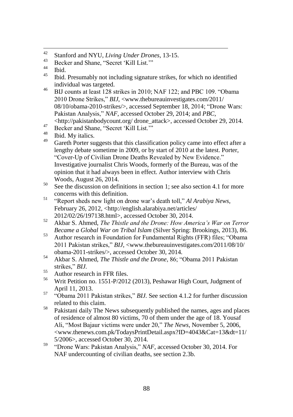- $42<sub>1</sub>$ <sup>42</sup> Stanford and NYU, *Living Under Drones*, 13-15.
- $^{43}$  Becker and Shane, "Secret 'Kill List."

- <sup>45</sup> Ibid. Presumably not including signature strikes, for which no identified individual was targeted.
- <sup>46</sup> BIJ counts at least 128 strikes in 2010; NAF 122; and PBC 109. "Obama 2010 Drone Strikes," *BIJ*, <www.thebureauinvestigates.com/2011/ 08/10/obama-2010-strikes/>, accessed September 18, 2014; "Drone Wars: Pakistan Analysis," NAF, accessed October 29, 2014; and *PBC*, <http://pakistanbodycount.org/ drone\_attack>, accessed October 29, 2014.

47 Becker and Shane, "Secret 'Kill List."

- $^{48}_{49}$  Ibid. My italics.
- Gareth Porter suggests that this classification policy came into effect after a lengthy debate sometime in 2009, or by start of 2010 at the latest. Porter, "Cover-Up of Civilian Drone Deaths Revealed by New Evidence." Investigative journalist Chris Woods, formerly of the Bureau, was of the opinion that it had always been in effect. Author interview with Chris Woods, August 26, 2014.
- $50\degree$  See the discussion on definitions in section 1; see also section 4.1 for more concerns with this definition.
- <sup>51</sup> "Report sheds new light on drone war's death toll," *Al Arabiya News*, February 26, 2012, <http://english.alarabiya.net/articles/ 2012/02/26/197138.html>, accessed October 30, 2014.
- <sup>52</sup> Akbar S. Ahmed, *The Thistle and the Drone: How America"s War on Terror Became a Global War on Tribal Islam* (Silver Spring: Brookings, 2013), 86.
- 53 Author research in Foundation for Fundamental Rights (FFR) files: "Obama" 2011 Pakistan strikes," *BIJ*, <www.thebureauinvestigates.com/2011/08/10/ obama-2011-strikes/>, accessed October 30, 2014.
- 54 Akbar S. Ahmed, *The Thistle and the Drone*, 86; "Obama 2011 Pakistan strikes," *BIJ.*
- $^{55}$  Author research in FFR files.<br> $^{56}$  White Defition as 1551 D/2010
- <sup>56</sup> Writ Petition no. 1551-P/2012 (2013), Peshawar High Court, Judgment of April 11, 2013.
- <sup>57</sup> "Obama 2011 Pakistan strikes," *BIJ*. See section 4.1.2 for further discussion related to this claim.
- <sup>58</sup> Pakistani daily The News subsequently published the names, ages and places of residence of almost 80 victims, 70 of them under the age of 18. Yousaf Ali, "Most Bajaur victims were under 20," The News, November 5, 2006, <www.thenews.com.pk/TodaysPrintDetail.aspx?ID=4043&Cat=13&dt=11/ 5/2006>, accessed October 30, 2014.
- <sup>59</sup> 
"Drone Wars: Pakistan Analysis," *NAF*, accessed October 30, 2014. For NAF undercounting of civilian deaths, see section 2.3b.

 $\begin{array}{c} 44 \\ 45 \end{array}$  Ibid.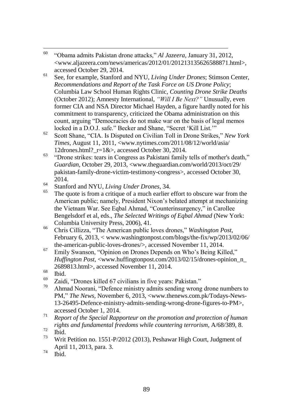- 60 <sup>60</sup> ―Obama admits Pakistan drone attacks,‖ *Al Jazeera*, January 31, 2012, <www.aljazeera.com/news/americas/2012/01/201213135626588871.html>, accessed October 29, 2014.
- <sup>61</sup> See, for example, Stanford and NYU, *Living Under Drones*; Stimson Center, *Recommendations and Report of the Task Force on US Drone Policy*; Columbia Law School Human Rights Clinic, *Counting Drone Strike Deaths*  (October 2012); Amnesty International, *"Will I Be Next?"* Unusually, even former CIA and NSA Director Michael Hayden, a figure hardly noted for his commitment to transparency, criticized the Obama administration on this count, arguing "Democracies do not make war on the basis of legal memos locked in a D.O.J. safe." Becker and Shane, "Secret 'Kill List.""
- <sup>62</sup> Scott Shane, "CIA. Is Disputed on Civilian Toll in Drone Strikes," *New York Times*, August 11, 2011, <www.nytimes.com/2011/08/12/world/asia/ 12drones.html?\_r=1&>, accessed October 30, 2014.
- $\overline{63}$  "Drone strikes: tears in Congress as Pakistani family tells of mother's death," *Guardian*, October 29, 2013, <www.theguardian.com/world/2013/oct/29/ pakistan-family-drone-victim-testimony-congress>, accessed October 30, 2014.
- <sup>64</sup> Stanford and NYU, *Living Under Drones*, 34.
- The quote is from a critique of a much earlier effort to obscure war from the American public; namely, President Nixon's belated attempt at mechanizing the Vietnam War. See Eqbal Ahmad, "Counterinsurgency," in Carollee Bengelsdorf et al, eds., *The Selected Writings of Eqbal Ahmad* (New York: Columbia University Press, 2006), 41.
- <sup>66</sup> Chris Cillizza, "The American public loves drones," *Washington Post*, February 6, 2013, < www.washingtonpost.com/blogs/the-fix/wp/2013/02/06/ the-american-public-loves-drones/>, accessed November 11, 2014.
- <sup>67</sup> Emily Swanson, "Opinion on Drones Depends on Who's Being Killed," *Huffington Post*, <www.huffingtonpost.com/2013/02/15/drones-opinion\_n\_ 2689813.html>, accessed November 11, 2014.
- $\begin{array}{c}\n 68 \\
 69 \\
 \hline\n 7\n \end{array}$  Ibid.
- $^{69}$  Zaidi, "Drones killed 67 civilians in five years: Pakistan."
- Ahmad Noorani, "Defence ministry admits sending wrong drone numbers to PM," *The News*, November 6, 2013, <www.thenews.com.pk/Todays-News-13-26495-Defence-ministry-admits-sending-wrong-drone-figures-to-PM>, accessed October 1, 2014.
- <sup>71</sup> *Report of the Special Rapporteur on the promotion and protection of human rights and fundamental freedoms while countering terrorism*, A/68/389, 8.
- $\frac{72}{73}$  Ibid.
- <sup>73</sup> Writ Petition no. 1551-P/2012 (2013), Peshawar High Court, Judgment of April 11, 2013, para. 3.
- $74$  Ibid.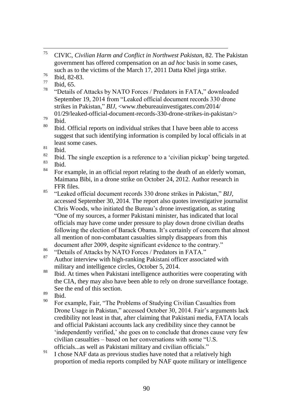- $^{76}$  Ibid, 82-83.
- $\frac{77}{78}$  Ibid, 65.
- "Details of Attacks by NATO Forces / Predators in FATA," downloaded September 19, 2014 from "Leaked official document records 330 drone" strikes in Pakistan," *BIJ*, <www.thebureauinvestigates.com/2014/

- Ibid. Official reports on individual strikes that I have been able to access suggest that such identifying information is compiled by local officials in at least some cases.
- $\frac{81}{82}$  Ibid.
- <sup>82</sup> Ibid. The single exception is a reference to a 'civilian pickup' being targeted.
- $\begin{array}{c} 83 \\ 84 \end{array}$  Ibid.
- For example, in an official report relating to the death of an elderly woman, Maimana Bibi, in a drone strike on October 24, 2012. Author research in FFR files.
- <sup>85</sup> "Leaked official document records 330 drone strikes in Pakistan," *BIJ*, accessed September 30, 2014. The report also quotes investigative journalist Chris Woods, who initiated the Bureau's drone investigation, as stating ―One of my sources, a former Pakistani minister, has indicated that local officials may have come under pressure to play down drone civilian deaths following the election of Barack Obama. It's certainly of concern that almost all mention of non-combatant casualties simply disappears from this document after 2009, despite significant evidence to the contrary."
- $^{86}$  "Details of Attacks by NATO Forces / Predators in FATA."
- Author interview with high-ranking Pakistani officer associated with military and intelligence circles, October 5, 2014.
- <sup>88</sup> Ibid. At times when Pakistani intelligence authorities were cooperating with the CIA, they may also have been able to rely on drone surveillance footage. See the end of this section.
- $\frac{89}{90}$  Ibid.
- For example, Fair, "The Problems of Studying Civilian Casualties from Drone Usage in Pakistan," accessed October 30, 2014. Fair's arguments lack credibility not least in that, after claiming that Pakistani media, FATA locals and official Pakistani accounts lack any credibility since they cannot be ‗independently verified,' she goes on to conclude that drones cause very few  $civilian$  casualties – based on her conversations with some "U.S. officials...as well as Pakistani military and civilian officials."
- <sup>91</sup> I chose NAF data as previous studies have noted that a relatively high proportion of media reports compiled by NAF quote military or intelligence

<sup>75</sup> <sup>75</sup> CIVIC, *Civilian Harm and Conflict in Northwest Pakistan*, 82. The Pakistan government has offered compensation on an *ad hoc* basis in some cases, such as to the victims of the March 17, 2011 Datta Khel jirga strike.

<sup>01/29/</sup>leaked-official-document-records-330-drone-strikes-in-pakistan/>  $\frac{79}{80}$  Ibid.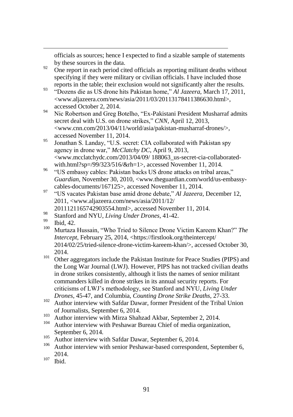officials as sources; hence I expected to find a sizable sample of statements by these sources in the data.

- $\frac{92}{92}$  One report in each period cited officials as reporting militant deaths without specifying if they were military or civilian officials. I have included those reports in the table; their exclusion would not significantly alter the results.
- <sup>93</sup> "Dozens die as US drone hits Pakistan home," *Al Jazeera*, March 17, 2011, <www.aljazeera.com/news/asia/2011/03/20113178411386630.html>, accessed October 2, 2014.
- <sup>94</sup> Nic Robertson and Greg Botelho, "Ex-Pakistani President Musharraf admits" secret deal with U.S. on drone strikes," *CNN*, April 12, 2013, <www.cnn.com/2013/04/11/world/asia/pakistan-musharraf-drones/>, accessed November 11, 2014.
- <sup>95</sup> Jonathan S. Landay, "U.S. secret: CIA collaborated with Pakistan spy agency in drone war," *McClatchy DC*, April 9, 2013, <www.mcclatchydc.com/2013/04/09/ 188063\_us-secret-cia-collaboratedwith.html?sp=/99/323/516/&rh=1>, accessed November 11, 2014.
- <sup>96</sup> "US embassy cables: Pakistan backs US drone attacks on tribal areas," *Guardian*, November 30, 2010, <www.theguardian.com/world/us-embassycables-documents/167125>, accessed November 11, 2014.
- <sup>97</sup> "US vacates Pakistan base amid drone debate," *Al Jazeera*, December 12, 2011, <www.aljazeera.com/news/asia/2011/12/ 2011121165742903554.html>, accessed November 11, 2014.
- <sup>98</sup> Stanford and NYU, *Living Under Drones*, 41-42.
- $^{99}$  Ibid, 42.

 $\overline{a}$ 

- Murtaza Hussain, "Who Tried to Silence Drone Victim Kareem Khan?" The *Intercept*, February 25, 2014, <https://firstlook.org/theintercept/ 2014/02/25/tried-silence-drone-victim-kareem-khan/>, accessed October 30, 2014.
- <sup>101</sup> Other aggregators include the Pakistan Institute for Peace Studies (PIPS) and the Long War Journal (LWJ). However, PIPS has not tracked civilian deaths in drone strikes consistently, although it lists the names of senior militant commanders killed in drone strikes in its annual security reports. For criticisms of LWJ's methodology, see Stanford and NYU, *Living Under Drones*, 45-47, and Columbia, *Counting Drone Strike Deaths*, 27-33.
- <sup>102</sup> Author interview with Safdar Dawar, former President of the Tribal Union of Journalists, September 6, 2014.
- <sup>103</sup> Author interview with Mirza Shahzad Akbar, September 2, 2014.
- Author interview with Peshawar Bureau Chief of media organization, September 6, 2014.
- <sup>105</sup> Author interview with Safdar Dawar, September 6, 2014.
- Author interview with senior Peshawar-based correspondent, September 6, 2014.
- $107$  Ibid.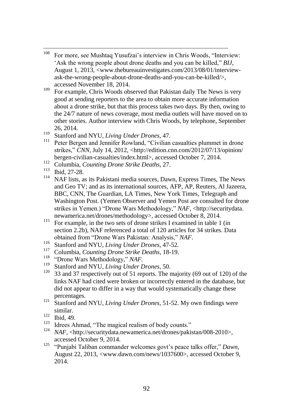- 108 For more, see Mushtaq Yusufzai's interview in Chris Woods, "Interview: Ask the wrong people about drone deaths and you can be killed." *BIJ*, August 1, 2013, <www.thebureauinvestigates.com/2013/08/01/interviewask-the-wrong-people-about-drone-deaths-and-you-can-be-killed/>, accessed November 18, 2014.
- <sup>109</sup> For example, Chris Woods observed that Pakistan daily The News is very good at sending reporters to the area to obtain more accurate information about a drone strike, but that this process takes two days. By then, owing to the 24/7 nature of news coverage, most media outlets will have moved on to other stories. Author interview with Chris Woods, by telephone, September 26, 2014.
- <sup>110</sup> Stanford and NYU, *Living Under Drones*, 47.
- Peter Bergen and Jennifer Rowland, "Civilian casualties plummet in drone strikes," *CNN*, July 14, 2012, <http://edition.cnn.com/2012/07/13/opinion/ bergen-civilian-casualties/index.html>, accessed October 7, 2014.
- <sup>112</sup> Columbia, *Counting Drone Strike Deaths*, 27.
- $\frac{113}{114}$  Ibid, 27-28.
- NAF lists, as its Pakistani media sources, Dawn, Express Times, The News and Geo TV; and as its international sources, AFP, AP, Reuters, Al Jazeera, BBC, CNN, The Guardian, LA Times, New York Times, Telegraph and Washington Post. (Yemen Observer and Yemen Post are consulted for drone strikes in Yemen.) "Drone Wars Methodology," NAF, <http://securitydata. newamerica.net/drones/methodology>, accessed October 8, 2014.
- <sup>115</sup> For example, in the two sets of drone strikes I examined in table 1 (in section 2.2b), NAF referenced a total of 120 articles for 34 strikes. Data obtained from "Drone Wars Pakistan: Analysis," NAF.
- <sup>116</sup> Stanford and NYU, *Living Under Drones*, 47-52*.*
- <sup>117</sup> Columbia, *Counting Drone Strike Deaths*, 18-19.
- <sup>118</sup> 
<sup>"</sup>Drone Wars Methodology," *NAF*.
- <sup>119</sup> Stanford and NYU, *Living Under Drones*, 50.<br><sup>120</sup> <sup>22</sup> and <sup>27</sup> respectively out of 51 reports. The r
- <sup>120</sup> 33 and 37 respectively out of 51 reports. The majority (69 out of 120) of the links NAF had cited were broken or incorrectly entered in the database, but did not appear to differ in a way that would systematically change these percentages.
- <sup>121</sup> Stanford and NYU, *Living Under Drones*, 51-52. My own findings were similar.
- $\frac{122}{123}$  Ibid, 49.
- <sup>123</sup> Idrees Ahmad, "The magical realism of body counts."
- <sup>124</sup> *NAF*, <http://securitydata.newamerica.net/drones/pakistan/008-2010>, accessed October 9, 2014.
- <sup>125</sup> "Punjabi Taliban commander welcomes govt's peace talks offer," *Dawn*, August 22, 2013, <www.dawn.com/news/1037600>, accessed October 9, 2014.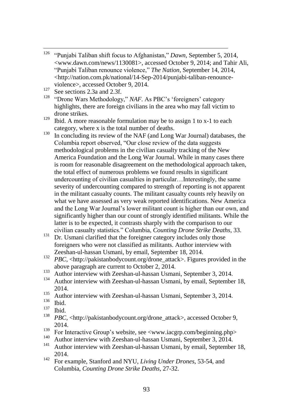- 126 "Punjabi Taliban shift focus to Afghanistan," *Dawn*, September 5, 2014, <www.dawn.com/news/1130081>, accessed October 9, 2014; and Tahir Ali, ―Punjabi Taliban renounce violence,‖ *The Nation*, September 14, 2014, <http://nation.com.pk/national/14-Sep-2014/punjabi-taliban-renounceviolence>, accessed October 9, 2014.
- $127$  See sections 2.3a and 2.3f.<br> $128$  "Drawn Way Mathedelers"
- "Drone Wars Methodology," *NAF.* As PBC's 'foreigners' category highlights, there are foreign civilians in the area who may fall victim to drone strikes.
- <sup>129</sup> Ibid. A more reasonable formulation may be to assign 1 to x-1 to each category, where x is the total number of deaths.
- $130$  In concluding its review of the NAF (and Long War Journal) databases, the Columbia report observed, "Our close review of the data suggests" methodological problems in the civilian casualty tracking of the New America Foundation and the Long War Journal. While in many cases there is room for reasonable disagreement on the methodological approach taken, the total effect of numerous problems we found results in significant undercounting of civilian casualties in particular…Interestingly, the same severity of undercounting compared to strength of reporting is not apparent in the militant casualty counts. The militant casualty counts rely heavily on what we have assessed as very weak reported identifications. New America and the Long War Journal's lower militant count is higher than our own, and significantly higher than our count of strongly identified militants. While the latter is to be expected, it contrasts sharply with the comparison to our civilian casualty statistics.‖ Columbia, *Counting Drone Strike Deaths*, 33.
- <sup>131</sup> Dr. Usmani clarified that the foreigner category includes only those foreigners who were not classified as militants. Author interview with Zeeshan-ul-hassan Usmani, by email, September 18, 2014.
- <sup>132</sup> *PBC*, <http://pakistanbodycount.org/drone\_attack>. Figures provided in the above paragraph are current to October 2, 2014.
- <sup>133</sup> Author interview with Zeeshan-ul-hassan Usmani, September 3, 2014.
- <sup>134</sup> Author interview with Zeeshan-ul-hassan Usmani, by email, September 18, 2014.
- <sup>135</sup> Author interview with Zeeshan-ul-hassan Usmani, September 3, 2014.
- $\frac{136}{137}$  Ibid.
- $\frac{137}{138}$  Ibid.
- *PBC,* <http://pakistanbodycount.org/drone\_attack>, accessed October 9, 2014.
- <sup>139</sup> For Interactive Group's website, see  $\langle$ www.iacgrp.com/beginning.php><br><sup>140</sup> Author interview with Zeekhen ul beggen Usmani, September 2, 2014
- <sup>140</sup> Author interview with Zeeshan-ul-hassan Usmani, September 3, 2014.
- Author interview with Zeeshan-ul-hassan Usmani, by email, September 18, 2014.
- <sup>142</sup> For example, Stanford and NYU, *Living Under Drones*, 53-54, and Columbia, *Counting Drone Strike Deaths*, 27-32.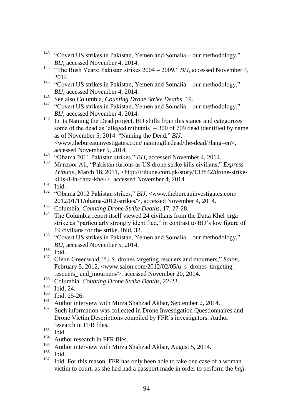- "Covert US strikes in Pakistan, Yemen and Somalia our methodology," *BIJ*, accessed November 4, 2014. <sup>144</sup> "The Bush Years: Pakistan strikes  $2004 - 2009$ ," *BIJ*, accessed November 4, 2014. <sup>145</sup> "Covert US strikes in Pakistan, Yemen and Somalia – our methodology," *BIJ*, accessed November 4, 2014. <sup>146</sup> See also Columbia, *Counting Drone Strike Deaths*, 19. <sup>147</sup> "Covert US strikes in Pakistan, Yemen and Somalia – our methodology," *BIJ*, accessed November 4, 2014. <sup>148</sup> In its Naming the Dead project, BIJ shifts from this stance and categorizes some of the dead as 'alleged militants'  $-300$  of 709 dead identified by name as of November 5, 2014. "Naming the Dead," *BIJ*, <www.thebureauinvestigates.com/ namingthedead/the-dead/?lang=en>, accessed November 5, 2014.
- <sup>149</sup> "Obama 2011 Pakistan strikes," *BIJ*, accessed November 4, 2014.
- Manzoor Ali, "Pakistan furious as US drone strike kills civilians," *Express Tribune*, March 18, 2011, <http://tribune.com.pk/story/133842/drone-strikekills-8-in-datta-khel/>, accessed November 4, 2014.
- $151$  Ibid.

143

- <sup>152</sup> "Obama 2012 Pakistan strikes," *BIJ*, <www.thebureauinvestigates.com/ 2012/01/11/obama-2012-strikes/>, accessed November 4, 2014.
- <sup>153</sup> Columbia, *Counting Drone Strike Deaths*, 17, 27-28.
- The Columbia report itself viewed 24 civilians from the Datta Khel jirga strike as "particularly strongly identified," in contrast to BIJ's low figure of 19 civilians for the strike. Ibid, 32.
- <sup>155</sup> "Covert US strikes in Pakistan, Yemen and Somalia our methodology," *BIJ*, accessed November 5, 2014.
- $\frac{156}{157}$  Ibid.
- Glenn Greenwald, "U.S. drones targeting rescuers and mourners," *Salon*, February 5, 2012,  $\langle$ www.salon.com/2012/02/05/u s drones targeting rescuers and mourners/>, accessed November 20, 2014.
- <sup>158</sup> Columbia, *Counting Drone Strike Deaths*, 22-23.
- $\frac{159}{160}$  Ibid, 24.
- $\frac{160}{161}$  Ibid, 25-26.
- <sup>161</sup> Author interview with Mirza Shahzad Akbar, September 2, 2014.
- Such information was collected in Drone Investigation Questionnaires and Drone Victim Descriptions compiled by FFR's investigators. Author research in FFR files.
- $\frac{163}{164}$  Ibid.
- $^{164}$  Author research in FFR files.
- <sup>165</sup> Author interview with Mirza Shahzad Akbar, August 5, 2014.
- $\frac{166}{167}$  Ibid.
- <sup>167</sup> Ibid. For this reason, FFR has only been able to take one case of a woman victim to court, as she had had a passport made in order to perform the *hajj.*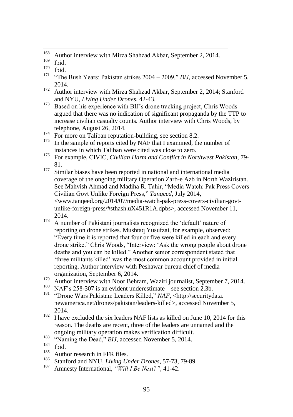- **Ibid.**
- <sup>171</sup> "The Bush Years: Pakistan strikes  $2004 2009$ ," *BIJ*, accessed November 5, 2014.
- <sup>172</sup> Author interview with Mirza Shahzad Akbar, September 2, 2014; Stanford and NYU, *Living Under Drones*, 42-43.
- <sup>173</sup> Based on his experience with BIJ's drone tracking project, Chris Woods argued that there was no indication of significant propaganda by the TTP to increase civilian casualty counts. Author interview with Chris Woods, by telephone, August 26, 2014.
- <sup>174</sup> For more on Taliban reputation-building, see section 8.2.<br><sup>175</sup> In the sample of reports sited by NAE that I examined the
- In the sample of reports cited by NAF that I examined, the number of instances in which Taliban were cited was close to zero.
- <sup>176</sup> For example, CIVIC, *Civilian Harm and Conflict in Northwest Pakistan*, 79- 81.
- <sup>177</sup> Similar biases have been reported in national and international media coverage of the ongoing military Operation Zarb-e Azb in North Waziristan. See Mahvish Ahmad and Madiha R. Tahir, "Media Watch: Pak Press Covers Civilian Govt Unlike Foreign Press,‖ *Tanqeed*, July 2014, <www.tanqeed.org/2014/07/media-watch-pak-press-covers-civilian-govtunlike-foreign-press/#sthash.uX451R1A.dpbs>, accessed November 11, 2014.
- <sup>178</sup> A number of Pakistani journalists recognized the 'default' nature of reporting on drone strikes. Mushtaq Yusufzai, for example, observed: ―Every time it is reported that four or five were killed in each and every drone strike." Chris Woods, "Interview: 'Ask the wrong people about drone deaths and you can be killed." Another senior correspondent stated that ‗three militants killed' was the most common account provided in initial reporting. Author interview with Peshawar bureau chief of media organization, September 6, 2014.
- <sup>179</sup> Author interview with Noor Behram, Waziri journalist, September 7, 2014.
- <sup>180</sup> NAF's 258-307 is an evident underestimate see section 2.3b.<br><sup>181</sup> "Drama Wara Pakistan: Looders Killed" *NAE* shttp://goourityd
- <sup>181</sup> ―Drone Wars Pakistan: Leaders Killed,‖ *NAF*, <http://securitydata. newamerica.net/drones/pakistan/leaders-killed>, accessed November 5, 2014.
- $182$  I have excluded the six leaders NAF lists as killed on June 10, 2014 for this reason. The deaths are recent, three of the leaders are unnamed and the ongoing military operation makes verification difficult.
- <sup>183</sup> "Naming the Dead," *BIJ*, accessed November 5, 2014.
- $\frac{184}{185}$  Ibid.
- $^{185}$  Author research in FFR files.
- <sup>186</sup> Stanford and NYU, *Living Under Drones*, 57-73, 79-89.
- Amnesty International, "Will I Be Next?", 41-42.

<sup>168</sup> <sup>168</sup> Author interview with Mirza Shahzad Akbar, September 2, 2014.

 $\frac{169}{170}$  Ibid.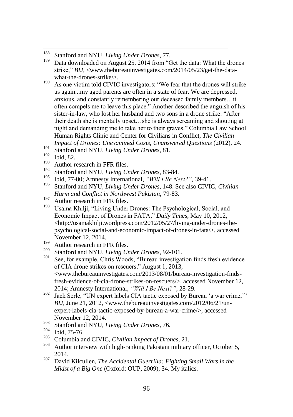- $190$  As one victim told CIVIC investigators: "We fear that the drones will strike us again...my aged parents are often in a state of fear. We are depressed, anxious, and constantly remembering our deceased family members…it often compels me to leave this place.‖ Another described the anguish of his sister-in-law, who lost her husband and two sons in a drone strike: "After their death she is mentally upset…she is always screaming and shouting at night and demanding me to take her to their graves." Columbia Law School Human Rights Clinic and Center for Civilians in Conflict, *The Civilian Impact of Drones: Unexamined Costs, Unanswered Ouestions (2012), 24.*
- 191 Stanford and NYU, *Living Under Drones*, 81.
- $\frac{192}{193}$  Ibid, 82.
- $^{193}$  Author research in FFR files.
- <sup>194</sup> Stanford and NYU, *Living Under Drones*, 83-84.
- <sup>195</sup> Ibid, 77-80; Amnesty International, *"Will I Be Next?"*, 39-41.
- <sup>196</sup> Stanford and NYU, *Living Under Drones*, 148. See also CIVIC, *Civilian Harm and Conflict in Northwest Pakistan*, 79-83.
- $197$  Author research in FFR files.
- Usama Khilji, "Living Under Drones: The Psychological, Social, and Economic Impact of Drones in FATA," *Daily Times*, May 10, 2012, <http://usamakhilji.wordpress.com/2012/05/27/living-under-drones-thepsychological-social-and-economic-impact-of-drones-in-fata/>, accessed November 12, 2014.
- $^{199}$  Author research in FFR files.
- <sup>200</sup> Stanford and NYU, *Living Under Drones*, 92-101.
- See, for example, Chris Woods, "Bureau investigation finds fresh evidence of CIA drone strikes on rescuers," August 1, 2013, <www.thebureauinvestigates.com/2013/08/01/bureau-investigation-findsfresh-evidence-of-cia-drone-strikes-on-rescuers/>, accessed November 12, 2014; Amnesty International, *"Will I Be Next?"*, 28-29.
- <sup>202</sup> Jack Serle, "UN expert labels CIA tactic exposed by Bureau 'a war crime,'" *BIJ*, June 21, 2012, <www.thebureauinvestigates.com/2012/06/21/unexpert-labels-cia-tactic-exposed-by-bureau-a-war-crime/>, accessed November 12, 2014.
- <sup>203</sup> Stanford and NYU, *Living Under Drones*, 76.
- $\frac{204}{205}$  Ibid, 75-76.
- <sup>205</sup> Columbia and CIVIC, *Civilian Impact of Drones*, 21.
- Author interview with high-ranking Pakistani military officer, October 5, 2014.
- <sup>207</sup> David Kilcullen, *The Accidental Guerrilla: Fighting Small Wars in the Midst of a Big One* (Oxford: OUP, 2009), 34. My italics.

<sup>188</sup> <sup>188</sup> Stanford and NYU, *Living Under Drones*, 77.<br><sup>189</sup> Data downloaded on August 25, 2014 from "C

Data downloaded on August 25, 2014 from "Get the data: What the drones" strike," *BIJ*, <www.thebureauinvestigates.com/2014/05/23/get-the-datawhat-the-drones-strike/>.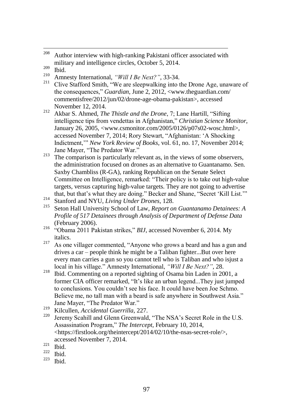- $\frac{209}{210}$  Ibid.
- <sup>210</sup> Amnesty International, *"Will I Be Next?"*, 33-34.
- Clive Stafford Smith, "We are sleepwalking into the Drone Age, unaware of the consequences," *Guardian*, June 2, 2012, <www.theguardian.com/ commentisfree/2012/jun/02/drone-age-obama-pakistan>, accessed November 12, 2014.
- <sup>212</sup> Akbar S. Ahmed, *The Thistle and the Drone*, 7; Lane Hartill, "Sifting" intelligence tips from vendettas in Afghanistan," *Christian Science Monitor*, January 26, 2005, <www.csmonitor.com/2005/0126/p07s02-wosc.html>, accessed November 7, 2014; Rory Stewart, "Afghanistan: 'A Shocking Indictment," *New York Review of Books*, vol. 61, no. 17, November 2014; Jane Mayer, "The Predator War."
- $213$  The comparison is particularly relevant as, in the views of some observers, the administration focused on drones as an alternative to Guantanamo. Sen. Saxby Chambliss (R-GA), ranking Republican on the Senate Select Committee on Intelligence, remarked: "Their policy is to take out high-value targets, versus capturing high-value targets. They are not going to advertise that, but that's what they are doing." Becker and Shane, "Secret 'Kill List."
- <sup>214</sup> Stanford and NYU, *Living Under Drones*, 128.
- Seton Hall University School of Law, *Report on Guantanamo Detainees: A Profile of 517 Detainees through Analysis of Department of Defense Data*  (February 2006).
- <sup>216</sup> "Obama 2011 Pakistan strikes," *BIJ*, accessed November 6, 2014. My italics.
- <sup>217</sup> As one villager commented, "Anyone who grows a beard and has a gun and drives a car – people think he might be a Taliban fighter...But over here every man carries a gun so you cannot tell who is Taliban and who isjust a local in his village." Amnesty International, *"Will I Be Next?"*, 28.
- <sup>218</sup> Ibid. Commenting on a reported sighting of Osama bin Laden in 2001, a former CIA officer remarked, "It's like an urban legend...They just jumped to conclusions. You couldn't see his face. It could have been Joe Schmo. Believe me, no tall man with a beard is safe anywhere in Southwest Asia." Jane Mayer, "The Predator War."
- <sup>219</sup> Kilcullen, *Accidental Guerrilla*, 227.
- Jeremy Scahill and Glenn Greenwald, "The NSA's Secret Role in the U.S. Assassination Program,‖ *The Intercept*, February 10, 2014, <https://firstlook.org/theintercept/2014/02/10/the-nsas-secret-role/>, accessed November 7, 2014.

- 
- $\frac{222}{223}$  Ibid. Ibid.

<sup>208</sup> Author interview with high-ranking Pakistani officer associated with military and intelligence circles, October 5, 2014.

 $rac{221}{222}$  Ibid.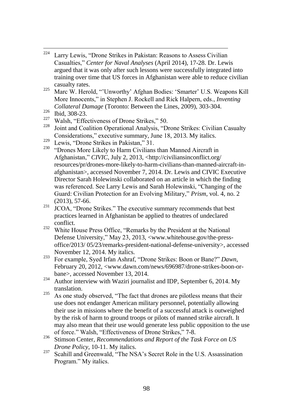- 224 Larry Lewis, "Drone Strikes in Pakistan: Reasons to Assess Civilian Casualties,‖ *Center for Naval Analyses* (April 2014), 17-28. Dr. Lewis argued that it was only after such lessons were successfully integrated into training over time that US forces in Afghanistan were able to reduce civilian casualty rates.
- <sup>225</sup> Marc W. Herold, "'Unworthy' Afghan Bodies: 'Smarter' U.S. Weapons Kill More Innocents," in Stephen J. Rockell and Rick Halpern, eds., *Inventing Collateral Damage* (Toronto: Between the Lines, 2009), 303-304.
- $\frac{226}{227}$  Ibid, 308-23.
- <sup>227</sup> Walsh, "Effectiveness of Drone Strikes," 50.<br><sup>228</sup> Lint and Capition Operational Applying "D
- Joint and Coalition Operational Analysis, "Drone Strikes: Civilian Casualty Considerations," executive summary, June 18, 2013. My italics.
- <sup>229</sup> Lewis, "Drone Strikes in Pakistan,"  $31$ .
- <sup>230</sup> "Drones More Likely to Harm Civilians than Manned Aircraft in Afghanistan,‖ *CIVIC*, July 2, 2013, <http://civiliansinconflict.org/ resources/pr/drones-more-likely-to-harm-civilians-than-manned-aircraft-inafghanistan>, accessed November 7, 2014. Dr. Lewis and CIVIC Executive Director Sarah Holewinski collaborated on an article in which the finding was referenced. See Larry Lewis and Sarah Holewinski, "Changing of the Guard: Civilian Protection for an Evolving Military," *Prism*, vol. 4, no. 2 (2013), 57-66.
- $231$  JCOA, "Drone Strikes." The executive summary recommends that best practices learned in Afghanistan be applied to theatres of undeclared conflict.
- <sup>232</sup> White House Press Office, "Remarks by the President at the National Defense University," May 23, 2013, <www.whitehouse.gov/the-pressoffice/2013/ 05/23/remarks-president-national-defense-university>, accessed November 12, 2014. My italics.
- <sup>233</sup> For example, Syed Irfan Ashraf, "Drone Strikes: Boon or Bane?" *Dawn*, February 20, 2012, <www.dawn.com/news/696987/drone-strikes-boon-orbane>, accessed November 13, 2014.
- $234$  Author interview with Waziri journalist and IDP, September 6, 2014. My translation.
- $235$  As one study observed, "The fact that drones are pilotless means that their use does not endanger American military personnel, potentially allowing their use in missions where the benefit of a successful attack is outweighed by the risk of harm to ground troops or pilots of manned strike aircraft. It may also mean that their use would generate less public opposition to the use of force." Walsh, "Effectiveness of Drone Strikes." 7-8.
- <sup>236</sup> Stimson Center, *Recommendations and Report of the Task Force on US Drone Policy*, 10-11. My italics.
- <sup>237</sup> Scahill and Greenwald, "The NSA's Secret Role in the U.S. Assassination Program." My italics.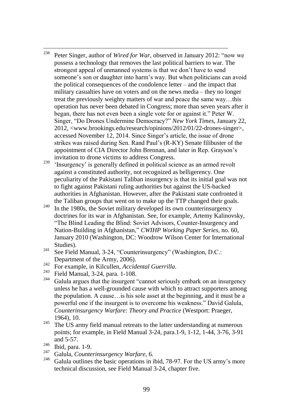- 238 Peter Singer, author of *Wired for War*, observed in January 2012: "now we possess a technology that removes the last political barriers to war. The strongest appeal of unmanned systems is that we don't have to send someone's son or daughter into harm's way. But when politicians can avoid the political consequences of the condolence letter – and the impact that military casualties have on voters and on the news media – they no longer treat the previously weighty matters of war and peace the same way…this operation has never been debated in Congress; more than seven years after it began, there has not even been a single vote for or against it." Peter W. Singer, "Do Drones Undermine Democracy?" *New York Times*, January 22, 2012, <www.brookings.edu/research/opinions/2012/01/22-drones-singer>, accessed November 12, 2014. Since Singer's article, the issue of drone strikes was raised during Sen. Rand Paul's (R-KY) Senate filibuster of the appointment of CIA Director John Brennan, and later in Rep. Grayson's invitation to drone victims to address Congress.
- <sup>239</sup> 'Insurgency' is generally defined in political science as an armed revolt against a constituted authority, not recognized as belligerency. One peculiarity of the Pakistani Taliban insurgency is that its initial goal was not to fight against Pakistani ruling authorities but against the US-backed authorities in Afghanistan. However, after the Pakistani state confronted it the Taliban groups that went on to make up the TTP changed their goals.
- $240$  In the 1980s, the Soviet military developed its own counterinsurgency doctrines for its war in Afghanistan. See, for example, Artemy Kalinovsky, ―The Blind Leading the Blind: Soviet Advisors, Counter-Insurgency and Nation-Building in Afghanistan," *CWIHP Working Paper Series*, no. 60, January 2010 (Washington, DC: Woodrow Wilson Center for International Studies).
- $241$  See Field Manual, 3-24, "Counterinsurgency" (Washington, D.C.: Department of the Army, 2006).
- <sup>242</sup> For example, in Kilcullen, *Accidental Guerrilla*.
- <sup>243</sup> Field Manual, 3-24, para. 1-108.<br><sup>244</sup> Galula argues that the insurant '
- Galula argues that the insurgent "cannot seriously embark on an insurgency unless he has a well-grounded cause with which to attract supporters among the population. A cause…is his sole asset at the beginning, and it must be a powerful one if the insurgent is to overcome his weakness." David Galula, *Counterinsurgency Warfare: Theory and Practice* (Westport: Praeger, 1964), 10.
- $245$  The US army field manual retreats to the latter understanding at numerous points; for example, in Field Manual 3-24, para.1-9, 1-12, 1-44, 3-76, 3-91 and 5-57.
- $\frac{246}{247}$  Ibid, para. 1-9.
- <sup>247</sup> Galula, *Counterinsurgency Warfare*, 6.
- Galula outlines the basic operations in ibid, 78-97. For the US army's more technical discussion, see Field Manual 3-24, chapter five.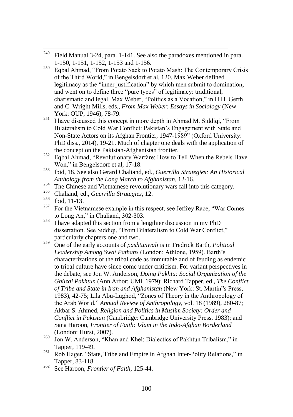- 249 Field Manual 3-24, para. 1-141. See also the paradoxes mentioned in para. 1-150, 1-151, 1-152, 1-153 and 1-156.
- <sup>250</sup> Egbal Ahmad, "From Potato Sack to Potato Mash: The Contemporary Crisis of the Third World," in Bengelsdorf et al, 120. Max Weber defined legitimacy as the "inner justification" by which men submit to domination, and went on to define three "pure types" of legitimacy: traditional, charismatic and legal. Max Weber, "Politics as a Vocation," in H.H. Gerth and C. Wright Mills, eds., *From Max Weber: Essays in Sociology* (New York: OUP, 1946), 78-79.
- <sup>251</sup> I have discussed this concept in more depth in Ahmad M. Siddiqi, "From Bilateralism to Cold War Conflict: Pakistan's Engagement with State and Non-State Actors on its Afghan Frontier, 1947-1989" (Oxford University: PhD diss., 2014), 19-21. Much of chapter one deals with the application of the concept on the Pakistan-Afghanistan frontier.
- $252$  Eqbal Ahmad, "Revolutionary Warfare: How to Tell When the Rebels Have Won," in Bengelsdorf et al, 17-18.
- <sup>253</sup> Ibid, 18. See also Gerard Chaliand, ed., *Guerrilla Strategies: An Historical Anthology from the Long March to Afghanistan*, 12-16.
- 254 The Chinese and Vietnamese revolutionary wars fall into this category.<br>255 Challend and Cuamilla Studentonian 12
- <sup>255</sup> Chaliand, ed., *Guerrilla Strategies*, 12.
- $\frac{256}{257}$  Ibid, 11-13.
- For the Vietnamese example in this respect, see Jeffrey Race, "War Comes" to Long An," in Chaliand, 302-303.
- $258$  I have adapted this section from a lengthier discussion in my PhD dissertation. See Siddiqi, "From Bilateralism to Cold War Conflict," particularly chapters one and two.
- <sup>259</sup> One of the early accounts of *pashtunwali* is in Fredrick Barth, *Political Leadership Among Swat Pathans* (London: Athlone, 1959). Barth's characterizations of the tribal code as immutable and of feuding as endemic to tribal culture have since come under criticism. For variant perspectives in the debate, see Jon W. Anderson*, Doing Pakhtu: Social Organization of the Ghilzai Pakhtun* (Ann Arbor: UMl, 1979); Richard Tapper, ed., *The Conflict of Tribe and State in Iran and Afghanistan* (New York: St. Martin"s Press, 1983), 42-75; Lila Abu-Lughod, "Zones of Theory in the Anthropology of the Arab World," *Annual Review of Anthropology*, vol. 18 (1989), 280-87; Akbar S. Ahmed, *Religion and Politics in Muslim Society: Order and Conflict in Pakistan* (Cambridge: Cambridge University Press, 1983); and Sana Haroon, *Frontier of Faith: Islam in the Indo-Afghan Borderland* (London: Hurst, 2007).
- $^{260}$  Jon W. Anderson, "Khan and Khel: Dialectics of Pakhtun Tribalism," in Tapper, 119-49.
- $^{261}$  Rob Hager, "State, Tribe and Empire in Afghan Inter-Polity Relations," in Tapper, 83-118.
- <sup>262</sup> See Haroon, *Frontier of Faith*, 125-44.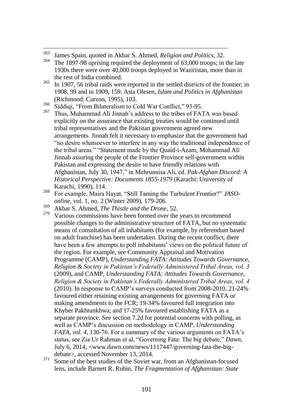- 263 <sup>263</sup> James Spain, quoted in Akbar S. Ahmed, *Religion and Politics*, 32.<br><sup>264</sup> The 1807.08 vertising required the depletment of 62,000 treams in
- The 1897-98 uprising required the deployment of 63,000 troops; in the late 1930s there were over 40,000 troops deployed in Waziristan, more than in the rest of India combined.
- $^{265}$  In 1907, 56 tribal raids were reported in the settled districts of the frontier; in 1908, 99 and in 1909, 159. Asta Olesen, *Islam and Politics in Afghanistan* (Richmond: Curzon, 1995), 103.
- <sup>266</sup> Siddiqi, "From Bilateralism to Cold War Conflict," 93-95.
- <sup>267</sup> Thus, Muhammad Ali Jinnah's address to the tribes of FATA was based explicitly on the assurance that existing treaties would be continued until tribal representatives and the Pakistan government agreed new arrangements. Jinnah felt it necessary to emphasize that the government had ―no desire whatsoever to interfere in any way the traditional independence of the tribal areas." "Statement made by the Quaid-i-Azam, Mohammad Ali Jinnah assuring the people of the Frontier Province self-government within Pakistan and expressing the desire to have friendly relations with Afghanistan, July 30, 1947," in Mehrunnisa Ali, ed. Pak-Afghan Discord: A *Historical Perspective: Documents 1855-1979* (Karachi: University of Karachi, 1990), 114.
- <sup>268</sup> For example, Maira Hayat, "Still Taming the Turbulent Frontier?" *JASOonline*, vol. 1, no. 2 (Winter 2009), 179-206.
- <sup>269</sup> Akbar S. Ahmed, *The Thistle and the Drone*, 52.
- Various commissions have been formed over the years to recommend possible changes to the administrative structure of FATA, but no systematic means of consultation of all inhabitants (for example, by referendum based on adult franchise) has been undertaken. During the recent conflict, there have been a few attempts to poll inhabitants' views on the political future of the region. For example, see Community Appraisal and Motivation Programme (CAMP), *Understanding FATA: Attitudes Towards Governance, Religion & Society in Pakistan"s Federally Administered Tribal Areas, vol. 3*  (2009), and CAMP, *Understanding FATA: Attitudes Towards Governance, Religion & Society in Pakistan"s Federally Administered Tribal Areas, vol. 4*  (2010). In response to CAMP's surveys conducted from 2008-2010, 21-24% favoured either retaining existing arrangements for governing FATA or making amendments to the FCR; 19-34% favoured full integration into Khyber Pakhtunkhwa; and 17-25% favoured establishing FATA as a separate province. See section 7.2d for potential concerns with polling, as well as CAMP's discussion on methodology in CAMP, *Understanding FATA, vol. 4*, 130-76. For a summary of the various arguments on FATA's status, see Zia Ur Rahman et al, "Governing Fata: The big debate," Dawn, July 6, 2014, <www.dawn.com/news/1117447/governing-fata-the-bigdebate>, accessed November 13, 2014.
- $271$  Some of the best studies of the Soviet war, from an Afghanistan-focused lens, include Barnett R. Rubin, *The Fragmentation of Afghanistan: State*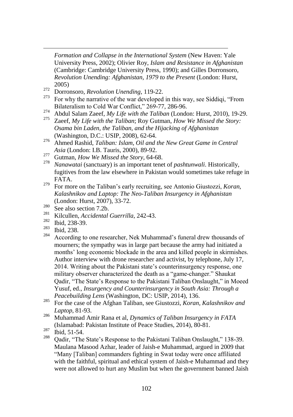*Formation and Collapse in the International System* (New Haven: Yale University Press, 2002); Olivier Roy, *Islam and Resistance in Afghanistan* (Cambridge: Cambridge University Press, 1990); and Gilles Dorronsoro, *Revolution Unending: Afghanistan, 1979 to the Present* (London: Hurst, 2005)

- <sup>272</sup> Dorronsoro, *Revolution Unending*, 119-22.
- For why the narrative of the war developed in this way, see Siddiqi, "From Bilateralism to Cold War Conflict," 269-77, 286-96.
- <sup>274</sup> Abdul Salam Zaeef, *My Life with the Taliban* (London: Hurst, 2010), 19-29.
- Zaeef, *My Life with the Taliban*; Roy Gutman, *How We Missed the Story*: *Osama bin Laden, the Taliban, and the Hijacking of Afghanistan*  (Washington, D.C.: USIP, 2008), 62-64.
- <sup>276</sup> Ahmed Rashid, *Taliban: Islam, Oil and the New Great Game in Central Asia* (London: I.B. Tauris, 2000), 89-92.
- <sup>277</sup> Gutman, *How We Missed the Story*, 64-68.
- <sup>278</sup> *Nanawatai* (sanctuary) is an important tenet of *pashtunwali*. Historically, fugitives from the law elsewhere in Pakistan would sometimes take refuge in FATA.
- <sup>279</sup> For more on the Taliban's early recruiting, see Antonio Giustozzi, *Koran, Kalashnikov and Laptop: The Neo-Taliban Insurgency in Afghanistan* (London: Hurst, 2007), 33-72.
- $\frac{280}{281}$  See also section 7.2b.
- <sup>281</sup> Kilcullen, *Accidental Guerrilla*, 242-43.
- $\frac{282}{283}$  Ibid, 238-39.
- $\frac{283}{284}$  Ibid, 238.

 $\overline{a}$ 

- According to one researcher, Nek Muhammad's funeral drew thousands of mourners; the sympathy was in large part because the army had initiated a months' long economic blockade in the area and killed people in skirmishes. Author interview with drone researcher and activist, by telephone, July 17, 2014. Writing about the Pakistani state's counterinsurgency response, one military observer characterized the death as a "game-changer." Shaukat Qadir, "The State's Response to the Pakistani Taliban Onslaught," in Moeed Yusuf, ed., *Insurgency and Counterinsurgency in South Asia: Through a Peacebuilding Lens* (Washington, DC: USIP, 2014), 136.
- <sup>285</sup> For the case of the Afghan Taliban, see Giustozzi, *Koran, Kalashnikov and Laptop*, 81-93.
- <sup>286</sup> Muhammad Amir Rana et al, *Dynamics of Taliban Insurgency in FATA* (Islamabad: Pakistan Institute of Peace Studies, 2014), 80-81.
- $\frac{287}{288}$  Ibid, 51-54.
- Oadir, "The State's Response to the Pakistani Taliban Onslaught," 138-39. Maulana Masood Azhar, leader of Jaish-e Muhammad, argued in 2009 that "Many [Taliban] commanders fighting in Swat today were once affiliated with the faithful, spiritual and ethical system of Jaish-e Muhammad and they were not allowed to hurt any Muslim but when the government banned Jaish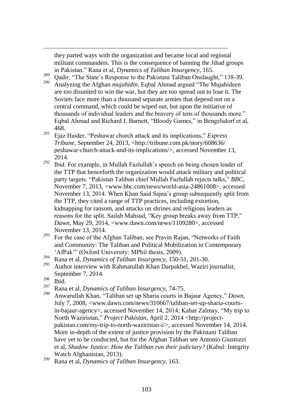they parted ways with the organization and became local and regional militant commanders. This is the consequence of banning the Jihad groups in Pakistan.‖ Rana et al, *Dynamics of Taliban Insurgency*, 165.

 $\frac{289}{290}$  Qadir, "The State's Response to the Pakistani Taliban Onslaught," 138-39.

- Analyzing the Afghan *mujahidin*, Eqbal Ahmad argued "The Mujahideen" are too disunited to win the war, but they are too spread out to lose it. The Soviets face more than a thousand separate armies that depend not on a central command, which could be wiped out, but upon the initiative of thousands of individual leaders and the bravery of tens of thousands more." Eqbal Ahmad and Richard J. Barnett, "Bloody Games," in Bengelsdorf et al, 468.
- <sup>291</sup> Ejaz Haider, "Peshawar church attack and its implications," *Express Tribune*, September 24, 2013, <http://tribune.com.pk/story/608636/ peshawar-church-attack-and-its-implications/>, accessed November 13, 2014.
- $292$  Ibid. For example, in Mullah Fazlullah's speech on being chosen leader of the TTP that henceforth the organization would attack military and political party targets. "Pakistan Taliban chief Mullah Fazlullah rejects talks," *BBC*, November 7, 2013, <www.bbc.com/news/world-asia-24861008>, accessed November 13, 2014. When Khan Said Sajna's group subsequently split from the TTP, they cited a range of TTP practices, including extortion, kidnapping for ransom, and attacks on shrines and religious leaders as reasons for the split. Sailab Mahsud, "Key group breaks away from TTP," *Dawn*, May 29, 2014, <www.dawn.com/news/1109280>, accessed November 13, 2014.
- $293$  For the case of the Afghan Taliban, see Pravin Rajan, "Networks of Faith" and Community: The Taliban and Political Mobilization in Contemporary 'AfPak'" (Oxford University: MPhil thesis, 2009).
- <sup>294</sup> Rana et al, *Dynamics of Taliban Insurgency*, 150-51, 201-30.
- <sup>295</sup> Author interview with Rahmatullah Khan Darpakhel, Waziri journalist, September 7, 2014.
- $\frac{296}{297}$  Ibid.

- <sup>297</sup> Rana et al, *Dynamics of Taliban Insurgency*, 74-75.
- Anwarullah Khan, "Taliban set up Sharia courts in Bajaur Agency," Dawn, July 7, 2008, <www.dawn.com/news/310667/taliban-set-up-sharia-courtsin-bajaur-agency>, accessed November 14, 2014; Kahar Zalmay, "My trip to North Waziristan," Project Pakistan, April 2, 2014 <http://projectpakistan.com/my-trip-to-north-waziristan-i/>, accessed November 14, 2014. More in-depth of the extent of justice provision by the Pakistani Taliban have yet to be conducted, but for the Afghan Taliban see Antonio Giustozzi et al, *Shadow Justice: How the Taliban run their judiciary?* (Kabul: Integrity Watch Afghanistan, 2013).

<sup>299</sup> Rana et al, *Dynamics of Taliban Insurgency*, 163.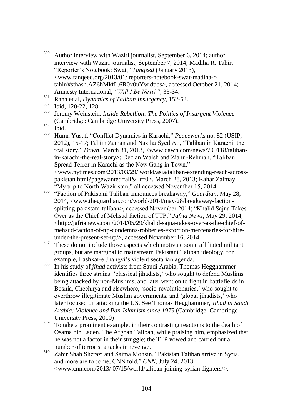- 300 Author interview with Waziri journalist, September 6, 2014; author interview with Waziri journalist, September 7, 2014; Madiha R. Tahir, ―Reporter's Notebook: Swat,‖ *Tanqeed* (January 2013), <www.tanqeed.org/2013/01/ reporters-notebook-swat-madiha-rtahir/#sthash.AZ6hMkfL.6R0x0uYw.dpbs>, accessed October 21, 2014; Amnesty International, *"Will I Be Next?"*, 33-34.
- <sup>301</sup> Rana et al, *Dynamics of Taliban Insurgency*, 152-53.

- Huma Yusuf, "Conflict Dynamics in Karachi," *Peaceworks* no. 82 (USIP, 2012), 15-17; Fahim Zaman and Naziha Syed Ali, "Taliban in Karachi: the real story," *Dawn*, March 31, 2013, <www.dawn.com/news/799118/talibanin-karachi-the-real-story>; Declan Walsh and Zia ur-Rehman, "Taliban Spread Terror in Karachi as the New Gang in Town," <www.nytimes.com/2013/03/29/ world/asia/taliban-extending-reach-acrosspakistan.html?pagewanted=all& $r=0>$ , March 28, 2013; Kahar Zalmay, "My trip to North Waziristan;" all accessed November 15, 2014.
- <sup>306</sup> ―Faction of Pakistani Taliban announces breakaway,‖ *Guardian*, May 28, 2014, <www.theguardian.com/world/2014/may/28/breakaway-factionsplitting-pakistani-taliban>, accessed November 2014; "Khalid Sajna Takes Over as the Chief of Mehsud faction of TTP," Jafria News, May 29, 2014, <http://jafrianews.com/2014/05/29/khalid-sajna-takes-over-as-the-chief-ofmehsud-faction-of-ttp-condemns-robberies-extortion-mercenaries-for-hireunder-the-present-set-up/>, accessed November 16, 2014.
- <sup>307</sup> These do not include those aspects which motivate some affiliated militant groups, but are marginal to mainstream Pakistani Taliban ideology, for example, Lashkar-e Jhangvi's violent sectarian agenda.
- <sup>308</sup> In his study of *jihad* activists from Saudi Arabia, Thomas Hegghammer identifies three strains: ‗classical jihadists,' who sought to defend Muslims being attacked by non-Muslims, and later went on to fight in battlefields in Bosnia, Chechnya and elsewhere, 'socio-revolutionaries,' who sought to overthrow illegitimate Muslim governments, and ‗global jihadists,' who later focused on attacking the US. See Thomas Hegghammer, *Jihad in Saudi Arabia: Violence and Pan-Islamism since 1979* (Cambridge: Cambridge University Press, 2010)
- $309$  To take a prominent example, in their contrasting reactions to the death of Osama bin Laden. The Afghan Taliban, while praising him, emphasized that he was not a factor in their struggle; the TTP vowed and carried out a number of terrorist attacks in revenge.
- <sup>310</sup> Zahir Shah Sherazi and Saima Mohsin, "Pakistan Taliban arrive in Syria, and more are to come, CNN told," *CNN*, July 24, 2013, <www.cnn.com/2013/ 07/15/world/taliban-joining-syrian-fighters/>,

 $\frac{302}{303}$  Ibid, 120-22, 128.

<sup>303</sup> Jeremy Weinstein, *Inside Rebellion: The Politics of Insurgent Violence*  (Cambridge: Cambridge University Press, 2007).

 $rac{304}{305}$  Ibid.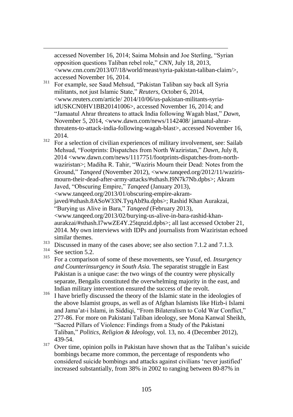accessed November 16, 2014; Saima Mohsin and Joe Sterling, "Syrian opposition questions Taliban rebel role," *CNN*, July 18, 2013, <www.cnn.com/2013/07/18/world/meast/syria-pakistan-taliban-claim/>, accessed November 16, 2014.

- <sup>311</sup> For example, see Saud Mehsud, "Pakistan Taliban say back all Syria militants, not just Islamic State," Reuters, October 6, 2014, <www.reuters.com/article/ 2014/10/06/us-pakistan-militants-syriaidUSKCN0HV1BB20141006>, accessed November 16, 2014; and ―Jamaatul Ahrar threatens to attack India following Wagah blast,‖ *Dawn*, November 5, 2014, <www.dawn.com/news/1142408/ jamaatul-ahrarthreatens-to-attack-india-following-wagah-blast>, accessed November 16, 2014.
- $312$  For a selection of civilian experiences of military involvement, see: Sailab Mehsud, "Footprints: Dispatches from North Waziristan," Dawn, July 8, 2014 <www.dawn.com/news/1117751/footprints-dispatches-from-northwaziristan>; Madiha R. Tahir, "Waziris Mourn their Dead: Notes from the Ground," *Tanqeed* (November 2012), <www.tanqeed.org/2012/11/wazirismourn-their-dead-after-army-attacks/#sthash.I9N7k7Nb.dpbs>; Akram Javed, "Obscuring Empire," *Tanqeed* (January 2013), <www.tanqeed.org/2013/01/obscuring-empire-akramjaved/#sthash.8ASoW33N.TyqAbI9a.dpbs>; Rashid Khan Aurakzai, ―Burying us Alive in Bara,‖ *Tanqeed* (February 2013), <www.tanqeed.org/2013/02/burying-us-alive-in-bara-rashid-khanaurakzai/#sthash.I7wwZE4Y.25tqnzid.dpbs>; all last accessed October 21, 2014. My own interviews with IDPs and journalists from Waziristan echoed similar themes.
- $\frac{313}{214}$  Discussed in many of the cases above; see also section 7.1.2 and 7.1.3.
- $rac{314}{315}$  See section 5.2.

- <sup>315</sup> For a comparison of some of these movements, see Yusuf, ed. *Insurgency and Counterinsurgency in South Asia.* The separatist struggle in East Pakistan is a unique case: the two wings of the country were physically separate, Bengalis constituted the overwhelming majority in the east, and Indian military intervention ensured the success of the revolt.
- <sup>316</sup> I have briefly discussed the theory of the Islamic state in the ideologies of the above Islamist groups, as well as of Afghan Islamists like Hizb-i Islami and Jama'at-i Islami, in Siddiqi, "From Bilateralism to Cold War Conflict," 277-86. For more on Pakistani Taliban ideology, see Mona Kanwal Sheikh, ―Sacred Pillars of Violence: Findings from a Study of the Pakistani Taliban,‖ *Politics, Religion & Ideology*, vol. 13, no. 4 (December 2012), 439-54.
- $317$  Over time, opinion polls in Pakistan have shown that as the Taliban's suicide bombings became more common, the percentage of respondents who considered suicide bombings and attacks against civilians 'never justified' increased substantially, from 38% in 2002 to ranging between 80-87% in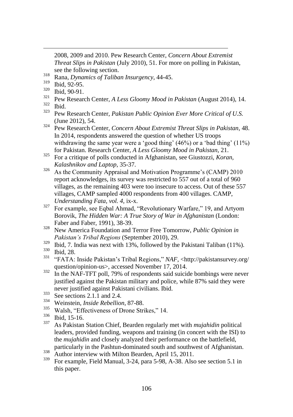2008, 2009 and 2010. Pew Research Center, *Concern About Extremist Threat Slips in Pakistan* (July 2010), 51. For more on polling in Pakistan, see the following section.

<sup>318</sup> Rana, *Dynamics of Taliban Insurgency*, 44-45.

- $\frac{320}{321}$  Ibid, 90-91.
- <sup>321</sup> Pew Research Center, *A Less Gloomy Mood in Pakistan* (August 2014), 14.
- $rac{322}{323}$  Ibid.

- <sup>323</sup> Pew Research Center, *Pakistan Public Opinion Ever More Critical of U.S.* (June 2012), 54.
- <sup>324</sup> Pew Research Center, *Concern About Extremist Threat Slips in Pakistan*, 48. In 2014, respondents answered the question of whether US troops withdrawing the same year were a 'good thing'  $(46%)$  or a 'bad thing'  $(11%)$ for Pakistan. Research Center, *A Less Gloomy Mood in Pakistan*, 21.
- <sup>325</sup> For a critique of polls conducted in Afghanistan, see Giustozzi, *Koran, Kalashnikov and Laptop*, 35-37.
- $326$  As the Community Appraisal and Motivation Programme's (CAMP) 2010 report acknowledges, its survey was restricted to 557 out of a total of 960 villages, as the remaining 403 were too insecure to access. Out of these 557 villages, CAMP sampled 4000 respondents from 400 villages. CAMP, *Understanding Fata, vol. 4*, ix-x.
- $327$  For example, see Eqbal Ahmad, "Revolutionary Warfare," 19, and Artyom Borovik, *The Hidden War: A True Story of War in Afghanistan* (London: Faber and Faber, 1991), 38-39.
- <sup>328</sup> New America Foundation and Terror Free Tomorrow, *Public Opinion in Pakistan"s Tribal Regions* (September 2010), 29.
- $329$  Ibid, 7. India was next with 13%, followed by the Pakistani Taliban (11%).
- $\frac{330}{331}$  Ibid, 28.
- <sup>331</sup> ―FATA: Inside Pakistan's Tribal Regions,‖ *NAF*, <http://pakistansurvey.org/ question/opinion-us>, accessed November 17, 2014.
- <sup>332</sup> In the NAF-TFT poll, 79% of respondents said suicide bombings were never justified against the Pakistan military and police, while 87% said they were never justified against Pakistani civilians. Ibid.
- $333$  See sections 2.1.1 and 2.4.
- <sup>334</sup> Weinstein, *Inside Rebellion*, 87-88.<br><sup>335</sup> Welch "Effectiveness of Drope Stri
- $\frac{335}{336}$  Walsh, "Effectiveness of Drone Strikes," 14.
- $\frac{336}{337}$  Ibid, 15-16.
- <sup>337</sup> As Pakistan Station Chief, Bearden regularly met with *mujahidin* political leaders, provided funding, weapons and training (in concert with the ISI) to the *mujahidin* and closely analyzed their performance on the battlefield,
- particularly in the Pashtun-dominated south and southwest of Afghanistan.
- $\frac{338}{200}$  Author interview with Milton Bearden, April 15, 2011.
- <sup>339</sup> For example, Field Manual, 3-24, para 5-98, A-38. Also see section 5.1 in this paper.

 $\frac{319}{320}$  Ibid, 92-95.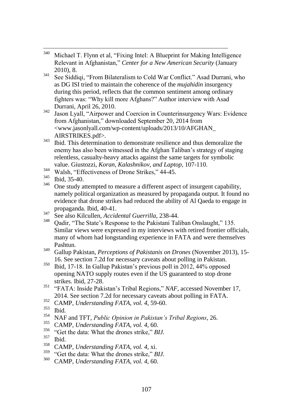- 340 Michael T. Flynn et al, "Fixing Intel: A Blueprint for Making Intelligence Relevant in Afghanistan,‖ *Center for a New American Security* (January 2010), 8.
- $341$  See Siddiqi, "From Bilateralism to Cold War Conflict." Asad Durrani, who as DG ISI tried to maintain the coherence of the *mujahidin* insurgency during this period, reflects that the common sentiment among ordinary fighters was: "Why kill more Afghans?" Author interview with Asad Durrani, April 26, 2010.
- $342$  Jason Lyall, "Airpower and Coercion in Counterinsurgency Wars: Evidence from Afghanistan," downloaded September 20, 2014 from <www.jasonlyall.com/wp-content/uploads/2013/10/AFGHAN\_ AIRSTRIKES.pdf>.
- <sup>343</sup> Ibid. This determination to demonstrate resilience and thus demoralize the enemy has also been witnessed in the Afghan Taliban's strategy of staging relentless, casualty-heavy attacks against the same targets for symbolic value. Giustozzi, *Koran, Kalashnikov, and Laptop*, 107-110.
- $\frac{344}{345}$  Walsh, "Effectiveness of Drone Strikes," 44-45.
- $\frac{345}{346}$  Ibid, 35-40.
- <sup>346</sup> One study attempted to measure a different aspect of insurgent capability, namely political organization as measured by propaganda output. It found no evidence that drone strikes had reduced the ability of Al Qaeda to engage in propaganda. Ibid, 40-41.
- <sup>347</sup> See also Kilcullen, *Accidental Guerrilla*, 238-44.
- Qadir, "The State's Response to the Pakistani Taliban Onslaught," 135. Similar views were expressed in my interviews with retired frontier officials, many of whom had longstanding experience in FATA and were themselves Pashtun.
- <sup>349</sup> Gallup Pakistan, *Perceptions of Pakistanis on Drones* (November 2013), 15- 16. See section 7.2d for necessary caveats about polling in Pakistan.
- $350$  Ibid, 17-18. In Gallup Pakistan's previous poll in 2012, 44% opposed opening NATO supply routes even if the US guaranteed to stop drone strikes. Ibid, 27-28.
- <sup>351</sup> "FATA: Inside Pakistan's Tribal Regions," *NAF*, accessed November 17, 2014. See section 7.2d for necessary caveats about polling in FATA.
- <sup>352</sup> CAMP, *Understanding FATA, vol. 4*, 59-60.
- $rac{353}{354}$  Ibid.
- <sup>354</sup> NAF and TFT, *Public Opinion in Pakistan"s Tribal Regions*, 26.
- <sup>355</sup> CAMP, *Understanding FATA, vol.* 4, 60.<br><sup>356</sup> "Cat the data: What the drapes strike" *P*.
- $^{356}$  "Get the data: What the drones strike," *BIJ*.
- $rac{357}{358}$  Ibid.
- <sup>358</sup> CAMP, *Understanding FATA, vol. 4, xi.*<br><sup>359</sup> "Cet the data: What the drapes strike." *P*
- <sup>359</sup> "Get the data: What the drones strike," *BIJ.*<br><sup>360</sup>  $C^{\text{AMP}}$  *Understanding EATA*, *vol.* 4–60
- <sup>360</sup> CAMP, *Understanding FATA, vol. 4*, 60.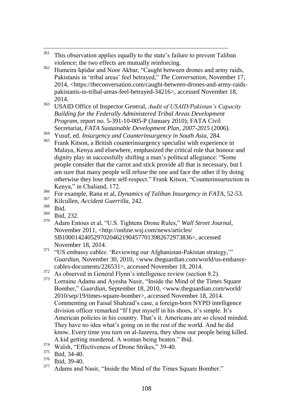- 361 This observation applies equally to the state's failure to prevent Taliban violence; the two effects are mutually reinforcing.
- <sup>362</sup> Humeira Iqtidar and Noor Akbar, "Caught between drones and army raids, Pakistanis in 'tribal areas' feel betrayed," The Conversation, November 17, 2014, <https://theconversation.com/caught-between-drones-and-army-raidspakistanis-in-tribal-areas-feel-betrayed-34216>, accessed November 18, 2014.
- <sup>363</sup> USAID Office of Inspector General, *Audit of USAID/Pakistan"s Capacity Building for the Federally Administered Tribal Areas Development Program*, report no. 5-391-10-005-P (January 2010); FATA Civil Secretariat, *FATA Sustainable Development Plan, 2007-2015* (2006).
- <sup>364</sup> Yusuf, ed. *Insurgency and Counterinsurgency in South Asia*, 284.
- <sup>365</sup> Frank Kitson, a British counterinsurgency specialist with experience in Malaya, Kenya and elsewhere, emphasized the critical role that honour and dignity play in successfully shifting a man's political allegiance: "Some people consider that the carrot and stick provide all that is necessary, but I am sure that many people will refuse the one and face the other if by doing otherwise they lose their self-respect." Frank Kitson, "Counterinsurrection in Kenya," in Chaliand, 172.
- <sup>366</sup> For example, Rana et al, *Dynamics of Taliban Insurgency in FATA*, 52-53.
- <sup>367</sup> Kilcullen, *Accident Guerrilla*, 242.
- $rac{368}{369}$  Ibid.
- $\frac{369}{370}$  Ibid, 232.
- Adam Entous et al, "U.S. Tightens Drone Rules," *Wall Street Journal*, November 2011, <http://online.wsj.com/news/articles/ SB10001424052970204621904577013982672973836>, accessed November 18, 2014.
- <sup>371</sup> "US embassy cables: 'Reviewing our Afghanistan-Pakistan strategy,'" *Guardian*, November 30, 2010, <www.theguardian.com/world/us-embassycables-documents/226531>, accessed November 18, 2014.
- $372$  As observed in General Flynn's intelligence review (section 8.2).
- Lorraine Adams and Ayesha Nasir, "Inside the Mind of the Times Square Bomber," *Guardian*, September 18, 2010, <www.theguardian.com/world/ 2010/sep/19/times-square-bomber>, accessed November 18, 2014. Commenting on Faisal Shahzad's case, a foreign-born NYPD intelligence division officer remarked "If I put myself in his shoes, it's simple. It's American policies in his country. That's it. Americans are so closed minded. They have no idea what's going on in the rest of the world. And he did know. Every time you turn on al-Jazeera, they show our people being killed. A kid getting murdered. A woman being beaten." Ibid.
- $\frac{374}{375}$  Walsh, "Effectiveness of Drone Strikes," 39-40.
- $\frac{375}{376}$  Ibid, 34-40.
- $\frac{376}{377}$  Ibid, 39-40.
- Adams and Nasir, "Inside the Mind of the Times Square Bomber."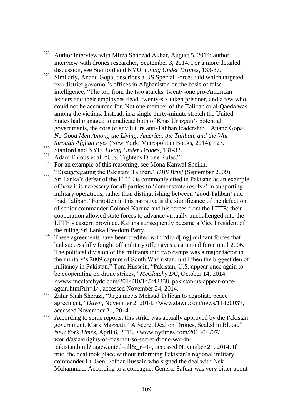- 378 <sup>378</sup> Author interview with Mirza Shahzad Akbar, August 5, 2014; author interview with drones researcher, September 3, 2014. For a more detailed discussion, see Stanford and NYU, *Living Under Drones*, 133-37.
- $379$  Similarly, Anand Gopal describes a US Special Forces raid which targeted two district governor's offices in Afghanistan on the basis of false intelligence: "The toll from the two attacks: twenty-one pro-American leaders and their employees dead, twenty-six taken prisoner, and a few who could not be accounted for. Not one member of the Taliban or al-Qaeda was among the victims. Instead, in a single thirty-minute stretch the United States had managed to eradicate both of Khas Uruzgan's potential governments, the core of any future anti-Taliban leadership." Anand Gopal, *No Good Men Among the Living: America, the Taliban, and the War through Afghan Eyes* (New York: Metropolitan Books, 2014), 123.
- <sup>380</sup> Stanford and NYU, *Living Under Drones*, 131-32.
- <sup>381</sup> Adam Entous et al, "U.S. Tightens Drone Rules,"<br><sup>382</sup> For an avample of this massning, ass Mana Kany
- For an example of this reasoning, see Mona Kanwal Sheikh, ―Disaggregating the Pakistani Taliban,‖ *DIIS Brief* (September 2009).
- <sup>383</sup> Sri Lanka's defeat of the LTTE is commonly cited in Pakistan as an example of how it is necessary for all parties to ‗demonstrate resolve' in supporting military operations, rather than distinguishing between 'good Taliban' and ‗bad Taliban.' Forgotten in this narrative is the significance of the defection of senior commander Colonel Karuna and his forces from the LTTE; their cooperation allowed state forces to advance virtually unchallenged into the LTTE's eastern province. Karuna subsequently became a Vice President of the ruling Sri Lanka Freedom Party.
- $384$  These agreements have been credited with "divid[ing] militant forces that had successfully fought off military offensives as a united force until 2006. The political division of the militants into two camps was a major factor in the military's 2009 capture of South Waziristan, until then the biggest den of militancy in Pakistan." Tom Hussain, "Pakistan, U.S. appear once again to be cooperating on drone strikes," McClatchy DC, October 14, 2014, <www.mcclatchydc.com/2014/10/14/243358\_pakistan-us-appear-onceagain.html?rh=1>, accessed November 24, 2014.
- <sup>385</sup> Zahir Shah Sherazi, "Jirga meets Mehsud Taliban to negotiate peace agreement," *Dawn*, November 2, 2014, <www.dawn.com/news/1142003>, accessed November 21, 2014.
- $386$  According to some reports, this strike was actually approved by the Pakistan government. Mark Mazzetti, "A Secret Deal on Drones, Sealed in Blood," *New York Times*, April 6, 2013, <www.nytimes.com/2013/04/07/ world/asia/origins-of-cias-not-so-secret-drone-war-inpakistan.html?pagewanted=all&\_r=0>, accessed November 21, 2014. If true, the deal took place without informing Pakistan's regional military commander Lt. Gen. Safdar Hussain who signed the deal with Nek Muhammad. According to a colleague, General Safdar was very bitter about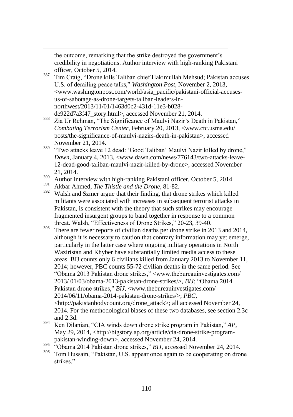the outcome, remarking that the strike destroyed the government's credibility in negotiations. Author interview with high-ranking Pakistani officer, October 5, 2014.

- <sup>387</sup> Tim Craig, "Drone kills Taliban chief Hakimullah Mehsud; Pakistan accuses U.S. of derailing peace talks," *Washington Post*, November 2, 2013, <www.washingtonpost.com/world/asia\_pacific/pakistani-official-accusesus-of-sabotage-as-drone-targets-taliban-leaders-innorthwest/2013/11/01/1463d0c2-431d-11e3-b028 de922d7a3f47\_story.html>, accessed November 21, 2014.
- <sup>388</sup> Zia Ur Rehman, "The Significance of Maulvi Nazir's Death in Pakistan," *Combating Terrorism Center*, February 20, 2013, <www.ctc.usma.edu/ posts/the-significance-of-maulvi-nazirs-death-in-pakistan>, accessed November 21, 2014.
- <sup>389</sup> "Two attacks leave 12 dead: 'Good Taliban' Maulvi Nazir killed by drone," *Dawn*, January 4, 2013, <www.dawn.com/news/776143/two-attacks-leave-12-dead-good-taliban-maulvi-nazir-killed-by-drone>, accessed November 21, 2014.
- <sup>390</sup> Author interview with high-ranking Pakistani officer, October 5, 2014.
- <sup>391</sup> Akbar Ahmed, *The Thistle and the Drone*, 81-82.

- Walsh and Szmer argue that their finding, that drone strikes which killed militants were associated with increases in subsequent terrorist attacks in Pakistan, is consistent with the theory that such strikes may encourage fragmented insurgent groups to band together in response to a common threat. Walsh, "Effectiveness of Drone Strikes," 20-23, 39-40.
- $393$  There are fewer reports of civilian deaths per drone strike in 2013 and 2014, although it is necessary to caution that contrary information may yet emerge, particularly in the latter case where ongoing military operations in North Waziristan and Khyber have substantially limited media access to these areas. BIJ counts only 6 civilians killed from January 2013 to November 11, 2014; however, PBC counts 55-72 civilian deaths in the same period. See ―Obama 2013 Pakistan drone strikes,‖ <www.thebureauinvestigates.com/ 2013/ 01/03/obama-2013-pakistan-drone-strikes/>, *BIJ*; "Obama 2014 Pakistan drone strikes," *BIJ*, <www.thebureauinvestigates.com/ 2014/06/11/obama-2014-pakistan-drone-strikes/>; *PBC*, <http://pakistanbodycount.org/drone\_attack>; all accessed November 24, 2014. For the methodological biases of these two databases, see section 2.3c and 2.3d.
- $394$  Ken Dilanian, "CIA winds down drone strike program in Pakistan,"  $AP$ , May 29, 2014, <http://bigstory.ap.org/article/cia-drone-strike-programpakistan-winding-down>, accessed November 24, 2014.
- <sup>395</sup>  $\cdot$ <sup>395</sup> Cobama 2014 Pakistan drone strikes," *BIJ*, accessed November 24, 2014.
- Tom Hussain, "Pakistan, U.S. appear once again to be cooperating on drone strikes."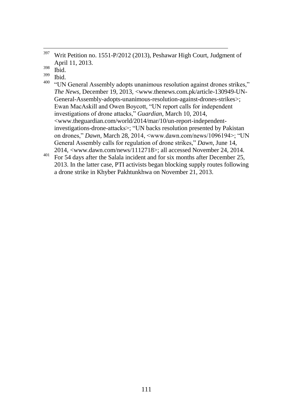- $\frac{399}{400}$  Ibid.
- "UN General Assembly adopts unanimous resolution against drones strikes," *The News*, December 19, 2013, <www.thenews.com.pk/article-130949-UN-General-Assembly-adopts-unanimous-resolution-against-drones-strikes>; Ewan MacAskill and Owen Boycott, "UN report calls for independent investigations of drone attacks," *Guardian*, March 10, 2014, <www.theguardian.com/world/2014/mar/10/un-report-independentinvestigations-drone-attacks>; "UN backs resolution presented by Pakistan on drones," *Dawn*, March 28, 2014, <www.dawn.com/news/1096194>; "UN General Assembly calls for regulation of drone strikes," *Dawn*, June 14, 2014, <www.dawn.com/news/1112718>; all accessed November 24, 2014.
- <sup>401</sup> For 54 days after the Salala incident and for six months after December 25, 2013. In the latter case, PTI activists began blocking supply routes following a drone strike in Khyber Pakhtunkhwa on November 21, 2013.

<sup>397</sup> <sup>397</sup> Writ Petition no. 1551-P/2012 (2013), Peshawar High Court, Judgment of April 11, 2013.

 $rac{398}{399}$  Ibid.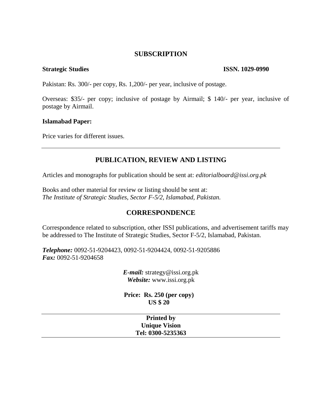### **SUBSCRIPTION**

#### **Strategic Studies** ISSN. 1029-0990

Pakistan: Rs. 300/- per copy, Rs. 1,200/- per year, inclusive of postage.

Overseas: \$35/- per copy; inclusive of postage by Airmail; \$ 140/- per year, inclusive of postage by Airmail.

#### **Islamabad Paper:**

Price varies for different issues.

# **PUBLICATION, REVIEW AND LISTING**

Articles and monographs for publication should be sent at: *editorialboard@issi.org.pk*

Books and other material for review or listing should be sent at: *The Institute of Strategic Studies, Sector F-5/2, Islamabad, Pakistan.* 

## **CORRESPONDENCE**

Correspondence related to subscription, other ISSI publications, and advertisement tariffs may be addressed to The Institute of Strategic Studies, Sector F-5/2, Islamabad, Pakistan.

*Telephone:* 0092-51-9204423, 0092-51-9204424, 0092-51-9205886 *Fax:* 0092-51-9204658

> *E-mail:* strategy@issi.org.pk *Website:* www.issi.org.pk

**Price: Rs. 250 (per copy) US \$ 20**

| <b>Printed by</b>    |  |
|----------------------|--|
| <b>Unique Vision</b> |  |
| Tel: 0300-5235363    |  |
|                      |  |